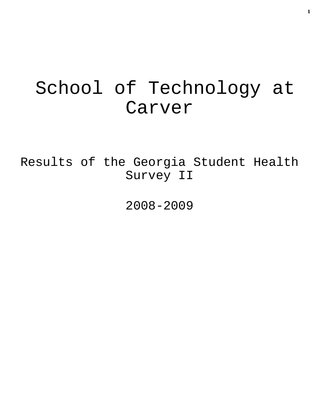# School of Technology at Carver

Results of the Georgia Student Health Survey II

2008-2009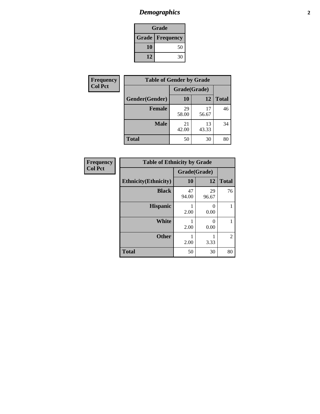### *Demographics* **2**

| Grade                    |    |  |  |  |
|--------------------------|----|--|--|--|
| <b>Grade   Frequency</b> |    |  |  |  |
| 10                       | 50 |  |  |  |
| 12                       | 30 |  |  |  |

| Frequency      | <b>Table of Gender by Grade</b> |              |             |              |
|----------------|---------------------------------|--------------|-------------|--------------|
| <b>Col Pct</b> |                                 | Grade(Grade) |             |              |
|                | Gender(Gender)                  | 10           | 12          | <b>Total</b> |
|                | <b>Female</b>                   | 29<br>58.00  | 17<br>56.67 | 46           |
|                | <b>Male</b>                     | 21<br>42.00  | 13<br>43.33 | 34           |
|                | <b>Total</b>                    | 50           | 30          | 80           |

| <b>Frequency</b> |
|------------------|
| <b>Col Pct</b>   |

| <b>Table of Ethnicity by Grade</b> |              |             |              |  |  |  |
|------------------------------------|--------------|-------------|--------------|--|--|--|
|                                    | Grade(Grade) |             |              |  |  |  |
| <b>Ethnicity</b> (Ethnicity)       | 10           | 12          | <b>Total</b> |  |  |  |
| <b>Black</b>                       | 47<br>94.00  | 29<br>96.67 | 76           |  |  |  |
| <b>Hispanic</b>                    | 2.00         | 0<br>0.00   |              |  |  |  |
| <b>White</b>                       | 2.00         | 0<br>0.00   |              |  |  |  |
| <b>Other</b>                       | 2.00         | 3.33        | 2            |  |  |  |
| <b>Total</b>                       | 50           | 30          | 80           |  |  |  |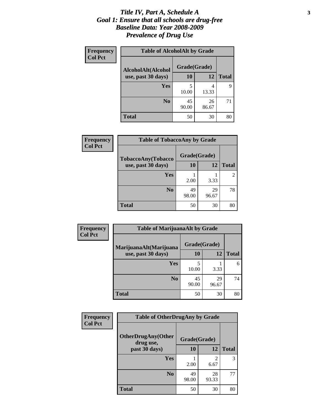#### *Title IV, Part A, Schedule A* **3** *Goal 1: Ensure that all schools are drug-free Baseline Data: Year 2008-2009 Prevalence of Drug Use*

| Frequency<br><b>Col Pct</b> | <b>Table of AlcoholAlt by Grade</b> |              |             |              |  |  |
|-----------------------------|-------------------------------------|--------------|-------------|--------------|--|--|
|                             | AlcoholAlt(Alcohol                  | Grade(Grade) |             |              |  |  |
|                             | use, past 30 days)                  | <b>10</b>    | 12          | <b>Total</b> |  |  |
|                             | Yes                                 | 5<br>10.00   | 4<br>13.33  | 9            |  |  |
|                             | N <sub>0</sub>                      | 45<br>90.00  | 26<br>86.67 | 71           |  |  |
|                             | <b>Total</b>                        | 50           | 30          | 80           |  |  |

| Frequency      | <b>Table of TobaccoAny by Grade</b> |              |             |              |  |  |
|----------------|-------------------------------------|--------------|-------------|--------------|--|--|
| <b>Col Pct</b> | TobaccoAny(Tobacco                  | Grade(Grade) |             |              |  |  |
|                | use, past 30 days)                  | 10           | 12          | <b>Total</b> |  |  |
|                | Yes                                 | 2.00         | 3.33        | 2            |  |  |
|                | N <sub>0</sub>                      | 49<br>98.00  | 29<br>96.67 | 78           |  |  |
|                | <b>Total</b>                        | 50           | 30          | 80           |  |  |

| Frequency<br><b>Col Pct</b>                  | <b>Table of MarijuanaAlt by Grade</b> |              |              |    |  |
|----------------------------------------------|---------------------------------------|--------------|--------------|----|--|
| MarijuanaAlt(Marijuana<br>use, past 30 days) |                                       | Grade(Grade) |              |    |  |
|                                              | 10                                    | 12           | <b>Total</b> |    |  |
|                                              | Yes                                   | 5<br>10.00   | 3.33         | 6  |  |
|                                              | N <sub>0</sub>                        | 45<br>90.00  | 29<br>96.67  | 74 |  |
|                                              | <b>Total</b>                          | 50           | 30           | 80 |  |

| Frequency<br><b>Col Pct</b> | <b>Table of OtherDrugAny by Grade</b>                  |             |                        |              |  |
|-----------------------------|--------------------------------------------------------|-------------|------------------------|--------------|--|
|                             | <b>OtherDrugAny(Other</b><br>Grade(Grade)<br>drug use, |             |                        |              |  |
|                             | past 30 days)                                          | 10          | 12                     | <b>Total</b> |  |
|                             | Yes                                                    | 2.00        | $\mathfrak{D}$<br>6.67 | 3            |  |
|                             | N <sub>0</sub>                                         | 49<br>98.00 | 28<br>93.33            | 77           |  |
|                             | <b>Total</b>                                           | 50          | 30                     | 80           |  |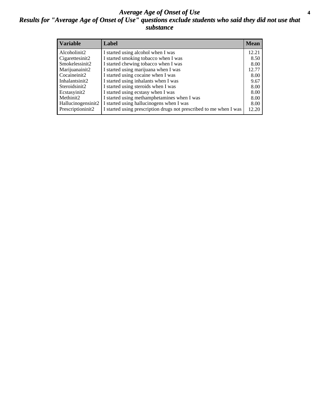#### *Average Age of Onset of Use* **4** *Results for "Average Age of Onset of Use" questions exclude students who said they did not use that substance*

| <b>Variable</b>    | Label                                                              | <b>Mean</b> |
|--------------------|--------------------------------------------------------------------|-------------|
| Alcoholinit2       | I started using alcohol when I was                                 | 12.21       |
| Cigarettesinit2    | I started smoking tobacco when I was                               | 8.50        |
| Smokelessinit2     | I started chewing tobacco when I was                               | 8.00        |
| Marijuanainit2     | I started using marijuana when I was                               | 12.77       |
| Cocaineinit2       | I started using cocaine when I was                                 | 8.00        |
| Inhalantsinit2     | I started using inhalants when I was                               | 9.67        |
| Steroidsinit2      | I started using steroids when I was                                | 8.00        |
| Ecstasyinit2       | I started using ecstasy when I was                                 | 8.00        |
| Methinit2          | I started using methamphetamines when I was                        | 8.00        |
| Hallucinogensinit2 | I started using hallucinogens when I was                           | 8.00        |
| Prescriptioninit2  | I started using prescription drugs not prescribed to me when I was | 12.20       |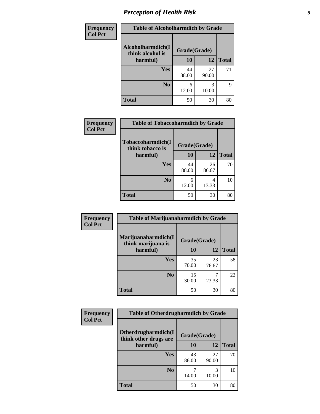### *Perception of Health Risk* **5**

| Frequency      | <b>Table of Alcoholharmdich by Grade</b> |              |             |              |  |
|----------------|------------------------------------------|--------------|-------------|--------------|--|
| <b>Col Pct</b> | Alcoholharmdich(I<br>think alcohol is    | Grade(Grade) |             |              |  |
|                | harmful)                                 | 10           | 12          | <b>Total</b> |  |
|                | <b>Yes</b>                               | 44<br>88.00  | 27<br>90.00 | 71           |  |
|                | N <sub>0</sub>                           | 6<br>12.00   | 10.00       | 9            |  |
|                | <b>Total</b>                             | 50           | 30          | 80           |  |

| <b>Frequency</b> | <b>Table of Tobaccoharmdich by Grade</b> |              |             |              |  |
|------------------|------------------------------------------|--------------|-------------|--------------|--|
| <b>Col Pct</b>   | Tobaccoharmdich(I<br>think tobacco is    | Grade(Grade) |             |              |  |
|                  | harmful)                                 | 10           | 12          | <b>Total</b> |  |
|                  | Yes                                      | 44<br>88.00  | 26<br>86.67 | 70           |  |
|                  | N <sub>0</sub>                           | 6<br>12.00   | 4<br>13.33  | 10           |  |
|                  | <b>Total</b>                             | 50           | 30          | 80           |  |

| Frequency      | <b>Table of Marijuanaharmdich by Grade</b> |              |             |              |  |  |
|----------------|--------------------------------------------|--------------|-------------|--------------|--|--|
| <b>Col Pct</b> | Marijuanaharmdich(I<br>think marijuana is  | Grade(Grade) |             |              |  |  |
|                | harmful)                                   | 10           | 12          | <b>Total</b> |  |  |
|                | Yes                                        | 35<br>70.00  | 23<br>76.67 | 58           |  |  |
|                | N <sub>0</sub>                             | 15<br>30.00  | ⇁<br>23.33  | 22           |  |  |
|                | <b>Total</b>                               | 50           | 30          | 80           |  |  |

| <b>Frequency</b> | <b>Table of Otherdrugharmdich by Grade</b>   |              |             |              |  |  |
|------------------|----------------------------------------------|--------------|-------------|--------------|--|--|
| <b>Col Pct</b>   | Otherdrugharmdich(I<br>think other drugs are | Grade(Grade) |             |              |  |  |
|                  | harmful)                                     | 10           | 12          | <b>Total</b> |  |  |
|                  | <b>Yes</b>                                   | 43<br>86.00  | 27<br>90.00 | 70           |  |  |
|                  | N <sub>0</sub>                               | 14.00        | 10.00       | 10           |  |  |
|                  | <b>Total</b>                                 | 50           | 30          | 80           |  |  |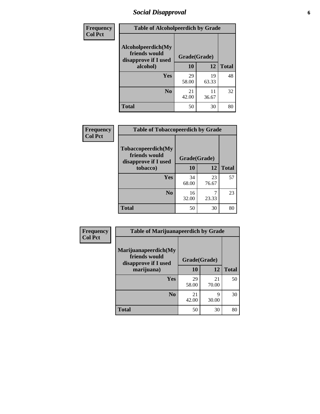### *Social Disapproval* **6**

| <b>Frequency</b> | <b>Table of Alcoholpeerdich by Grade</b>                                |              |             |              |  |
|------------------|-------------------------------------------------------------------------|--------------|-------------|--------------|--|
| <b>Col Pct</b>   | Alcoholpeerdich(My<br>friends would<br>disapprove if I used<br>alcohol) | Grade(Grade) |             |              |  |
|                  |                                                                         | 10           | 12          | <b>Total</b> |  |
|                  | <b>Yes</b>                                                              | 29<br>58.00  | 19<br>63.33 | 48           |  |
|                  | N <sub>0</sub>                                                          | 21<br>42.00  | 11<br>36.67 | 32           |  |
|                  | <b>Total</b>                                                            | 50           | 30          | 80           |  |

| <b>Frequency</b> |
|------------------|
| <b>Col Pct</b>   |

| <b>Table of Tobaccopeerdich by Grade</b>                    |              |             |              |  |  |  |
|-------------------------------------------------------------|--------------|-------------|--------------|--|--|--|
| Tobaccopeerdich(My<br>friends would<br>disapprove if I used | Grade(Grade) |             |              |  |  |  |
| tobacco)                                                    | 10           | 12          | <b>Total</b> |  |  |  |
| Yes                                                         | 34<br>68.00  | 23<br>76.67 | 57           |  |  |  |
| N <sub>0</sub>                                              | 16<br>32.00  | 23.33       | 23           |  |  |  |
| <b>Total</b>                                                | 50           | 30          | 80           |  |  |  |

| Frequency      | <b>Table of Marijuanapeerdich by Grade</b>                    |              |             |              |  |
|----------------|---------------------------------------------------------------|--------------|-------------|--------------|--|
| <b>Col Pct</b> | Marijuanapeerdich(My<br>friends would<br>disapprove if I used | Grade(Grade) |             |              |  |
|                | marijuana)                                                    | 10           | 12          | <b>Total</b> |  |
|                | <b>Yes</b>                                                    | 29<br>58.00  | 21<br>70.00 | 50           |  |
|                | N <sub>0</sub>                                                | 21<br>42.00  | q<br>30.00  | 30           |  |
|                | <b>Total</b>                                                  | 50           | 30          | 80           |  |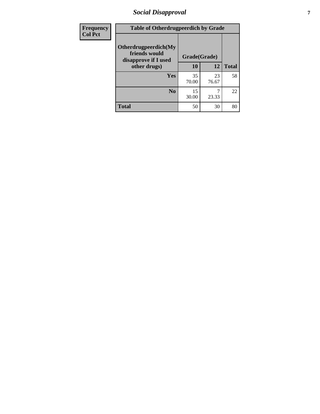### *Social Disapproval* **7**

| Frequency      | <b>Table of Otherdrugpeerdich by Grade</b>                    |              |             |              |  |
|----------------|---------------------------------------------------------------|--------------|-------------|--------------|--|
| <b>Col Pct</b> | Otherdrugpeerdich(My<br>friends would<br>disapprove if I used | Grade(Grade) |             |              |  |
|                | other drugs)                                                  | 10           | 12          | <b>Total</b> |  |
|                | Yes                                                           | 35<br>70.00  | 23<br>76.67 | 58           |  |
|                | N <sub>0</sub>                                                | 15<br>30.00  | 23.33       | 22           |  |
|                | <b>Total</b>                                                  | 50           | 30          | 80           |  |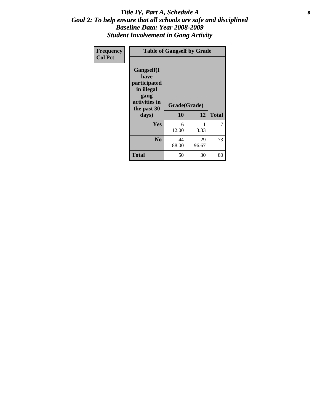#### Title IV, Part A, Schedule A **8** *Goal 2: To help ensure that all schools are safe and disciplined Baseline Data: Year 2008-2009 Student Involvement in Gang Activity*

| Frequency      | <b>Table of Gangself by Grade</b>                                                                 |                    |             |              |
|----------------|---------------------------------------------------------------------------------------------------|--------------------|-------------|--------------|
| <b>Col Pct</b> | Gangself(I<br>have<br>participated<br>in illegal<br>gang<br>activities in<br>the past 30<br>days) | Grade(Grade)<br>10 | 12          | <b>Total</b> |
|                | Yes                                                                                               | 6<br>12.00         | 1<br>3.33   | 7            |
|                | N <sub>0</sub>                                                                                    | 44<br>88.00        | 29<br>96.67 | 73           |
|                | <b>Total</b>                                                                                      | 50                 | 30          | 80           |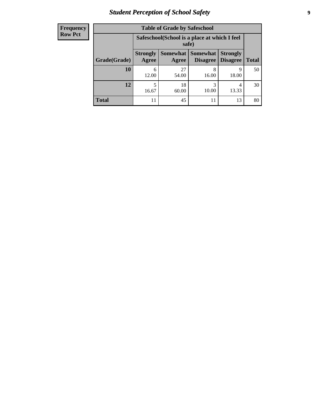### *Student Perception of School Safety* **9**

| <b>Frequency</b><br>Row Pct |
|-----------------------------|
|                             |

| <b>Table of Grade by Safeschool</b> |                          |                                                                                              |            |            |    |  |  |  |
|-------------------------------------|--------------------------|----------------------------------------------------------------------------------------------|------------|------------|----|--|--|--|
|                                     |                          | Safeschool (School is a place at which I feel<br>safe)                                       |            |            |    |  |  |  |
| Grade(Grade)                        | <b>Strongly</b><br>Agree | Somewhat Somewhat<br><b>Strongly</b><br><b>Disagree</b><br>Disagree<br><b>Total</b><br>Agree |            |            |    |  |  |  |
| 10                                  | 6<br>12.00               | 27<br>54.00                                                                                  | 8<br>16.00 | 9<br>18.00 | 50 |  |  |  |
| 12                                  | 5<br>16.67               | 18<br>60.00                                                                                  | 3<br>10.00 | 4<br>13.33 | 30 |  |  |  |
| <b>Total</b>                        |                          | 45                                                                                           | 11         | 13         | 80 |  |  |  |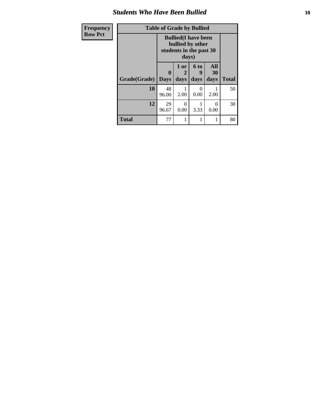### *Students Who Have Been Bullied* **10**

| <b>Frequency</b> | <b>Table of Grade by Bullied</b> |                                                                                     |                   |                   |                   |              |
|------------------|----------------------------------|-------------------------------------------------------------------------------------|-------------------|-------------------|-------------------|--------------|
| <b>Row Pct</b>   |                                  | <b>Bullied</b> (I have been<br>bullied by other<br>students in the past 30<br>days) |                   |                   |                   |              |
|                  | Grade(Grade)   Days              | $\mathbf{0}$                                                                        | 1 or<br>2<br>days | 6 to<br>9<br>days | All<br>30<br>days | <b>Total</b> |
|                  | 10                               | 48<br>96.00                                                                         | 2.00              | 0<br>0.00         | 2.00              | 50           |
|                  | 12                               | 29<br>96.67                                                                         | 0<br>0.00         | 3.33              | 0<br>0.00         | 30           |
|                  | <b>Total</b>                     | 77                                                                                  |                   | 1                 |                   | 80           |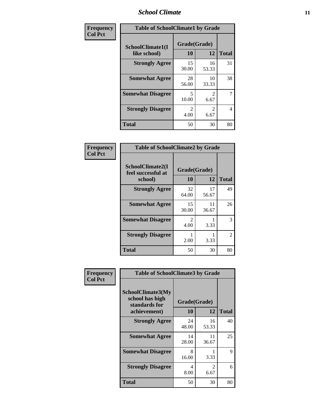### *School Climate* **11**

| Frequency      | <b>Table of SchoolClimate1 by Grade</b> |                        |                        |              |  |  |
|----------------|-----------------------------------------|------------------------|------------------------|--------------|--|--|
| <b>Col Pct</b> | SchoolClimate1(I<br>like school)        | Grade(Grade)<br>10     | 12                     | <b>Total</b> |  |  |
|                | <b>Strongly Agree</b>                   | 15<br>30.00            | 16<br>53.33            | 31           |  |  |
|                | <b>Somewhat Agree</b>                   | 28<br>56.00            | 10<br>33.33            | 38           |  |  |
|                | <b>Somewhat Disagree</b>                | 5<br>10.00             | $\mathfrak{D}$<br>6.67 | 7            |  |  |
|                | <b>Strongly Disagree</b>                | $\mathfrak{D}$<br>4.00 | $\mathfrak{D}$<br>6.67 | 4            |  |  |
|                | <b>Total</b>                            | 50                     | 30                     | 80           |  |  |

| Frequency      | <b>Table of SchoolClimate2 by Grade</b>           |                                     |             |                |  |
|----------------|---------------------------------------------------|-------------------------------------|-------------|----------------|--|
| <b>Col Pct</b> | SchoolClimate2(I<br>feel successful at<br>school) | Grade(Grade)<br>10                  | 12          | <b>Total</b>   |  |
|                | <b>Strongly Agree</b>                             | 32<br>64.00                         | 17<br>56.67 | 49             |  |
|                | <b>Somewhat Agree</b>                             | 15<br>30.00                         | 11<br>36.67 | 26             |  |
|                | <b>Somewhat Disagree</b>                          | $\mathcal{D}_{\mathcal{L}}$<br>4.00 | 3.33        | 3              |  |
|                | <b>Strongly Disagree</b>                          | 2.00                                | 3.33        | $\mathfrak{D}$ |  |
|                | <b>Total</b>                                      | 50                                  | 30          | 80             |  |

| Frequency<br><b>Col Pct</b> | <b>Table of SchoolClimate3 by Grade</b>                               |                          |                        |              |
|-----------------------------|-----------------------------------------------------------------------|--------------------------|------------------------|--------------|
|                             | SchoolClimate3(My<br>school has high<br>standards for<br>achievement) | Grade(Grade)<br>10<br>12 |                        | <b>Total</b> |
|                             | <b>Strongly Agree</b>                                                 | 24                       | 16                     | 40           |
|                             |                                                                       | 48.00                    | 53.33                  |              |
|                             | <b>Somewhat Agree</b>                                                 | 14<br>28.00              | 11<br>36.67            | 25           |
|                             | <b>Somewhat Disagree</b>                                              | 8<br>16.00               | 3.33                   | 9            |
|                             | <b>Strongly Disagree</b>                                              | 4<br>8.00                | $\mathfrak{D}$<br>6.67 | 6            |
|                             | Total                                                                 | 50                       | 30                     | 80           |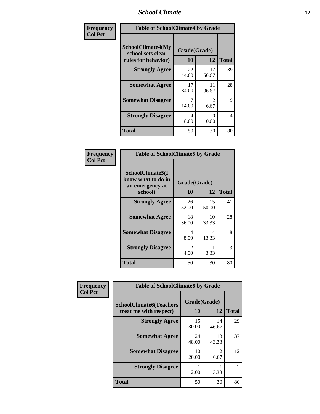### *School Climate* **12**

| Frequency      | <b>Table of SchoolClimate4 by Grade</b>                       |                    |                           |              |
|----------------|---------------------------------------------------------------|--------------------|---------------------------|--------------|
| <b>Col Pct</b> | SchoolClimate4(My<br>school sets clear<br>rules for behavior) | Grade(Grade)<br>10 | 12                        | <b>Total</b> |
|                | <b>Strongly Agree</b>                                         | 22<br>44.00        | 17<br>56.67               | 39           |
|                | <b>Somewhat Agree</b>                                         | 17<br>34.00        | 11<br>36.67               | 28           |
|                | <b>Somewhat Disagree</b>                                      | 7<br>14.00         | $\mathfrak{D}$<br>6.67    | 9            |
|                | <b>Strongly Disagree</b>                                      | 4<br>8.00          | $\mathbf{\Omega}$<br>0.00 | 4            |
|                | <b>Total</b>                                                  | 50                 | 30                        | 80           |

| <b>Table of SchoolClimate5 by Grade</b>                              |                    |              |    |  |
|----------------------------------------------------------------------|--------------------|--------------|----|--|
| SchoolClimate5(I<br>know what to do in<br>an emergency at<br>school) | Grade(Grade)<br>10 | <b>Total</b> |    |  |
| <b>Strongly Agree</b>                                                | 26<br>52.00        | 15<br>50.00  | 41 |  |
| <b>Somewhat Agree</b>                                                | 18<br>36.00        | 10<br>33.33  | 28 |  |
| <b>Somewhat Disagree</b>                                             | 4<br>8.00          | 4<br>13.33   | 8  |  |
| <b>Strongly Disagree</b>                                             | 2<br>4.00          | 3.33         | 3  |  |
| Total                                                                | 50                 | 30           | 80 |  |

| Frequency      | <b>Table of SchoolClimate6 by Grade</b>                  |                    |                        |              |
|----------------|----------------------------------------------------------|--------------------|------------------------|--------------|
| <b>Col Pct</b> | <b>SchoolClimate6(Teachers</b><br>treat me with respect) | Grade(Grade)<br>10 | 12                     | <b>Total</b> |
|                | <b>Strongly Agree</b>                                    | 15<br>30.00        | 14<br>46.67            | 29           |
|                | <b>Somewhat Agree</b>                                    | 24<br>48.00        | 13<br>43.33            | 37           |
|                | <b>Somewhat Disagree</b>                                 | 10<br>20.00        | $\mathfrak{D}$<br>6.67 | 12           |
|                | <b>Strongly Disagree</b>                                 | 2.00               | 3.33                   | 2            |
|                | <b>Total</b>                                             | 50                 | 30                     | 80           |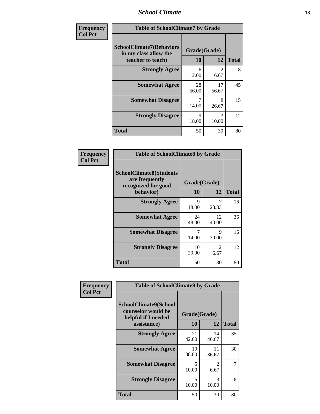### *School Climate* **13**

| Frequency      | <b>Table of SchoolClimate7 by Grade</b>                                       |                           |                        |              |
|----------------|-------------------------------------------------------------------------------|---------------------------|------------------------|--------------|
| <b>Col Pct</b> | <b>SchoolClimate7(Behaviors</b><br>in my class allow the<br>teacher to teach) | Grade(Grade)<br><b>10</b> | 12                     | <b>Total</b> |
|                | <b>Strongly Agree</b>                                                         | 6<br>12.00                | $\overline{2}$<br>6.67 | 8            |
|                | <b>Somewhat Agree</b>                                                         | 28<br>56.00               | 17<br>56.67            | 45           |
|                | <b>Somewhat Disagree</b>                                                      | $\overline{7}$<br>14.00   | 8<br>26.67             | 15           |
|                | <b>Strongly Disagree</b>                                                      | $\mathbf Q$<br>18.00      | 3<br>10.00             | 12           |
|                | <b>Total</b>                                                                  | 50                        | 30                     | 80           |

| Frequency      | <b>Table of SchoolClimate8 by Grade</b>                                              |                    |                        |              |
|----------------|--------------------------------------------------------------------------------------|--------------------|------------------------|--------------|
| <b>Col Pct</b> | <b>SchoolClimate8(Students</b><br>are frequently<br>recognized for good<br>behavior) | Grade(Grade)<br>10 | 12                     | <b>Total</b> |
|                | <b>Strongly Agree</b>                                                                | Q<br>18.00         | 23.33                  | 16           |
|                | <b>Somewhat Agree</b>                                                                | 24<br>48.00        | 12<br>40.00            | 36           |
|                | <b>Somewhat Disagree</b>                                                             | 14.00              | 9<br>30.00             | 16           |
|                | <b>Strongly Disagree</b>                                                             | 10<br>20.00        | $\mathfrak{D}$<br>6.67 | 12           |
|                | <b>Total</b>                                                                         | 50                 | 30                     | 80           |

| Frequency      | <b>Table of SchoolClimate9 by Grade</b>                                           |                                   |                        |              |
|----------------|-----------------------------------------------------------------------------------|-----------------------------------|------------------------|--------------|
| <b>Col Pct</b> | SchoolClimate9(School<br>counselor would be<br>helpful if I needed<br>assistance) | Grade(Grade)<br>10                | 12                     | <b>Total</b> |
|                | <b>Strongly Agree</b>                                                             | 21<br>42.00                       | 14<br>46.67            | 35           |
|                | <b>Somewhat Agree</b>                                                             | 19<br>38.00                       | 11<br>36.67            | 30           |
|                | <b>Somewhat Disagree</b>                                                          | $\overline{\mathcal{L}}$<br>10.00 | $\mathfrak{D}$<br>6.67 | 7            |
|                | <b>Strongly Disagree</b>                                                          | 5<br>10.00                        | 3<br>10.00             | 8            |
|                | Total                                                                             | 50                                | 30                     | 80           |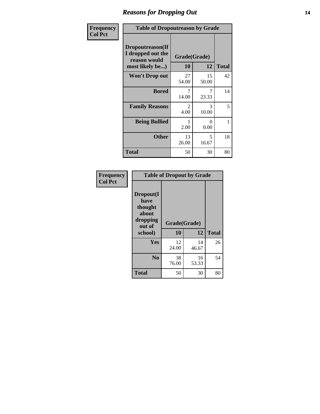### *Reasons for Dropping Out* **14**

| Frequency      | <b>Table of Dropoutreason by Grade</b>                                   |                        |                  |              |
|----------------|--------------------------------------------------------------------------|------------------------|------------------|--------------|
| <b>Col Pct</b> | Dropoutreason(If<br>I dropped out the<br>reason would<br>most likely be) | Grade(Grade)<br>10     | 12               | <b>Total</b> |
|                | Won't Drop out                                                           | 27<br>54.00            | 15<br>50.00      | 42           |
|                | <b>Bored</b>                                                             | 7<br>14.00             | 7<br>23.33       | 14           |
|                | <b>Family Reasons</b>                                                    | $\mathfrak{D}$<br>4.00 | 3<br>10.00       | 5            |
|                | <b>Being Bullied</b>                                                     | 2.00                   | $\Omega$<br>0.00 | 1            |
|                | <b>Other</b>                                                             | 13<br>26.00            | 5<br>16.67       | 18           |
|                | <b>Total</b>                                                             | 50                     | 30               | 80           |

| Frequency<br><b>Col Pct</b> | <b>Table of Dropout by Grade</b>                                       |                    |             |              |  |
|-----------------------------|------------------------------------------------------------------------|--------------------|-------------|--------------|--|
|                             | Dropout(I<br>have<br>thought<br>about<br>dropping<br>out of<br>school) | Grade(Grade)<br>10 | 12          | <b>Total</b> |  |
|                             | Yes                                                                    | 12<br>24.00        | 14<br>46.67 | 26           |  |
|                             | N <sub>0</sub>                                                         | 38<br>76.00        | 16<br>53.33 | 54           |  |
|                             | <b>Total</b>                                                           | 50                 | 30          | 80           |  |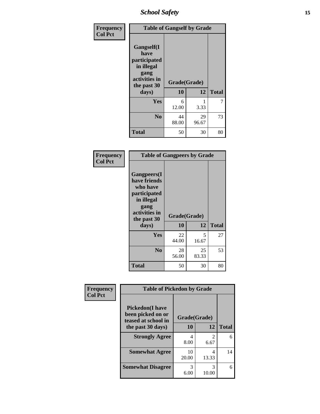*School Safety* **15**

| Frequency      | <b>Table of Gangself by Grade</b>                                                                 |                    |             |              |
|----------------|---------------------------------------------------------------------------------------------------|--------------------|-------------|--------------|
| <b>Col Pct</b> | Gangself(I<br>have<br>participated<br>in illegal<br>gang<br>activities in<br>the past 30<br>days) | Grade(Grade)<br>10 | 12          | <b>Total</b> |
|                | Yes                                                                                               | 6<br>12.00         | 1<br>3.33   | 7            |
|                | N <sub>0</sub>                                                                                    | 44<br>88.00        | 29<br>96.67 | 73           |
|                | <b>Total</b>                                                                                      | 50                 | 30          | 80           |

| Frequency<br><b>Col Pct</b> | <b>Table of Gangpeers by Grade</b>                                                                                             |                    |             |              |
|-----------------------------|--------------------------------------------------------------------------------------------------------------------------------|--------------------|-------------|--------------|
|                             | <b>Gangpeers</b> (I<br>have friends<br>who have<br>participated<br>in illegal<br>gang<br>activities in<br>the past 30<br>days) | Grade(Grade)<br>10 | 12          | <b>Total</b> |
|                             | <b>Yes</b>                                                                                                                     | 22<br>44.00        | 5<br>16.67  | 27           |
|                             | N <sub>0</sub>                                                                                                                 | 28<br>56.00        | 25<br>83.33 | 53           |
|                             | <b>Total</b>                                                                                                                   | 50                 | 30          | 80           |

| Frequency      | <b>Table of Pickedon by Grade</b>                                   |              |                        |              |
|----------------|---------------------------------------------------------------------|--------------|------------------------|--------------|
| <b>Col Pct</b> | <b>Pickedon</b> (I have<br>been picked on or<br>teased at school in | Grade(Grade) |                        |              |
|                | the past 30 days)                                                   | 10           | 12                     | <b>Total</b> |
|                | <b>Strongly Agree</b>                                               | 4<br>8.00    | $\mathfrak{D}$<br>6.67 | 6            |
|                | <b>Somewhat Agree</b>                                               | 10<br>20.00  | 4<br>13.33             | 14           |
|                | <b>Somewhat Disagree</b>                                            | 3<br>6.00    | 3<br>10.00             | 6            |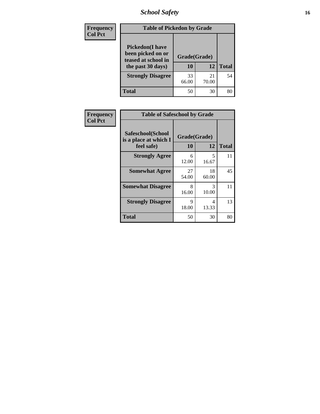### *School Safety* **16**

| <b>Frequency</b> | <b>Table of Pickedon by Grade</b>                                                        |                    |             |              |  |  |  |
|------------------|------------------------------------------------------------------------------------------|--------------------|-------------|--------------|--|--|--|
| <b>Col Pct</b>   | <b>Pickedon</b> (I have<br>been picked on or<br>teased at school in<br>the past 30 days) | Grade(Grade)<br>10 | 12          | <b>Total</b> |  |  |  |
|                  | <b>Strongly Disagree</b>                                                                 | 33<br>66.00        | 21<br>70.00 | 54           |  |  |  |
|                  | Total                                                                                    | 50                 | 30          |              |  |  |  |

| Frequency      | <b>Table of Safeschool by Grade</b>                      |                    |             |              |  |  |  |
|----------------|----------------------------------------------------------|--------------------|-------------|--------------|--|--|--|
| <b>Col Pct</b> | Safeschool(School<br>is a place at which I<br>feel safe) | Grade(Grade)<br>10 | 12          | <b>Total</b> |  |  |  |
|                | <b>Strongly Agree</b>                                    | 6<br>12.00         | 5<br>16.67  | 11           |  |  |  |
|                | <b>Somewhat Agree</b>                                    | 27<br>54.00        | 18<br>60.00 | 45           |  |  |  |
|                | <b>Somewhat Disagree</b>                                 | 8<br>16.00         | 3<br>10.00  | 11           |  |  |  |
|                | <b>Strongly Disagree</b>                                 | 9<br>18.00         | 4<br>13.33  | 13           |  |  |  |
|                | <b>Total</b>                                             | 50                 | 30          | 80           |  |  |  |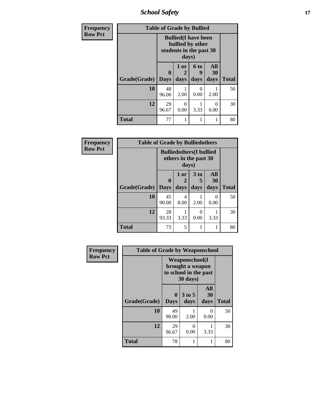*School Safety* **17**

| Frequency      | <b>Table of Grade by Bullied</b> |                                                                            |                   |                              |                   |              |  |  |
|----------------|----------------------------------|----------------------------------------------------------------------------|-------------------|------------------------------|-------------------|--------------|--|--|
| <b>Row Pct</b> |                                  | <b>Bullied</b> (I have been<br>bullied by other<br>students in the past 30 |                   |                              |                   |              |  |  |
|                | Grade(Grade)                     | 0<br><b>Days</b>                                                           | 1 or<br>2<br>days | 6 <sub>to</sub><br>9<br>days | All<br>30<br>days | <b>Total</b> |  |  |
|                | 10                               | 48<br>96.00                                                                | 2.00              | $\left( \right)$<br>0.00     | 2.00              | 50           |  |  |
|                | 12                               | 29<br>96.67                                                                | $\Omega$<br>0.00  | 3.33                         | 0<br>0.00         | 30           |  |  |
|                | <b>Total</b>                     | 77                                                                         | 1                 | 1                            | 1                 | 80           |  |  |

| Frequency      | <b>Table of Grade by Bulliedothers</b> |                                                          |              |                         |                   |              |  |  |
|----------------|----------------------------------------|----------------------------------------------------------|--------------|-------------------------|-------------------|--------------|--|--|
| <b>Row Pct</b> |                                        | <b>Bulliedothers</b> (I bullied<br>others in the past 30 |              |                         |                   |              |  |  |
|                | Grade(Grade)                           | $\mathbf 0$<br><b>Days</b>                               | 1 or<br>days | 3 <sub>to</sub><br>days | All<br>30<br>days | <b>Total</b> |  |  |
|                | 10                                     | 45<br>90.00                                              | 4<br>8.00    | 2.00                    | $\Omega$<br>0.00  | 50           |  |  |
|                | 12                                     | 28<br>93.33                                              | 3.33         | 0<br>0.00               | 3.33              | 30           |  |  |
|                | <b>Total</b>                           | 73                                                       | 5            |                         |                   | 80           |  |  |

| Frequency      | <b>Table of Grade by Weaponschool</b> |                                                                                 |                  |                   |              |  |  |  |  |
|----------------|---------------------------------------|---------------------------------------------------------------------------------|------------------|-------------------|--------------|--|--|--|--|
| <b>Row Pct</b> |                                       | <b>Weaponschool</b> (I<br>brought a weapon<br>to school in the past<br>30 days) |                  |                   |              |  |  |  |  |
|                | Grade(Grade)                          | $\bf{0}$<br><b>Days</b>                                                         | $3$ to 5<br>days | All<br>30<br>days | <b>Total</b> |  |  |  |  |
|                | 10                                    | 49<br>98.00                                                                     | 2.00             | $\Omega$<br>0.00  | 50           |  |  |  |  |
|                | 12                                    | 29<br>96.67                                                                     | 0<br>0.00        | 3.33              | 30           |  |  |  |  |
|                | <b>Total</b>                          | 78                                                                              | 1                |                   | 80           |  |  |  |  |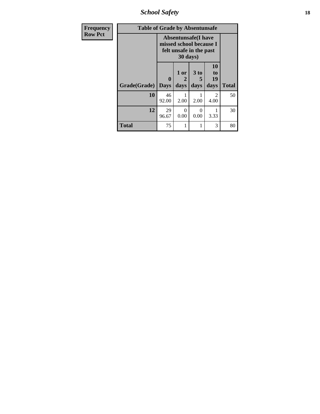*School Safety* **18**

| <b>Frequency</b> | <b>Table of Grade by Absentunsafe</b> |                  |                   |                                                                                  |                               |              |  |
|------------------|---------------------------------------|------------------|-------------------|----------------------------------------------------------------------------------|-------------------------------|--------------|--|
| <b>Row Pct</b>   |                                       |                  | 30 days)          | <b>Absentunsafe(I have</b><br>missed school because I<br>felt unsafe in the past |                               |              |  |
|                  | Grade(Grade)                          | 0<br><b>Days</b> | 1 or<br>2<br>days | 3 <sub>to</sub><br>5<br>days                                                     | <b>10</b><br>to<br>19<br>days | <b>Total</b> |  |
|                  | 10                                    | 46<br>92.00      | 2.00              | 2.00                                                                             | 2<br>4.00                     | 50           |  |
|                  | 12                                    | 29<br>96.67      | 0<br>0.00         | 0<br>0.00                                                                        | 3.33                          | 30           |  |
|                  | <b>Total</b>                          | 75               | 1                 | 1                                                                                | 3                             | 80           |  |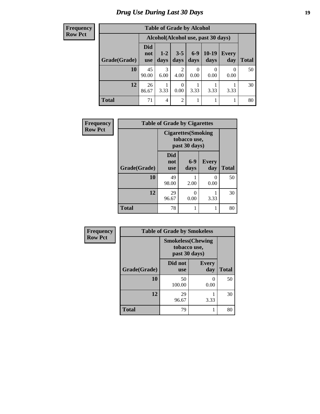### *Drug Use During Last 30 Days* **19**

**Frequency Row Pct**

| <b>Table of Grade by Alcohol</b> |                   |                                     |                 |               |               |                     |              |  |
|----------------------------------|-------------------|-------------------------------------|-----------------|---------------|---------------|---------------------|--------------|--|
|                                  |                   | Alcohol (Alcohol use, past 30 days) |                 |               |               |                     |              |  |
| Grade(Grade)                     | Did<br>not<br>use | $1 - 2$<br>days                     | $3 - 5$<br>days | $6-9$<br>days | 10-19<br>days | <b>Every</b><br>day | <b>Total</b> |  |
| 10                               | 45<br>90.00       | 3<br>6.00                           | 2<br>4.00       | 0<br>0.00     | 0<br>0.00     | 0.00                | 50           |  |
| 12                               | 26<br>86.67       | 3.33                                | 0.00            | 3.33          | 3.33          | 3.33                | 30           |  |
| <b>Total</b>                     | 71                | 4                                   | $\overline{2}$  |               |               |                     | 80           |  |

| Frequency      | <b>Table of Grade by Cigarettes</b> |                                                             |                       |                     |              |  |  |  |
|----------------|-------------------------------------|-------------------------------------------------------------|-----------------------|---------------------|--------------|--|--|--|
| <b>Row Pct</b> |                                     | <b>Cigarettes</b> (Smoking<br>tobacco use,<br>past 30 days) |                       |                     |              |  |  |  |
|                | Grade(Grade)                        | Did<br>not<br><b>use</b>                                    | $6-9$<br>days         | <b>Every</b><br>day | <b>Total</b> |  |  |  |
|                | 10                                  | 49<br>98.00                                                 | 2.00                  | 0<br>0.00           | 50           |  |  |  |
|                | 12                                  | 29<br>96.67                                                 | $\mathcal{O}$<br>0.00 | 3.33                | 30           |  |  |  |
|                | <b>Total</b>                        | 78                                                          | 1                     | 1                   | 80           |  |  |  |

| <b>Frequency</b> |
|------------------|
| <b>Row Pct</b>   |

| <b>Table of Grade by Smokeless</b> |                                                            |                     |              |  |  |  |  |
|------------------------------------|------------------------------------------------------------|---------------------|--------------|--|--|--|--|
|                                    | <b>Smokeless</b> (Chewing<br>tobacco use,<br>past 30 days) |                     |              |  |  |  |  |
| Grade(Grade)                       | Did not<br><b>use</b>                                      | <b>Every</b><br>day | <b>Total</b> |  |  |  |  |
| 10                                 | 50<br>100.00                                               | 0.00                | 50           |  |  |  |  |
| 12                                 | 29<br>96.67                                                | 3.33                | 30           |  |  |  |  |
| Total                              | 79                                                         |                     | 80           |  |  |  |  |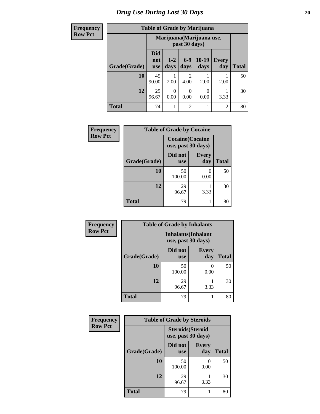### *Drug Use During Last 30 Days* 20

Г ٦

## **Table of Grade by Marijuana**

| Frequency      |              |                                            |                 |                  | <b>Table of Grade by Marijuana</b> |                     |              |
|----------------|--------------|--------------------------------------------|-----------------|------------------|------------------------------------|---------------------|--------------|
| <b>Row Pct</b> |              | Marijuana (Marijuana use,<br>past 30 days) |                 |                  |                                    |                     |              |
|                | Grade(Grade) | <b>Did</b><br>not<br><b>use</b>            | $1 - 2$<br>days | $6-9$<br>days    | $10-19$<br>days                    | <b>Every</b><br>day | <b>Total</b> |
|                | 10           | 45<br>90.00                                | 2.00            | 2<br>4.00        | 2.00                               | 2.00                | 50           |
|                | 12           | 29<br>96.67                                | 0.00            | $\Omega$<br>0.00 | 0<br>0.00                          | 3.33                | 30           |
|                | <b>Total</b> | 74                                         |                 | $\overline{2}$   |                                    | 2                   | 80           |

| Frequency      |              | <b>Table of Grade by Cocaine</b>              |              |              |
|----------------|--------------|-----------------------------------------------|--------------|--------------|
| <b>Row Pct</b> |              | <b>Cocaine</b> (Cocaine<br>use, past 30 days) |              |              |
|                | Grade(Grade) | Did not<br><b>use</b>                         | Every<br>day | <b>Total</b> |
|                | 10           | 50<br>100.00                                  | 0.00         | 50           |
|                | 12           | 29<br>96.67                                   | 3.33         | 30           |
|                | <b>Total</b> | 79                                            |              | 80           |

| Frequency      | <b>Table of Grade by Inhalants</b> |                                                  |                     |              |
|----------------|------------------------------------|--------------------------------------------------|---------------------|--------------|
| <b>Row Pct</b> |                                    | <b>Inhalants</b> (Inhalant<br>use, past 30 days) |                     |              |
|                | Grade(Grade)                       | Did not<br><b>use</b>                            | <b>Every</b><br>day | <b>Total</b> |
|                | 10                                 | 50<br>100.00                                     | 0<br>0.00           | 50           |
|                | 12                                 | 29<br>96.67                                      | 3.33                | 30           |
|                | <b>Total</b>                       | 79                                               |                     | 80           |

| Frequency      | <b>Table of Grade by Steroids</b> |                                                |                     |              |
|----------------|-----------------------------------|------------------------------------------------|---------------------|--------------|
| <b>Row Pct</b> |                                   | <b>Steroids</b> (Steroid<br>use, past 30 days) |                     |              |
|                | Grade(Grade)                      | Did not<br><b>use</b>                          | <b>Every</b><br>day | <b>Total</b> |
|                | 10                                | 50<br>100.00                                   | $\theta$<br>0.00    | 50           |
|                | 12                                | 29<br>96.67                                    | 3.33                | 30           |
|                | <b>Total</b>                      | 79                                             |                     | 80           |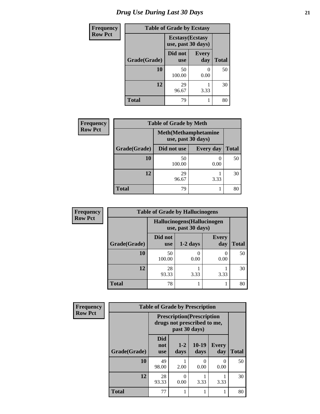### *Drug Use During Last 30 Days* **21**

| <b>Frequency</b> | <b>Table of Grade by Ecstasy</b> |                                               |                       |              |
|------------------|----------------------------------|-----------------------------------------------|-----------------------|--------------|
| <b>Row Pct</b>   |                                  | <b>Ecstasy</b> (Ecstasy<br>use, past 30 days) |                       |              |
|                  | Grade(Grade)                     | Did not<br><b>use</b>                         | <b>Every</b><br>day   | <b>Total</b> |
|                  | 10                               | 50<br>100.00                                  | $\mathcal{O}$<br>0.00 | 50           |
|                  | 12                               | 29<br>96.67                                   | 3.33                  | 30           |
|                  | <b>Total</b>                     | 79                                            |                       | 80           |

| <b>Frequency</b> | <b>Table of Grade by Meth</b> |                                                    |                  |              |  |
|------------------|-------------------------------|----------------------------------------------------|------------------|--------------|--|
| <b>Row Pct</b>   |                               | <b>Meth</b> (Methamphetamine<br>use, past 30 days) |                  |              |  |
|                  | Grade(Grade)                  | Did not use                                        | <b>Every day</b> | <b>Total</b> |  |
|                  | 10                            | 50<br>100.00                                       | 0.00             | 50           |  |
|                  | 12                            | 29<br>96.67                                        | 3.33             | 30           |  |
|                  | <b>Total</b>                  | 79                                                 |                  | 80           |  |

| <b>Frequency</b> | <b>Table of Grade by Hallucinogens</b> |                       |                                                   |                     |              |  |  |
|------------------|----------------------------------------|-----------------------|---------------------------------------------------|---------------------|--------------|--|--|
| <b>Row Pct</b>   |                                        |                       | Hallucinogens (Hallucinogen<br>use, past 30 days) |                     |              |  |  |
|                  | Grade(Grade)                           | Did not<br><b>use</b> | $1-2$ days                                        | <b>Every</b><br>day | <b>Total</b> |  |  |
|                  | 10                                     | 50<br>100.00          | 0.00                                              | 0<br>0.00           | 50           |  |  |
|                  | 12                                     | 28<br>93.33           | 3.33                                              | 3.33                | 30           |  |  |
|                  | <b>Total</b>                           | 78                    |                                                   |                     | 80           |  |  |

| Frequency      | <b>Table of Grade by Prescription</b> |                                                                                   |               |                   |                     |       |
|----------------|---------------------------------------|-----------------------------------------------------------------------------------|---------------|-------------------|---------------------|-------|
| <b>Row Pct</b> |                                       | <b>Prescription</b> (Prescription<br>drugs not prescribed to me,<br>past 30 days) |               |                   |                     |       |
|                | Grade(Grade)                          | <b>Did</b><br>not<br><b>use</b>                                                   | $1-2$<br>days | $10 - 19$<br>days | <b>Every</b><br>day | Total |
|                | 10                                    | 49<br>98.00                                                                       | 2.00          | 0<br>0.00         | $\Omega$<br>0.00    | 50    |
|                | 12                                    | 28<br>93.33                                                                       | 0<br>0.00     | 3.33              | 3.33                | 30    |
|                | <b>Total</b>                          | 77                                                                                |               |                   |                     | 80    |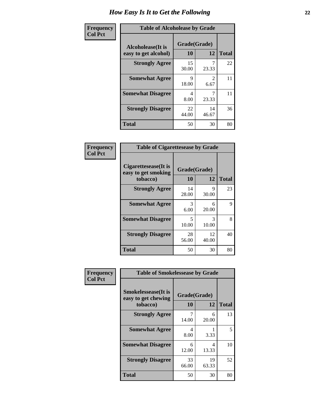| Frequency      | <b>Table of Alcoholease by Grade</b>              |                    |             |              |
|----------------|---------------------------------------------------|--------------------|-------------|--------------|
| <b>Col Pct</b> | <b>Alcoholease</b> (It is<br>easy to get alcohol) | Grade(Grade)<br>10 | 12          | <b>Total</b> |
|                | <b>Strongly Agree</b>                             | 15<br>30.00        | 23.33       | 22           |
|                | <b>Somewhat Agree</b>                             | 9<br>18.00         | 2<br>6.67   | 11           |
|                | <b>Somewhat Disagree</b>                          | 4<br>8.00          | 23.33       | 11           |
|                | <b>Strongly Disagree</b>                          | 22<br>44.00        | 14<br>46.67 | 36           |
|                | <b>Total</b>                                      | 50                 | 30          | 80           |

| Frequency<br>Col Pct |
|----------------------|

| <b>Table of Cigarettesease by Grade</b>                  |                    |             |              |  |  |
|----------------------------------------------------------|--------------------|-------------|--------------|--|--|
| Cigarettesease (It is<br>easy to get smoking<br>tobacco) | Grade(Grade)<br>10 | 12          | <b>Total</b> |  |  |
| <b>Strongly Agree</b>                                    | 14<br>28.00        | 9<br>30.00  | 23           |  |  |
| <b>Somewhat Agree</b>                                    | 3<br>6.00          | 6<br>20.00  | 9            |  |  |
| <b>Somewhat Disagree</b>                                 | 5<br>10.00         | 3<br>10.00  | 8            |  |  |
| <b>Strongly Disagree</b>                                 | 28<br>56.00        | 12<br>40.00 | 40           |  |  |
| Total                                                    | 50                 | 30          | 80           |  |  |

| Frequency      | <b>Table of Smokelessease by Grade</b>             |              |             |              |  |
|----------------|----------------------------------------------------|--------------|-------------|--------------|--|
| <b>Col Pct</b> | <b>Smokelessease</b> (It is<br>easy to get chewing | Grade(Grade) |             |              |  |
|                | tobacco)                                           | 10           | 12          | <b>Total</b> |  |
|                | <b>Strongly Agree</b>                              | 14.00        | 6<br>20.00  | 13           |  |
|                | <b>Somewhat Agree</b>                              | 4<br>8.00    | 3.33        | 5            |  |
|                | <b>Somewhat Disagree</b>                           | 6<br>12.00   | 4<br>13.33  | 10           |  |
|                | <b>Strongly Disagree</b>                           | 33<br>66.00  | 19<br>63.33 | 52           |  |
|                | <b>Total</b>                                       | 50           | 30          | 80           |  |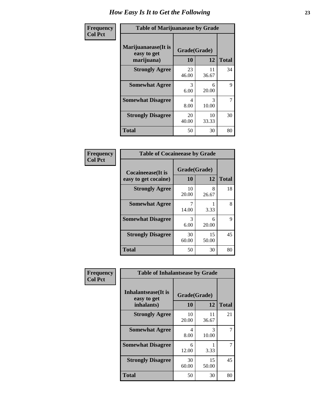| Frequency      | <b>Table of Marijuanaease by Grade</b>           |                    |             |              |
|----------------|--------------------------------------------------|--------------------|-------------|--------------|
| <b>Col Pct</b> | Marijuanaease(It is<br>easy to get<br>marijuana) | Grade(Grade)<br>10 | 12          | <b>Total</b> |
|                | <b>Strongly Agree</b>                            | 23<br>46.00        | 11<br>36.67 | 34           |
|                | <b>Somewhat Agree</b>                            | 3<br>6.00          | 6<br>20.00  | 9            |
|                | <b>Somewhat Disagree</b>                         | 4<br>8.00          | 3<br>10.00  | 7            |
|                | <b>Strongly Disagree</b>                         | 20<br>40.00        | 10<br>33.33 | 30           |
|                | <b>Total</b>                                     | 50                 | 30          | 80           |

| <b>Table of Cocaineease by Grade</b> |              |             |              |  |  |
|--------------------------------------|--------------|-------------|--------------|--|--|
| <b>Cocaineease</b> (It is            | Grade(Grade) |             |              |  |  |
| easy to get cocaine)                 | 10           | 12          | <b>Total</b> |  |  |
| <b>Strongly Agree</b>                | 10<br>20.00  | 8<br>26.67  | 18           |  |  |
| <b>Somewhat Agree</b>                | 14.00        | 3.33        | 8            |  |  |
| <b>Somewhat Disagree</b>             | 3<br>6.00    | 6<br>20.00  | 9            |  |  |
| <b>Strongly Disagree</b>             | 30<br>60.00  | 15<br>50.00 | 45           |  |  |
| <b>Total</b>                         | 50           | 30          | 80           |  |  |

| Frequency      | <b>Table of Inhalantsease by Grade</b>                   |                    |             |              |  |  |  |
|----------------|----------------------------------------------------------|--------------------|-------------|--------------|--|--|--|
| <b>Col Pct</b> | <b>Inhalantsease</b> (It is<br>easy to get<br>inhalants) | Grade(Grade)<br>10 | 12          | <b>Total</b> |  |  |  |
|                | <b>Strongly Agree</b>                                    | 10<br>20.00        | 11<br>36.67 | 21           |  |  |  |
|                | <b>Somewhat Agree</b>                                    | 4<br>8.00          | 3<br>10.00  |              |  |  |  |
|                | <b>Somewhat Disagree</b>                                 | 6<br>12.00         | 3.33        |              |  |  |  |
|                | <b>Strongly Disagree</b>                                 | 30<br>60.00        | 15<br>50.00 | 45           |  |  |  |
|                | <b>Total</b>                                             | 50                 | 30          | 80           |  |  |  |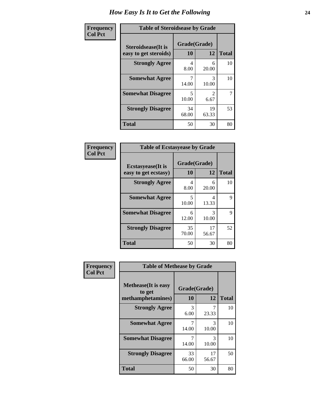| Frequency      | <b>Table of Steroidsease by Grade</b>               |                                   |                                     |              |  |  |
|----------------|-----------------------------------------------------|-----------------------------------|-------------------------------------|--------------|--|--|
| <b>Col Pct</b> | <b>Steroidsease</b> (It is<br>easy to get steroids) | Grade(Grade)<br>10<br>12          |                                     | <b>Total</b> |  |  |
|                | <b>Strongly Agree</b>                               | 4<br>8.00                         | 6<br>20.00                          | 10           |  |  |
|                | <b>Somewhat Agree</b>                               | 7<br>14.00                        | 3<br>10.00                          | 10           |  |  |
|                | <b>Somewhat Disagree</b>                            | $\overline{\phantom{0}}$<br>10.00 | $\mathcal{D}_{\mathcal{L}}$<br>6.67 | 7            |  |  |
|                | <b>Strongly Disagree</b>                            | 34<br>68.00                       | 19<br>63.33                         | 53           |  |  |
|                | Total                                               | 50                                | 30                                  | 80           |  |  |

| Frequency      | <b>Table of Ecstasyease by Grade</b>              |                                   |             |              |  |  |  |
|----------------|---------------------------------------------------|-----------------------------------|-------------|--------------|--|--|--|
| <b>Col Pct</b> | <b>Ecstasyease</b> (It is<br>easy to get ecstasy) | Grade(Grade)<br>10                | 12          | <b>Total</b> |  |  |  |
|                | <b>Strongly Agree</b>                             | 4<br>8.00                         | 6<br>20.00  | 10           |  |  |  |
|                | <b>Somewhat Agree</b>                             | $\overline{\phantom{0}}$<br>10.00 | 4<br>13.33  | $\mathbf Q$  |  |  |  |
|                | <b>Somewhat Disagree</b>                          | 6<br>12.00                        | 3<br>10.00  | 9            |  |  |  |
|                | <b>Strongly Disagree</b>                          | 35<br>70.00                       | 17<br>56.67 | 52           |  |  |  |
|                | <b>Total</b>                                      | 50                                | 30          | 80           |  |  |  |

| Frequency      | <b>Table of Methease by Grade</b>                          |                    |             |              |  |  |
|----------------|------------------------------------------------------------|--------------------|-------------|--------------|--|--|
| <b>Col Pct</b> | <b>Methease</b> (It is easy<br>to get<br>methamphetamines) | Grade(Grade)<br>10 | 12          | <b>Total</b> |  |  |
|                | <b>Strongly Agree</b>                                      | 3<br>6.00          | 7<br>23.33  | 10           |  |  |
|                | <b>Somewhat Agree</b>                                      | 14.00              | 3<br>10.00  | 10           |  |  |
|                | <b>Somewhat Disagree</b>                                   | 14.00              | 3<br>10.00  | 10           |  |  |
|                | <b>Strongly Disagree</b>                                   | 33<br>66.00        | 17<br>56.67 | 50           |  |  |
|                | <b>Total</b>                                               | 50                 | 30          | 80           |  |  |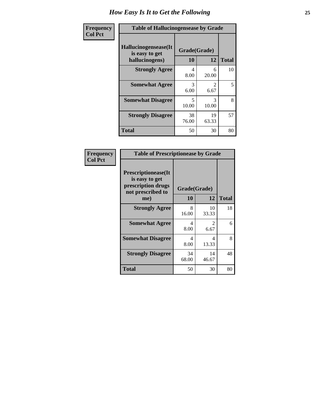| <b>Frequency</b> | <b>Table of Hallucinogensease by Grade</b>               |                                   |                        |              |  |  |  |
|------------------|----------------------------------------------------------|-----------------------------------|------------------------|--------------|--|--|--|
| <b>Col Pct</b>   | Hallucinogensease(It<br>is easy to get<br>hallucinogens) | Grade(Grade)<br>10                | 12                     | <b>Total</b> |  |  |  |
|                  | <b>Strongly Agree</b>                                    | 4<br>8.00                         | 6<br>20.00             | 10           |  |  |  |
|                  | <b>Somewhat Agree</b>                                    | 3<br>6.00                         | $\mathcal{L}$<br>6.67  | 5            |  |  |  |
|                  | <b>Somewhat Disagree</b>                                 | $\overline{\mathcal{L}}$<br>10.00 | $\mathcal{R}$<br>10.00 | 8            |  |  |  |
|                  | <b>Strongly Disagree</b>                                 | 38<br>76.00                       | 19<br>63.33            | 57           |  |  |  |
|                  | <b>Total</b>                                             | 50                                | 30                     | 80           |  |  |  |

| Frequency<br>  Col Pct |
|------------------------|

| <b>Table of Prescriptionease by Grade</b>                                                |              |                        |              |  |  |
|------------------------------------------------------------------------------------------|--------------|------------------------|--------------|--|--|
| <b>Prescriptionease</b> (It<br>is easy to get<br>prescription drugs<br>not prescribed to | Grade(Grade) |                        |              |  |  |
| me)                                                                                      | 10           | 12                     | <b>Total</b> |  |  |
| <b>Strongly Agree</b>                                                                    | 8<br>16.00   | 10<br>33.33            | 18           |  |  |
| <b>Somewhat Agree</b>                                                                    | 4<br>8.00    | $\mathfrak{D}$<br>6.67 | 6            |  |  |
| <b>Somewhat Disagree</b>                                                                 | 4<br>8.00    | Δ<br>13.33             | 8            |  |  |
| <b>Strongly Disagree</b>                                                                 | 34<br>68.00  | 14<br>46.67            | 48           |  |  |
| <b>Total</b>                                                                             | 50           | 30                     | 80           |  |  |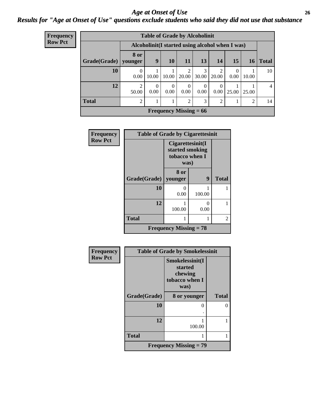#### *Age at Onset of Use* **26** *Results for "Age at Onset of Use" questions exclude students who said they did not use that substance*

| <b>Frequency</b> | <b>Table of Grade by Alcoholinit</b> |                                                  |                  |                  |                            |                  |                  |                  |                 |                |
|------------------|--------------------------------------|--------------------------------------------------|------------------|------------------|----------------------------|------------------|------------------|------------------|-----------------|----------------|
| <b>Row Pct</b>   |                                      | Alcoholinit (I started using alcohol when I was) |                  |                  |                            |                  |                  |                  |                 |                |
|                  | Grade(Grade)                         | 8 or<br>younger                                  | 9                | 10               | 11                         | 13               | 14               | 15               | 16 <sup>1</sup> | <b>Total</b>   |
|                  | 10                                   | $\theta$<br>0.00                                 | 10.00            | 10.00            | $\mathfrak{D}$<br>20.00    | 3<br>30.00       | ↑<br>20.00       | $\Omega$<br>0.00 | 10.00           | 10             |
|                  | 12                                   | 2<br>50.00                                       | $\Omega$<br>0.00 | $\Omega$<br>0.00 | $\theta$<br>$0.00^{\circ}$ | $\theta$<br>0.00 | $\Omega$<br>0.00 | 25.00            | 25.00           | $\overline{4}$ |
|                  | <b>Total</b>                         | $\mathfrak{D}$                                   |                  |                  | $\mathfrak{D}$             | 3                | $\overline{2}$   |                  | $\overline{2}$  | 14             |
|                  |                                      |                                                  |                  |                  | Frequency Missing $= 66$   |                  |                  |                  |                 |                |

| Frequency      | <b>Table of Grade by Cigarettesinit</b> |                                                               |           |              |
|----------------|-----------------------------------------|---------------------------------------------------------------|-----------|--------------|
| <b>Row Pct</b> |                                         | Cigarettesinit(I<br>started smoking<br>tobacco when I<br>was) |           |              |
|                | Grade(Grade)                            | 8 or<br>younger                                               | 9         | <b>Total</b> |
|                | 10                                      | $\mathbf{\Omega}$<br>0.00                                     | 100.00    |              |
|                | 12                                      | 100.00                                                        | 0<br>0.00 |              |
|                | <b>Total</b>                            |                                                               | 1         | 2            |
|                |                                         | Frequency Missing $= 78$                                      |           |              |

| Frequency      |              | <b>Table of Grade by Smokelessinit</b>                          |              |
|----------------|--------------|-----------------------------------------------------------------|--------------|
| <b>Row Pct</b> |              | Smokelessinit(I<br>started<br>chewing<br>tobacco when I<br>was) |              |
|                | Grade(Grade) | 8 or younger                                                    | <b>Total</b> |
|                | 10           |                                                                 | 0            |
|                | 12           | 100.00                                                          |              |
|                | <b>Total</b> |                                                                 |              |
|                |              | <b>Frequency Missing = 79</b>                                   |              |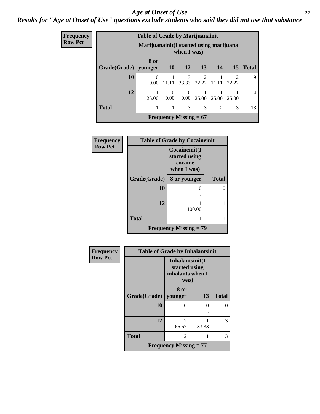#### *Age at Onset of Use* **27**

### *Results for "Age at Onset of Use" questions exclude students who said they did not use that substance*

| Frequency      | <b>Table of Grade by Marijuanainit</b> |                                                         |                  |                          |                         |                |            |                |
|----------------|----------------------------------------|---------------------------------------------------------|------------------|--------------------------|-------------------------|----------------|------------|----------------|
| <b>Row Pct</b> |                                        | Marijuanainit (I started using marijuana<br>when I was) |                  |                          |                         |                |            |                |
|                | Grade(Grade)   younger                 | 8 or                                                    | <b>10</b>        | 12                       | 13                      | 14             | <b>15</b>  | <b>Total</b>   |
|                | 10                                     | $\Omega$<br>0.00                                        | 11.11            | 3<br>33.33               | $\mathfrak{D}$<br>22.22 | 11.11          | 2<br>22.22 | 9              |
|                | 12                                     | 25.00                                                   | $\theta$<br>0.00 | $\theta$<br>0.00         | 25.00                   | 25.00          | 25.00      | $\overline{4}$ |
|                | <b>Total</b>                           |                                                         | 1                | 3                        | 3                       | $\overline{2}$ | 3          | 13             |
|                |                                        |                                                         |                  | Frequency Missing $= 67$ |                         |                |            |                |

| <b>Frequency</b> | <b>Table of Grade by Cocaineinit</b> |                                                          |              |  |  |  |
|------------------|--------------------------------------|----------------------------------------------------------|--------------|--|--|--|
| <b>Row Pct</b>   |                                      | Cocaineinit(I<br>started using<br>cocaine<br>when I was) |              |  |  |  |
|                  | Grade(Grade)                         | 8 or younger                                             | <b>Total</b> |  |  |  |
|                  | 10                                   | 0                                                        | 0            |  |  |  |
|                  | 12                                   | 100.00                                                   |              |  |  |  |
|                  | <b>Total</b>                         |                                                          |              |  |  |  |
|                  | <b>Frequency Missing = 79</b>        |                                                          |              |  |  |  |

| Frequency      | <b>Table of Grade by Inhalantsinit</b> |                                                              |       |              |
|----------------|----------------------------------------|--------------------------------------------------------------|-------|--------------|
| <b>Row Pct</b> |                                        | Inhalantsinit(I<br>started using<br>inhalants when I<br>was) |       |              |
|                | Grade(Grade)   younger                 | 8 or                                                         | 13    | <b>Total</b> |
|                | 10                                     | 0                                                            | 0     | $\Omega$     |
|                |                                        |                                                              |       |              |
|                | 12                                     | $\mathfrak{D}$<br>66.67                                      | 33.33 | 3            |
|                | <b>Total</b>                           | $\mathfrak{D}$                                               |       | 3            |
|                |                                        | <b>Frequency Missing = 77</b>                                |       |              |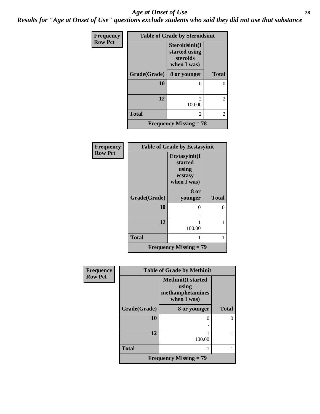#### *Age at Onset of Use* **28**

*Results for "Age at Onset of Use" questions exclude students who said they did not use that substance*

| Frequency      | <b>Table of Grade by Steroidsinit</b> |                                                            |                |  |  |
|----------------|---------------------------------------|------------------------------------------------------------|----------------|--|--|
| <b>Row Pct</b> |                                       | Steroidsinit(I<br>started using<br>steroids<br>when I was) |                |  |  |
|                | Grade(Grade)                          | 8 or younger                                               | <b>Total</b>   |  |  |
|                | 10                                    | 0                                                          | 0              |  |  |
|                |                                       |                                                            |                |  |  |
|                | 12                                    | $\mathfrak{D}$<br>100.00                                   | $\overline{2}$ |  |  |
|                | <b>Total</b>                          | 2                                                          | 2              |  |  |
|                |                                       | <b>Frequency Missing = 78</b>                              |                |  |  |

| Frequency      | <b>Table of Grade by Ecstasyinit</b> |                                                             |              |  |  |
|----------------|--------------------------------------|-------------------------------------------------------------|--------------|--|--|
| <b>Row Pct</b> |                                      | Ecstasyinit(I<br>started<br>using<br>ecstasy<br>when I was) |              |  |  |
|                | Grade(Grade)                         | 8 or<br>younger                                             | <b>Total</b> |  |  |
|                | 10                                   | $\mathbf{\Omega}$                                           | 0            |  |  |
|                | 12                                   | 100.00                                                      |              |  |  |
|                | <b>Total</b>                         |                                                             | 1            |  |  |
|                |                                      | <b>Frequency Missing <math>= 79</math></b>                  |              |  |  |

| <b>Frequency</b> | <b>Table of Grade by Methinit</b> |                                                                       |              |  |
|------------------|-----------------------------------|-----------------------------------------------------------------------|--------------|--|
| <b>Row Pct</b>   |                                   | <b>Methinit(I started</b><br>using<br>methamphetamines<br>when I was) |              |  |
|                  | Grade(Grade)                      | 8 or younger                                                          | <b>Total</b> |  |
|                  | 10                                | $\mathbf{\Omega}$                                                     |              |  |
|                  | 12                                | 100.00                                                                |              |  |
|                  | <b>Total</b>                      |                                                                       |              |  |
|                  |                                   | <b>Frequency Missing <math>= 79</math></b>                            |              |  |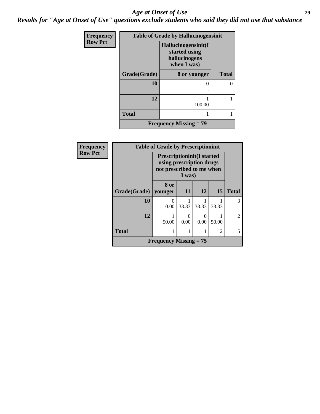#### *Age at Onset of Use* **29**

*Results for "Age at Onset of Use" questions exclude students who said they did not use that substance*

| Frequency      | <b>Table of Grade by Hallucinogensinit</b> |                                                                      |              |  |  |
|----------------|--------------------------------------------|----------------------------------------------------------------------|--------------|--|--|
| <b>Row Pct</b> |                                            | Hallucinogensinit(I<br>started using<br>hallucinogens<br>when I was) |              |  |  |
|                | Grade(Grade)                               | 8 or younger                                                         | <b>Total</b> |  |  |
|                | 10                                         | 0                                                                    | 0            |  |  |
|                | 12                                         | 100.00                                                               |              |  |  |
|                | <b>Total</b>                               |                                                                      |              |  |  |
|                |                                            | <b>Frequency Missing = 79</b>                                        |              |  |  |

| Frequency      | <b>Table of Grade by Prescriptioninit</b> |                                                                                                      |       |       |                |                |
|----------------|-------------------------------------------|------------------------------------------------------------------------------------------------------|-------|-------|----------------|----------------|
| <b>Row Pct</b> |                                           | <b>Prescriptioninit(I started</b><br>using prescription drugs<br>not prescribed to me when<br>I was) |       |       |                |                |
|                | Grade(Grade)                              | 8 or<br>younger                                                                                      | 11    | 12    | <b>15</b>      | <b>Total</b>   |
|                | 10                                        | 0<br>0.00                                                                                            | 33.33 | 33.33 | 33.33          | 3              |
|                | 12                                        | 50.00                                                                                                | 0.00  | 0.00  | 50.00          | $\mathfrak{D}$ |
|                | <b>Total</b>                              |                                                                                                      |       |       | $\mathfrak{D}$ | 5              |
|                |                                           | <b>Frequency Missing = 75</b>                                                                        |       |       |                |                |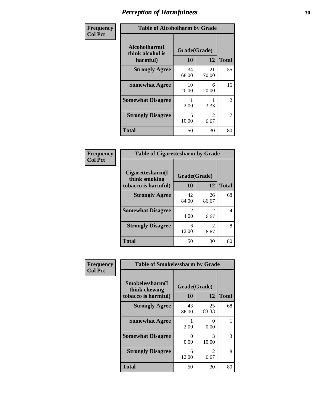| Frequency      | <b>Table of Alcoholharm by Grade</b>          |                                   |                        |                |
|----------------|-----------------------------------------------|-----------------------------------|------------------------|----------------|
| <b>Col Pct</b> | Alcoholharm(I<br>think alcohol is<br>harmful) | Grade(Grade)<br>10                | 12                     | <b>Total</b>   |
|                | <b>Strongly Agree</b>                         | 34<br>68.00                       | 21<br>70.00            | 55             |
|                | <b>Somewhat Agree</b>                         | 10<br>20.00                       | 6<br>20.00             | 16             |
|                | <b>Somewhat Disagree</b>                      | 2.00                              | 3.33                   | $\overline{2}$ |
|                | <b>Strongly Disagree</b>                      | $\overline{\phantom{0}}$<br>10.00 | $\mathfrak{D}$<br>6.67 | 7              |
|                | <b>Total</b>                                  | 50                                | 30                     | 80             |

| <b>Table of Cigarettesharm by Grade</b>                  |                        |           |              |  |
|----------------------------------------------------------|------------------------|-----------|--------------|--|
| Cigarettesharm(I<br>think smoking<br>tobacco is harmful) | Grade(Grade)<br>10     | 12        | <b>Total</b> |  |
| <b>Strongly Agree</b>                                    | 42                     | 26        | 68           |  |
|                                                          | 84.00                  | 86.67     |              |  |
| <b>Somewhat Disagree</b>                                 | $\mathfrak{D}$<br>4.00 | 2<br>6.67 | 4            |  |
| <b>Strongly Disagree</b>                                 | 6<br>12.00             | 2<br>6.67 | 8            |  |
| <b>Total</b>                                             | 50                     | 30        | 80           |  |

| Frequency      | <b>Table of Smokelessharm by Grade</b>                  |                           |                |              |
|----------------|---------------------------------------------------------|---------------------------|----------------|--------------|
| <b>Col Pct</b> | Smokelessharm(I<br>think chewing<br>tobacco is harmful) | Grade(Grade)<br>10        | 12             | <b>Total</b> |
|                | <b>Strongly Agree</b>                                   | 43<br>86.00               | 25<br>83.33    | 68           |
|                | <b>Somewhat Agree</b>                                   | 2.00                      | $_{0}$<br>0.00 |              |
|                | <b>Somewhat Disagree</b>                                | $\mathbf{\Omega}$<br>0.00 | 3<br>10.00     | 3            |
|                | <b>Strongly Disagree</b>                                | 6<br>12.00                | 2<br>6.67      | 8            |
|                | <b>Total</b>                                            | 50                        | 30             | 80           |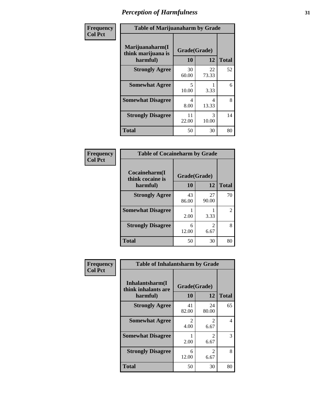| Frequency      | <b>Table of Marijuanaharm by Grade</b>            |                    |             |              |
|----------------|---------------------------------------------------|--------------------|-------------|--------------|
| <b>Col Pct</b> | Marijuanaharm(I<br>think marijuana is<br>harmful) | Grade(Grade)<br>10 | 12          | <b>Total</b> |
|                | <b>Strongly Agree</b>                             | 30<br>60.00        | 22<br>73.33 | 52           |
|                | <b>Somewhat Agree</b>                             | 5<br>10.00         | 3.33        | 6            |
|                | <b>Somewhat Disagree</b>                          | 4<br>8.00          | 4<br>13.33  | 8            |
|                | <b>Strongly Disagree</b>                          | 11<br>22.00        | 3<br>10.00  | 14           |
|                | <b>Total</b>                                      | 50                 | 30          | 80           |

| <b>Table of Cocaineharm by Grade</b> |              |                        |    |  |  |
|--------------------------------------|--------------|------------------------|----|--|--|
| Cocaineharm(I<br>think cocaine is    | Grade(Grade) |                        |    |  |  |
| harmful)                             | 12           | <b>Total</b>           |    |  |  |
| <b>Strongly Agree</b>                | 43<br>86.00  | 27<br>90.00            | 70 |  |  |
| <b>Somewhat Disagree</b>             | 2.00         | 3.33                   | 2  |  |  |
| <b>Strongly Disagree</b>             | 6<br>12.00   | $\mathfrak{D}$<br>6.67 | 8  |  |  |
| <b>Total</b>                         | 50           | 30                     | 80 |  |  |

| Frequency      | <b>Table of Inhalantsharm by Grade</b>              |                    |                                     |              |
|----------------|-----------------------------------------------------|--------------------|-------------------------------------|--------------|
| <b>Col Pct</b> | Inhalantsharm(I)<br>think inhalants are<br>harmful) | Grade(Grade)<br>10 | 12                                  | <b>Total</b> |
|                | <b>Strongly Agree</b>                               | 41<br>82.00        | 24<br>80.00                         | 65           |
|                | <b>Somewhat Agree</b>                               | 2<br>4.00          | 2<br>6.67                           | 4            |
|                | <b>Somewhat Disagree</b>                            | 2.00               | $\mathcal{D}_{\mathcal{L}}$<br>6.67 | 3            |
|                | <b>Strongly Disagree</b>                            | 6<br>12.00         | 2<br>6.67                           | 8            |
|                | <b>Total</b>                                        | 50                 | 30                                  | 80           |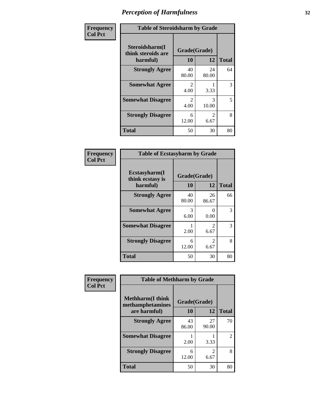| Frequency      | <b>Table of Steroidsharm by Grade</b>            |                                     |                        |              |
|----------------|--------------------------------------------------|-------------------------------------|------------------------|--------------|
| <b>Col Pct</b> | Steroidsharm(I<br>think steroids are<br>harmful) | Grade(Grade)<br>10                  | 12                     | <b>Total</b> |
|                | <b>Strongly Agree</b>                            | 40<br>80.00                         | 24<br>80.00            | 64           |
|                | <b>Somewhat Agree</b>                            | $\mathcal{D}_{\mathcal{L}}$<br>4.00 | 3.33                   | 3            |
|                | <b>Somewhat Disagree</b>                         | $\mathcal{D}_{\mathcal{L}}$<br>4.00 | 3<br>10.00             | 5            |
|                | <b>Strongly Disagree</b>                         | 6<br>12.00                          | $\mathfrak{D}$<br>6.67 | 8            |
|                | <b>Total</b>                                     | 50                                  | 30                     | 80           |

| <b>Table of Ecstasyharm by Grade</b>          |                    |                        |    |  |  |
|-----------------------------------------------|--------------------|------------------------|----|--|--|
| Ecstasyharm(I<br>think ecstasy is<br>harmful) | Grade(Grade)<br>10 | <b>Total</b>           |    |  |  |
| <b>Strongly Agree</b>                         | 40<br>80.00        | 26<br>86.67            | 66 |  |  |
| <b>Somewhat Agree</b>                         | 3<br>6.00          | 0<br>0.00              | 3  |  |  |
| <b>Somewhat Disagree</b>                      | 2.00               | $\mathfrak{D}$<br>6.67 | 3  |  |  |
| <b>Strongly Disagree</b>                      | 6<br>12.00         | $\mathfrak{D}$<br>6.67 | 8  |  |  |
| <b>Total</b>                                  | 50                 | 30                     | 80 |  |  |

| Frequency      | <b>Table of Methharm by Grade</b>            |              |             |                |
|----------------|----------------------------------------------|--------------|-------------|----------------|
| <b>Col Pct</b> | <b>Methharm</b> (I think<br>methamphetamines | Grade(Grade) |             |                |
|                | are harmful)                                 | 10           | 12          | <b>Total</b>   |
|                | <b>Strongly Agree</b>                        | 43<br>86.00  | 27<br>90.00 | 70             |
|                | <b>Somewhat Disagree</b>                     | 2.00         | 3.33        | $\overline{2}$ |
|                | <b>Strongly Disagree</b>                     | 6<br>12.00   | 6.67        | 8              |
|                | <b>Total</b>                                 | 50           | 30          | 80             |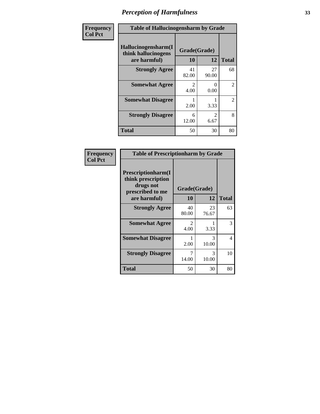| Frequency      | <b>Table of Hallucinogensharm by Grade</b>                 |                       |                        |                |
|----------------|------------------------------------------------------------|-----------------------|------------------------|----------------|
| <b>Col Pct</b> | Hallucinogensharm(I<br>think hallucinogens<br>are harmful) | Grade(Grade)<br>10    | 12                     | <b>Total</b>   |
|                | <b>Strongly Agree</b>                                      | 41<br>82.00           | 27<br>90.00            | 68             |
|                | <b>Somewhat Agree</b>                                      | $\mathcal{L}$<br>4.00 | 0<br>0.00              | $\overline{c}$ |
|                | <b>Somewhat Disagree</b>                                   | 2.00                  | 3.33                   | $\overline{2}$ |
|                | <b>Strongly Disagree</b>                                   | 6<br>12.00            | $\mathfrak{D}$<br>6.67 | 8              |
|                | <b>Total</b>                                               | 50                    | 30                     | 80             |

| <b>Table of Prescriptionharm by Grade</b>                                         |                        |             |              |  |  |
|-----------------------------------------------------------------------------------|------------------------|-------------|--------------|--|--|
| <b>Prescriptionharm</b> (I<br>think prescription<br>drugs not<br>prescribed to me | Grade(Grade)           |             |              |  |  |
| are harmful)                                                                      | 10                     | 12          | <b>Total</b> |  |  |
| <b>Strongly Agree</b>                                                             | 40<br>80.00            | 23<br>76.67 | 63           |  |  |
| <b>Somewhat Agree</b>                                                             | $\mathfrak{D}$<br>4.00 | 3.33        | 3            |  |  |
| <b>Somewhat Disagree</b>                                                          | 2.00                   | 3<br>10.00  | 4            |  |  |
| <b>Strongly Disagree</b>                                                          | 7<br>14.00             | 3<br>10.00  | 10           |  |  |
| Total                                                                             | 50                     | 30          | 80           |  |  |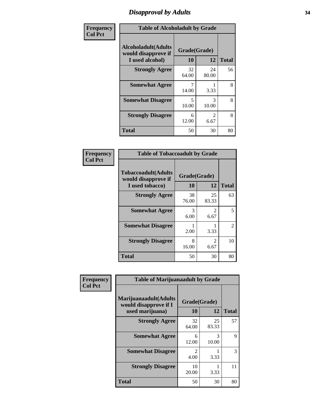### *Disapproval by Adults* **34**

| Frequency      |                                                                       | <b>Table of Alcoholadult by Grade</b> |                        |              |
|----------------|-----------------------------------------------------------------------|---------------------------------------|------------------------|--------------|
| <b>Col Pct</b> | <b>Alcoholadult</b> (Adults<br>would disapprove if<br>I used alcohol) | Grade(Grade)<br>10                    | 12                     | <b>Total</b> |
|                | <b>Strongly Agree</b>                                                 | 32<br>64.00                           | 24<br>80.00            | 56           |
|                | <b>Somewhat Agree</b>                                                 | 7<br>14.00                            | 3.33                   | 8            |
|                | <b>Somewhat Disagree</b>                                              | 5<br>10.00                            | 3<br>10.00             | 8            |
|                | <b>Strongly Disagree</b>                                              | 6<br>12.00                            | $\mathfrak{D}$<br>6.67 | 8            |
|                | <b>Total</b>                                                          | 50                                    | 30                     | 80           |

| <b>Table of Tobaccoadult by Grade</b>                                 |                    |                       |               |  |  |
|-----------------------------------------------------------------------|--------------------|-----------------------|---------------|--|--|
| <b>Tobaccoadult</b> (Adults<br>would disapprove if<br>I used tobacco) | Grade(Grade)<br>10 | 12                    | <b>Total</b>  |  |  |
| <b>Strongly Agree</b>                                                 | 38<br>76.00        | 25<br>83.33           | 63            |  |  |
| <b>Somewhat Agree</b>                                                 | 3<br>6.00          | 2<br>6.67             | 5             |  |  |
| <b>Somewhat Disagree</b>                                              | 2.00               | 3.33                  | $\mathcal{L}$ |  |  |
| <b>Strongly Disagree</b>                                              | 8<br>16.00         | $\mathcal{L}$<br>6.67 | 10            |  |  |
| <b>Total</b>                                                          | 50                 | 30                    | 80            |  |  |

| Frequency      | <b>Table of Marijuanaadult by Grade</b>                           |                        |             |              |
|----------------|-------------------------------------------------------------------|------------------------|-------------|--------------|
| <b>Col Pct</b> | Marijuanaadult(Adults<br>would disapprove if I<br>used marijuana) | Grade(Grade)<br>10     | 12          | <b>Total</b> |
|                | <b>Strongly Agree</b>                                             | 32<br>64.00            | 25<br>83.33 | 57           |
|                | <b>Somewhat Agree</b>                                             | 6<br>12.00             | 3<br>10.00  | 9            |
|                | <b>Somewhat Disagree</b>                                          | $\mathfrak{D}$<br>4.00 | 3.33        | 3            |
|                | <b>Strongly Disagree</b>                                          | 10<br>20.00            | 3.33        | 11           |
|                | <b>Total</b>                                                      | 50                     | 30          | 80           |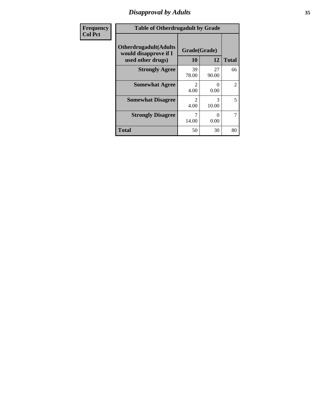### *Disapproval by Adults* **35**

| <b>Frequency</b> | <b>Table of Otherdrugadult by Grade</b>                                     |                                     |                           |                |
|------------------|-----------------------------------------------------------------------------|-------------------------------------|---------------------------|----------------|
| <b>Col Pct</b>   | <b>Otherdrugadult</b> (Adults<br>would disapprove if I<br>used other drugs) | Grade(Grade)<br>10                  | 12                        | <b>Total</b>   |
|                  | <b>Strongly Agree</b>                                                       | 39<br>78.00                         | 27<br>90.00               | 66             |
|                  | <b>Somewhat Agree</b>                                                       | $\mathcal{D}_{\mathcal{A}}$<br>4.00 | $\mathbf{\Omega}$<br>0.00 | $\overline{2}$ |
|                  | <b>Somewhat Disagree</b>                                                    | $\mathcal{D}$<br>4.00               | 3<br>10.00                | 5              |
|                  | <b>Strongly Disagree</b>                                                    | 14.00                               | ∩<br>0.00                 | 7              |
|                  | <b>Total</b>                                                                | 50                                  | 30                        | 80             |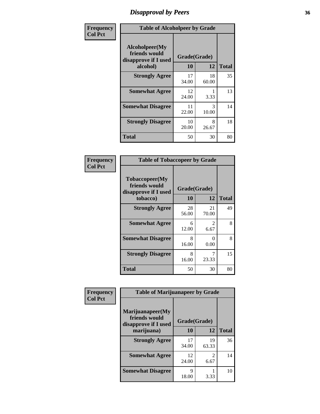### *Disapproval by Peers* **36**

| Frequency      | <b>Table of Alcoholpeer by Grade</b>                    |              |             |              |
|----------------|---------------------------------------------------------|--------------|-------------|--------------|
| <b>Col Pct</b> | Alcoholpeer(My<br>friends would<br>disapprove if I used | Grade(Grade) |             |              |
|                | alcohol)                                                | 10           | 12          | <b>Total</b> |
|                | <b>Strongly Agree</b>                                   | 17<br>34.00  | 18<br>60.00 | 35           |
|                | <b>Somewhat Agree</b>                                   | 12<br>24.00  | 3.33        | 13           |
|                | <b>Somewhat Disagree</b>                                | 11<br>22.00  | 3<br>10.00  | 14           |
|                | <b>Strongly Disagree</b>                                | 10<br>20.00  | 8<br>26.67  | 18           |
|                | Total                                                   | 50           | 30          | 80           |

| Frequency      | <b>Table of Tobaccopeer by Grade</b>                    |              |             |              |
|----------------|---------------------------------------------------------|--------------|-------------|--------------|
| <b>Col Pct</b> | Tobaccopeer(My<br>friends would<br>disapprove if I used | Grade(Grade) |             |              |
|                | tobacco)                                                | 10           | 12          | <b>Total</b> |
|                | <b>Strongly Agree</b>                                   | 28<br>56.00  | 21<br>70.00 | 49           |
|                | <b>Somewhat Agree</b>                                   | 6<br>12.00   | 2<br>6.67   | 8            |
|                | <b>Somewhat Disagree</b>                                | 8<br>16.00   | 0<br>0.00   | 8            |
|                | <b>Strongly Disagree</b>                                | 8<br>16.00   | 7<br>23.33  | 15           |
|                | Total                                                   | 50           | 30          | 80           |

| Frequency      | <b>Table of Marijuanapeer by Grade</b>                    |              |                                     |              |
|----------------|-----------------------------------------------------------|--------------|-------------------------------------|--------------|
| <b>Col Pct</b> | Marijuanapeer(My<br>friends would<br>disapprove if I used | Grade(Grade) |                                     |              |
|                | marijuana)                                                | 10           | 12                                  | <b>Total</b> |
|                | <b>Strongly Agree</b>                                     | 17<br>34.00  | 19<br>63.33                         | 36           |
|                | <b>Somewhat Agree</b>                                     | 12<br>24.00  | $\mathcal{D}_{\mathcal{L}}$<br>6.67 | 14           |
|                | <b>Somewhat Disagree</b>                                  | Q<br>18.00   | 3.33                                | 10           |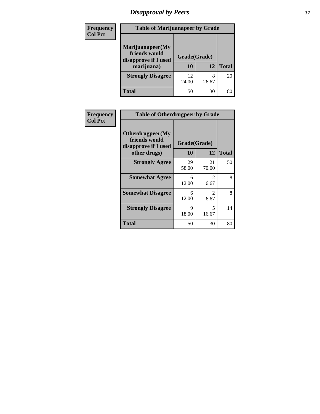# *Disapproval by Peers* **37**

| <b>Frequency</b> | <b>Table of Marijuanapeer by Grade</b>                                  |                    |            |              |
|------------------|-------------------------------------------------------------------------|--------------------|------------|--------------|
| <b>Col Pct</b>   | Marijuanapeer(My<br>friends would<br>disapprove if I used<br>marijuana) | Grade(Grade)<br>10 | 12         | <b>Total</b> |
|                  | <b>Strongly Disagree</b>                                                | 12<br>24.00        | 8<br>26.67 | 20           |
|                  | <b>Total</b>                                                            | 50                 | 30         | 80           |

| Frequency      | <b>Table of Otherdrugpeer by Grade</b>                                    |                    |                                   |              |
|----------------|---------------------------------------------------------------------------|--------------------|-----------------------------------|--------------|
| <b>Col Pct</b> | Otherdrugpeer(My<br>friends would<br>disapprove if I used<br>other drugs) | Grade(Grade)<br>10 | 12                                | <b>Total</b> |
|                | <b>Strongly Agree</b>                                                     | 29<br>58.00        | 21<br>70.00                       | 50           |
|                | <b>Somewhat Agree</b>                                                     | 6<br>12.00         | 2<br>6.67                         | 8            |
|                | <b>Somewhat Disagree</b>                                                  | 6<br>12.00         | $\mathfrak{D}$<br>6.67            | 8            |
|                | <b>Strongly Disagree</b>                                                  | 9<br>18.00         | $\overline{\phantom{0}}$<br>16.67 | 14           |
|                | <b>Total</b>                                                              | 50                 | 30                                | 80           |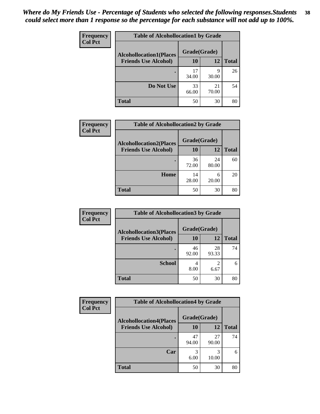| Frequency      | <b>Table of Alcohollocation1 by Grade</b> |              |             |              |
|----------------|-------------------------------------------|--------------|-------------|--------------|
| <b>Col Pct</b> | <b>Alcohollocation1(Places</b>            | Grade(Grade) |             |              |
|                | <b>Friends Use Alcohol)</b>               | 10           | 12          | <b>Total</b> |
|                |                                           | 17<br>34.00  | q<br>30.00  | 26           |
|                | Do Not Use                                | 33<br>66.00  | 21<br>70.00 | 54           |
|                | <b>Total</b>                              | 50           | 30          | 80           |

| <b>Frequency</b> | <b>Table of Alcohollocation2 by Grade</b> |              |             |              |
|------------------|-------------------------------------------|--------------|-------------|--------------|
| <b>Col Pct</b>   | <b>Alcohollocation2(Places</b>            | Grade(Grade) |             |              |
|                  | <b>Friends Use Alcohol)</b>               | 10           | 12          | <b>Total</b> |
|                  |                                           | 36<br>72.00  | 24<br>80.00 | 60           |
|                  | Home                                      | 14<br>28.00  | 6<br>20.00  | 20           |
|                  | <b>Total</b>                              | 50           | 30          | 80           |

| Frequency      | <b>Table of Alcohollocation 3 by Grade</b> |              |                        |              |
|----------------|--------------------------------------------|--------------|------------------------|--------------|
| <b>Col Pct</b> | <b>Alcohollocation3(Places</b>             | Grade(Grade) |                        |              |
|                | <b>Friends Use Alcohol)</b>                | 10           | 12                     | <b>Total</b> |
|                |                                            | 46<br>92.00  | 28<br>93.33            | 74           |
|                | <b>School</b>                              | 4<br>8.00    | $\overline{2}$<br>6.67 | 6            |
|                | <b>Total</b>                               | 50           | 30                     | 80           |

| <b>Frequency</b> | <b>Table of Alcohollocation4 by Grade</b> |              |             |              |
|------------------|-------------------------------------------|--------------|-------------|--------------|
| <b>Col Pct</b>   | <b>Alcohollocation4(Places</b>            | Grade(Grade) |             |              |
|                  | <b>Friends Use Alcohol)</b>               | 10           | 12          | <b>Total</b> |
|                  |                                           | 47<br>94.00  | 27<br>90.00 | 74           |
|                  | Car                                       | 3<br>6.00    | 3<br>10.00  | 6            |
|                  | <b>Total</b>                              | 50           | 30          | 80           |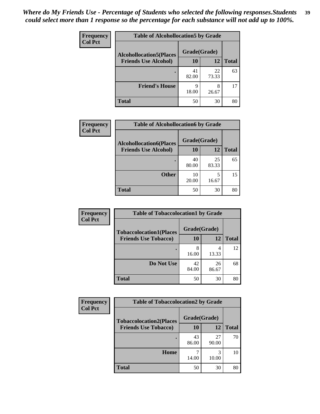| Frequency<br><b>Col Pct</b> | <b>Table of Alcohollocation5 by Grade</b> |              |             |              |  |
|-----------------------------|-------------------------------------------|--------------|-------------|--------------|--|
|                             | <b>Alcohollocation5(Places</b>            | Grade(Grade) |             |              |  |
|                             | <b>Friends Use Alcohol)</b>               | 10           | 12          | <b>Total</b> |  |
|                             |                                           | 41<br>82.00  | 22<br>73.33 | 63           |  |
|                             | <b>Friend's House</b>                     | 9<br>18.00   | 8<br>26.67  | 17           |  |
|                             | <b>Total</b>                              | 50           | 30          | 80           |  |

| <b>Frequency</b> | <b>Table of Alcohollocation6 by Grade</b>                     |                    |             |              |
|------------------|---------------------------------------------------------------|--------------------|-------------|--------------|
| <b>Col Pct</b>   | <b>Alcohollocation6(Places</b><br><b>Friends Use Alcohol)</b> | Grade(Grade)<br>10 | 12          | <b>Total</b> |
|                  |                                                               |                    |             |              |
|                  |                                                               | 40<br>80.00        | 25<br>83.33 | 65           |
|                  | <b>Other</b>                                                  | 10<br>20.00        | 5<br>16.67  | 15           |
|                  | <b>Total</b>                                                  | 50                 | 30          | 80           |

| <b>Frequency</b> | <b>Table of Tobaccolocation1 by Grade</b> |              |             |              |
|------------------|-------------------------------------------|--------------|-------------|--------------|
| <b>Col Pct</b>   | <b>Tobaccolocation1(Places</b>            | Grade(Grade) |             |              |
|                  | <b>Friends Use Tobacco)</b>               | 10           | 12          | <b>Total</b> |
|                  |                                           | 8<br>16.00   | 13.33       | 12           |
|                  | Do Not Use                                | 42<br>84.00  | 26<br>86.67 | 68           |
|                  | <b>Total</b>                              | 50           | 30          | 80           |

| <b>Frequency</b> | <b>Table of Tobaccolocation2 by Grade</b> |              |             |              |
|------------------|-------------------------------------------|--------------|-------------|--------------|
| <b>Col Pct</b>   | <b>Tobaccolocation2(Places</b>            | Grade(Grade) |             |              |
|                  | <b>Friends Use Tobacco)</b>               | 10           | 12          | <b>Total</b> |
|                  |                                           | 43<br>86.00  | 27<br>90.00 | 70           |
|                  | Home                                      | 14.00        | 3<br>10.00  | 10           |
|                  | <b>Total</b>                              | 50           | 30          | 80           |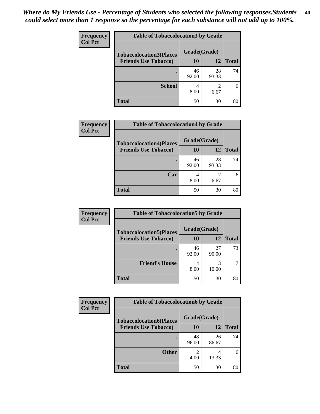| Frequency      | <b>Table of Tobaccolocation 3 by Grade</b> |              |             |              |
|----------------|--------------------------------------------|--------------|-------------|--------------|
| <b>Col Pct</b> | <b>Tobaccolocation3(Places</b>             | Grade(Grade) |             |              |
|                | <b>Friends Use Tobacco)</b>                | 10           | 12          | <b>Total</b> |
|                |                                            | 46<br>92.00  | 28<br>93.33 | 74           |
|                | <b>School</b>                              | 4<br>8.00    | 2<br>6.67   | 6            |
|                | <b>Total</b>                               | 50           | 30          | 80           |

| Frequency<br><b>Col Pct</b> | <b>Table of Tobaccolocation4 by Grade</b> |              |                        |              |
|-----------------------------|-------------------------------------------|--------------|------------------------|--------------|
|                             | <b>Tobaccolocation4(Places</b>            | Grade(Grade) |                        |              |
|                             | <b>Friends Use Tobacco)</b>               | 10           | 12                     | <b>Total</b> |
|                             |                                           | 46<br>92.00  | 28<br>93.33            | 74           |
|                             | Car                                       | 4<br>8.00    | $\mathfrak{D}$<br>6.67 | 6            |
|                             | <b>Total</b>                              | 50           | 30                     | 80           |

| Frequency      | <b>Table of Tobaccolocation5 by Grade</b> |              |             |              |  |
|----------------|-------------------------------------------|--------------|-------------|--------------|--|
| <b>Col Pct</b> | <b>Tobaccolocation5(Places</b>            | Grade(Grade) |             |              |  |
|                | <b>Friends Use Tobacco)</b>               | 10           | 12          | <b>Total</b> |  |
|                |                                           | 46<br>92.00  | 27<br>90.00 | 73           |  |
|                | <b>Friend's House</b>                     | 4<br>8.00    | 10.00       |              |  |
|                | <b>Total</b>                              | 50           | 30          | 80           |  |

| <b>Frequency</b> | <b>Table of Tobaccolocation6 by Grade</b> |              |             |              |  |
|------------------|-------------------------------------------|--------------|-------------|--------------|--|
| <b>Col Pct</b>   | <b>Tobaccolocation6(Places</b>            | Grade(Grade) |             |              |  |
|                  | <b>Friends Use Tobacco)</b>               | 10           | 12          | <b>Total</b> |  |
|                  |                                           | 48<br>96.00  | 26<br>86.67 | 74           |  |
|                  | <b>Other</b>                              | ി<br>4.00    | 4<br>13.33  | 6            |  |
|                  | <b>Total</b>                              | 50           | 30          | 80           |  |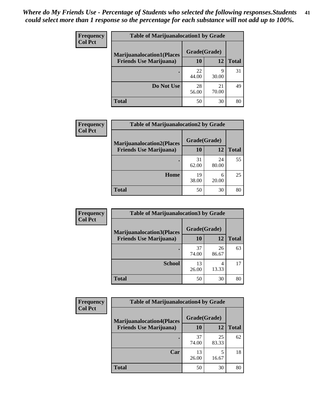| Frequency<br><b>Col Pct</b> | <b>Table of Marijuanalocation1 by Grade</b>                        |              |             |              |  |
|-----------------------------|--------------------------------------------------------------------|--------------|-------------|--------------|--|
|                             | <b>Marijuanalocation1(Places</b><br><b>Friends Use Marijuana</b> ) | Grade(Grade) |             |              |  |
|                             |                                                                    | <b>10</b>    | 12          | <b>Total</b> |  |
|                             |                                                                    | 22<br>44.00  | 9<br>30.00  | 31           |  |
|                             | Do Not Use                                                         | 28<br>56.00  | 21<br>70.00 | 49           |  |
|                             | <b>Total</b>                                                       | 50           | 30          | 80           |  |

| Frequency<br><b>Col Pct</b>    | <b>Table of Marijuanalocation2 by Grade</b> |              |              |    |
|--------------------------------|---------------------------------------------|--------------|--------------|----|
| <b>Friends Use Marijuana</b> ) | <b>Marijuanalocation2(Places</b>            | Grade(Grade) |              |    |
|                                | 10                                          | 12           | <b>Total</b> |    |
|                                |                                             | 31<br>62.00  | 24<br>80.00  | 55 |
|                                | Home                                        | 19<br>38.00  | 6<br>20.00   | 25 |
|                                | <b>Total</b>                                | 50           | 30           | 80 |

| <b>Frequency</b><br><b>Col Pct</b> | <b>Table of Marijuanalocation3 by Grade</b> |              |             |       |
|------------------------------------|---------------------------------------------|--------------|-------------|-------|
|                                    | <b>Marijuanalocation3(Places</b>            | Grade(Grade) |             |       |
|                                    | <b>Friends Use Marijuana</b> )              | 10           | 12          | Total |
|                                    |                                             | 37<br>74.00  | 26<br>86.67 | 63    |
|                                    | <b>School</b>                               | 13<br>26.00  | 4<br>13.33  | 17    |
|                                    | <b>Total</b>                                | 50           | 30          | 80    |

| <b>Frequency</b> | <b>Table of Marijuanalocation4 by Grade</b> |              |             |              |  |
|------------------|---------------------------------------------|--------------|-------------|--------------|--|
| <b>Col Pct</b>   | <b>Marijuanalocation4(Places</b>            | Grade(Grade) |             |              |  |
|                  | <b>Friends Use Marijuana</b> )              | 10           | 12          | <b>Total</b> |  |
|                  |                                             | 37<br>74.00  | 25<br>83.33 | 62           |  |
|                  | Car                                         | 13<br>26.00  | 5<br>16.67  | 18           |  |
|                  | <b>Total</b>                                | 50           | 30          | 80           |  |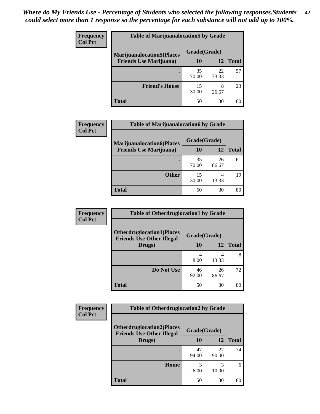| <b>Frequency</b>                                                                     | <b>Table of Marijuanalocation5 by Grade</b> |              |              |    |  |
|--------------------------------------------------------------------------------------|---------------------------------------------|--------------|--------------|----|--|
| <b>Col Pct</b><br><b>Marijuanalocation5(Places</b><br><b>Friends Use Marijuana</b> ) |                                             | Grade(Grade) |              |    |  |
|                                                                                      | 10                                          | 12           | <b>Total</b> |    |  |
|                                                                                      |                                             | 35<br>70.00  | 22<br>73.33  | 57 |  |
|                                                                                      | <b>Friend's House</b>                       | 15<br>30.00  | 8<br>26.67   | 23 |  |
|                                                                                      | <b>Total</b>                                | 50           | 30           | 80 |  |

| Frequency      | <b>Table of Marijuanalocation6 by Grade</b>                        |                           |             |              |
|----------------|--------------------------------------------------------------------|---------------------------|-------------|--------------|
| <b>Col Pct</b> | <b>Marijuanalocation6(Places</b><br><b>Friends Use Marijuana</b> ) | Grade(Grade)<br><b>10</b> | 12          | <b>Total</b> |
|                |                                                                    |                           |             |              |
|                |                                                                    | 35<br>70.00               | 26<br>86.67 | 61           |
|                | <b>Other</b>                                                       | 15<br>30.00               | 4<br>13.33  | 19           |
|                | <b>Total</b>                                                       | 50                        | 30          | 80           |

| <b>Frequency</b> | <b>Table of Otherdruglocation1 by Grade</b>                          |              |             |              |
|------------------|----------------------------------------------------------------------|--------------|-------------|--------------|
| <b>Col Pct</b>   | <b>Otherdruglocation1(Places</b><br><b>Friends Use Other Illegal</b> | Grade(Grade) |             |              |
|                  | Drugs)                                                               | 10           | 12          | <b>Total</b> |
|                  |                                                                      | 4<br>8.00    | 4<br>13.33  | 8            |
|                  | Do Not Use                                                           | 46<br>92.00  | 26<br>86.67 | 72           |
|                  | <b>Total</b>                                                         | 50           | 30          | 80           |

| Frequency      | <b>Table of Otherdruglocation2 by Grade</b>                          |              |             |              |
|----------------|----------------------------------------------------------------------|--------------|-------------|--------------|
| <b>Col Pct</b> | <b>Otherdruglocation2(Places</b><br><b>Friends Use Other Illegal</b> | Grade(Grade) |             |              |
|                | Drugs)                                                               | 10           | 12          | <b>Total</b> |
|                |                                                                      | 47<br>94.00  | 27<br>90.00 | 74           |
|                | <b>Home</b>                                                          | 3<br>6.00    | 3<br>10.00  | 6            |
|                | <b>Total</b>                                                         | 50           | 30          | 80           |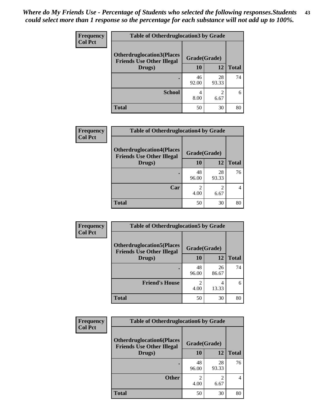| <b>Frequency</b> | <b>Table of Otherdruglocation 3 by Grade</b> |              |                        |              |
|------------------|----------------------------------------------|--------------|------------------------|--------------|
| <b>Col Pct</b>   | <b>Otherdruglocation3(Places</b>             | Grade(Grade) |                        |              |
|                  | <b>Friends Use Other Illegal</b><br>Drugs)   | 10           | 12                     | <b>Total</b> |
|                  |                                              | 46<br>92.00  | 28<br>93.33            | 74           |
|                  | <b>School</b>                                | 4<br>8.00    | $\mathfrak{D}$<br>6.67 | 6            |
|                  | <b>Total</b>                                 | 50           | 30                     | 80           |

| Frequency      | <b>Table of Otherdruglocation4 by Grade</b>                          |              |             |              |  |
|----------------|----------------------------------------------------------------------|--------------|-------------|--------------|--|
| <b>Col Pct</b> | <b>Otherdruglocation4(Places</b><br><b>Friends Use Other Illegal</b> | Grade(Grade) |             |              |  |
|                | Drugs)                                                               | <b>10</b>    | 12          | <b>Total</b> |  |
|                |                                                                      | 48<br>96.00  | 28<br>93.33 | 76           |  |
|                | Car                                                                  | 4.00         | 6.67        | 4            |  |
|                | <b>Total</b>                                                         | 50           | 30          | 80           |  |

| <b>Frequency</b> | <b>Table of Otherdruglocation5 by Grade</b>                          |                        |             |              |
|------------------|----------------------------------------------------------------------|------------------------|-------------|--------------|
| <b>Col Pct</b>   | <b>Otherdruglocation5(Places</b><br><b>Friends Use Other Illegal</b> | Grade(Grade)           |             |              |
|                  | Drugs)                                                               | 10                     | 12          | <b>Total</b> |
|                  |                                                                      | 48<br>96.00            | 26<br>86.67 | 74           |
|                  | <b>Friend's House</b>                                                | $\mathfrak{D}$<br>4.00 | 4<br>13.33  | 6            |
|                  | <b>Total</b>                                                         | 50                     | 30          | 80           |

| <b>Frequency</b> | <b>Table of Otherdruglocation6 by Grade</b>                          |              |                        |                |
|------------------|----------------------------------------------------------------------|--------------|------------------------|----------------|
| <b>Col Pct</b>   | <b>Otherdruglocation6(Places</b><br><b>Friends Use Other Illegal</b> | Grade(Grade) |                        |                |
|                  | Drugs)                                                               | 10           | 12                     | <b>Total</b>   |
|                  |                                                                      | 48<br>96.00  | 28<br>93.33            | 76             |
|                  | <b>Other</b>                                                         | 2<br>4.00    | $\mathfrak{D}$<br>6.67 | $\overline{4}$ |
|                  | <b>Total</b>                                                         | 50           | 30                     | 80             |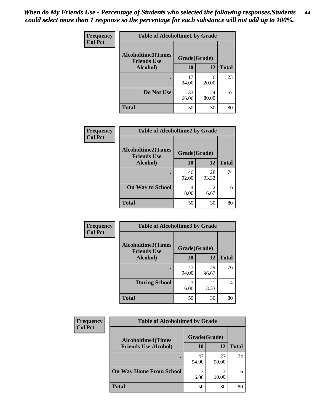| Frequency      | <b>Table of Alcoholtime1 by Grade</b>           |              |             |              |
|----------------|-------------------------------------------------|--------------|-------------|--------------|
| <b>Col Pct</b> | <b>Alcoholtime1(Times</b><br><b>Friends Use</b> | Grade(Grade) |             |              |
|                | Alcohol)                                        | 10           | 12          | <b>Total</b> |
|                | ٠                                               | 17<br>34.00  | 6<br>20.00  | 23           |
|                | Do Not Use                                      | 33<br>66.00  | 24<br>80.00 | 57           |
|                | <b>Total</b>                                    | 50           | 30          | 80           |

| Frequency      | <b>Table of Alcoholtime2 by Grade</b>           |              |             |              |
|----------------|-------------------------------------------------|--------------|-------------|--------------|
| <b>Col Pct</b> | <b>Alcoholtime2(Times</b><br><b>Friends Use</b> | Grade(Grade) |             |              |
|                | Alcohol)                                        | 10           | 12          | <b>Total</b> |
|                |                                                 | 46<br>92.00  | 28<br>93.33 | 74           |
|                | <b>On Way to School</b>                         | 4<br>8.00    | 6.67        | 6            |
|                | <b>Total</b>                                    | 50           | 30          | 80           |

| Frequency      | <b>Table of Alcoholtime3 by Grade</b>           |              |             |              |
|----------------|-------------------------------------------------|--------------|-------------|--------------|
| <b>Col Pct</b> | <b>Alcoholtime3(Times</b><br><b>Friends Use</b> | Grade(Grade) |             |              |
|                | Alcohol)                                        | 10           | <b>12</b>   | <b>Total</b> |
|                |                                                 | 47<br>94.00  | 29<br>96.67 | 76           |
|                | <b>During School</b>                            | 3<br>6.00    | 3.33        | 4            |
|                | <b>Total</b>                                    | 50           | 30          | 80           |

| <b>Frequency</b><br><b>Col Pct</b> | <b>Table of Alcoholtime4 by Grade</b> |              |             |              |
|------------------------------------|---------------------------------------|--------------|-------------|--------------|
|                                    | <b>Alcoholtime4(Times</b>             | Grade(Grade) |             |              |
|                                    | <b>Friends Use Alcohol)</b>           | 10           | 12          | <b>Total</b> |
|                                    |                                       | 47<br>94.00  | 27<br>90.00 | 74           |
|                                    | <b>On Way Home From School</b>        | 3<br>6.00    | 3<br>10.00  | 6            |
|                                    | <b>Total</b>                          | 50           | 30          | 80           |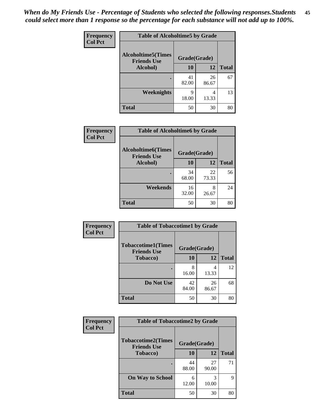*When do My Friends Use - Percentage of Students who selected the following responses.Students could select more than 1 response so the percentage for each substance will not add up to 100%.* **45**

| Frequency      | <b>Table of Alcoholtime5 by Grade</b>           |              |             |              |
|----------------|-------------------------------------------------|--------------|-------------|--------------|
| <b>Col Pct</b> | <b>Alcoholtime5(Times</b><br><b>Friends Use</b> | Grade(Grade) |             |              |
|                | Alcohol)                                        | 10           | <b>12</b>   | <b>Total</b> |
|                |                                                 | 41<br>82.00  | 26<br>86.67 | 67           |
|                | <b>Weeknights</b>                               | q<br>18.00   | 4<br>13.33  | 13           |
|                | <b>Total</b>                                    | 50           | 30          | 80           |

| Frequency      | <b>Table of Alcoholtime6 by Grade</b>           |              |             |              |
|----------------|-------------------------------------------------|--------------|-------------|--------------|
| <b>Col Pct</b> | <b>Alcoholtime6(Times</b><br><b>Friends Use</b> | Grade(Grade) |             |              |
|                | Alcohol)                                        | 10           | 12          | <b>Total</b> |
|                |                                                 | 34<br>68.00  | 22<br>73.33 | 56           |
|                | Weekends                                        | 16<br>32.00  | 8<br>26.67  | 24           |
|                | <b>Total</b>                                    | 50           | 30          | 80           |

| Frequency<br><b>Col Pct</b> | <b>Table of Tobaccotime1 by Grade</b>           |              |             |              |
|-----------------------------|-------------------------------------------------|--------------|-------------|--------------|
|                             | <b>Tobaccotime1(Times</b><br><b>Friends Use</b> | Grade(Grade) |             |              |
|                             | <b>Tobacco</b> )                                | 10           | 12          | <b>Total</b> |
|                             |                                                 | 8<br>16.00   | 4<br>13.33  | 12           |
|                             | Do Not Use                                      | 42<br>84.00  | 26<br>86.67 | 68           |
|                             | <b>Total</b>                                    | 50           | 30          | 80           |

| <b>Frequency</b> | <b>Table of Tobaccotime2 by Grade</b>           |              |             |              |
|------------------|-------------------------------------------------|--------------|-------------|--------------|
| <b>Col Pct</b>   | <b>Tobaccotime2(Times</b><br><b>Friends Use</b> | Grade(Grade) |             |              |
|                  | <b>Tobacco</b> )                                | 10           | 12          | <b>Total</b> |
|                  | ٠                                               | 44<br>88.00  | 27<br>90.00 | 71           |
|                  | <b>On Way to School</b>                         | 6<br>12.00   | 3<br>10.00  | 9            |
|                  | <b>Total</b>                                    | 50           | 30          | 80           |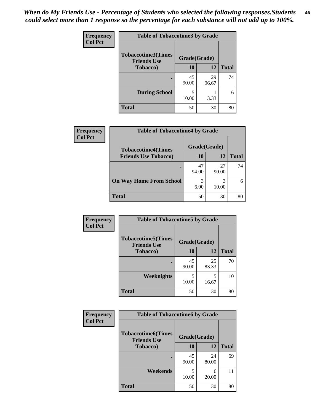| <b>Frequency</b> | <b>Table of Tobaccotime3 by Grade</b>           |              |             |              |
|------------------|-------------------------------------------------|--------------|-------------|--------------|
| <b>Col Pct</b>   | <b>Tobaccotime3(Times</b><br><b>Friends Use</b> | Grade(Grade) |             |              |
|                  | <b>Tobacco</b> )                                | 10           | 12          | <b>Total</b> |
|                  |                                                 | 45<br>90.00  | 29<br>96.67 | 74           |
|                  | <b>During School</b>                            | 10.00        | 3.33        | 6            |
|                  | <b>Total</b>                                    | 50           | 30          | 80           |

| <b>Frequency</b><br><b>Col Pct</b> | <b>Table of Tobaccotime4 by Grade</b> |              |             |              |  |
|------------------------------------|---------------------------------------|--------------|-------------|--------------|--|
|                                    | <b>Tobaccotime4(Times</b>             | Grade(Grade) |             |              |  |
|                                    | <b>Friends Use Tobacco)</b>           | 10           | 12          | <b>Total</b> |  |
|                                    |                                       | 47<br>94.00  | 27<br>90.00 | 74           |  |
|                                    | <b>On Way Home From School</b>        | 3<br>6.00    | 10.00       |              |  |
|                                    | <b>Total</b>                          | 50           | 30          | 80           |  |

| Frequency      | <b>Table of Tobaccotime5 by Grade</b>            |              |             |              |
|----------------|--------------------------------------------------|--------------|-------------|--------------|
| <b>Col Pct</b> | <b>Tobaccotime5</b> (Times<br><b>Friends Use</b> | Grade(Grade) |             |              |
|                | <b>Tobacco</b> )                                 | 10           | 12          | <b>Total</b> |
|                |                                                  | 45<br>90.00  | 25<br>83.33 | 70           |
|                | <b>Weeknights</b>                                | 5<br>10.00   | 5<br>16.67  | 10           |
|                | <b>Total</b>                                     | 50           | 30          | 80           |

| Frequency<br><b>Col Pct</b> | <b>Table of Tobaccotime6 by Grade</b>                           |             |              |    |
|-----------------------------|-----------------------------------------------------------------|-------------|--------------|----|
|                             | <b>Tobaccotime6(Times</b><br>Grade(Grade)<br><b>Friends Use</b> |             |              |    |
| <b>Tobacco</b> )            | 10                                                              | 12          | <b>Total</b> |    |
|                             |                                                                 | 45<br>90.00 | 24<br>80.00  | 69 |
|                             | Weekends                                                        | 5<br>10.00  | 6<br>20.00   | 11 |
|                             | Total                                                           | 50          | 30           | 80 |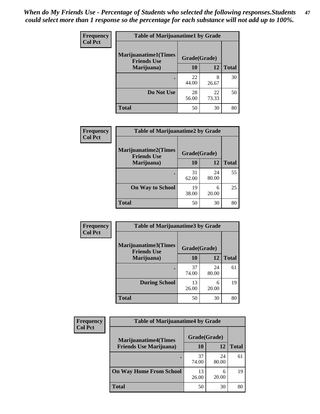| Frequency      | <b>Table of Marijuanatime1 by Grade</b>           |              |             |              |  |
|----------------|---------------------------------------------------|--------------|-------------|--------------|--|
| <b>Col Pct</b> | <b>Marijuanatime1(Times</b><br><b>Friends Use</b> | Grade(Grade) |             |              |  |
|                | Marijuana)                                        | 10           | 12          | <b>Total</b> |  |
|                |                                                   | 22<br>44.00  | 8<br>26.67  | 30           |  |
|                | Do Not Use                                        | 28<br>56.00  | 22<br>73.33 | 50           |  |
|                | <b>Total</b>                                      | 50           | 30          | 80           |  |

| Frequency      | <b>Table of Marijuanatime2 by Grade</b>           |              |             |              |
|----------------|---------------------------------------------------|--------------|-------------|--------------|
| <b>Col Pct</b> | <b>Marijuanatime2(Times</b><br><b>Friends Use</b> | Grade(Grade) |             |              |
|                | Marijuana)                                        | 10           | 12          | <b>Total</b> |
|                |                                                   | 31<br>62.00  | 24<br>80.00 | 55           |
|                | <b>On Way to School</b>                           | 19<br>38.00  | 6<br>20.00  | 25           |
|                | <b>Total</b>                                      | 50           | 30          | 80           |

| Frequency      | <b>Table of Marijuanatime3 by Grade</b>    |              |             |              |
|----------------|--------------------------------------------|--------------|-------------|--------------|
| <b>Col Pct</b> | Marijuanatime3(Times<br><b>Friends Use</b> | Grade(Grade) |             |              |
|                | Marijuana)                                 | 10           | 12          | <b>Total</b> |
|                |                                            | 37<br>74.00  | 24<br>80.00 | 61           |
|                | <b>During School</b>                       | 13<br>26.00  | 6<br>20.00  | 19           |
|                | <b>Total</b>                               | 50           | 30          | 80           |

| <b>Frequency</b> | <b>Table of Marijuanatime4 by Grade</b> |              |             |       |
|------------------|-----------------------------------------|--------------|-------------|-------|
| <b>Col Pct</b>   | <b>Marijuanatime4(Times</b>             | Grade(Grade) |             |       |
|                  | <b>Friends Use Marijuana</b> )          | 10           | 12          | Total |
|                  |                                         | 37<br>74.00  | 24<br>80.00 | 61    |
|                  | <b>On Way Home From School</b>          | 13<br>26.00  | 20.00       | 19    |
|                  | <b>Total</b>                            | 50           | 30          | 80    |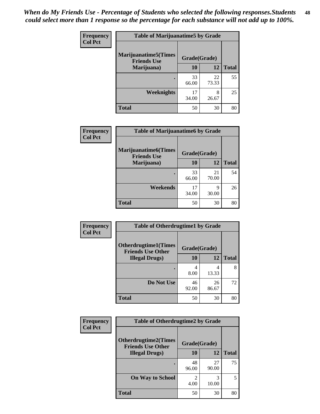| Frequency      | <b>Table of Marijuanatime5 by Grade</b>            |              |             |              |  |
|----------------|----------------------------------------------------|--------------|-------------|--------------|--|
| <b>Col Pct</b> | <b>Marijuanatime5</b> (Times<br><b>Friends Use</b> | Grade(Grade) |             |              |  |
|                | Marijuana)                                         | 10           | 12          | <b>Total</b> |  |
|                |                                                    | 33<br>66.00  | 22<br>73.33 | 55           |  |
|                | Weeknights                                         | 17<br>34.00  | 8<br>26.67  | 25           |  |
|                | <b>Total</b>                                       | 50           | 30          | 80           |  |

| Frequency      | <b>Table of Marijuanatime6 by Grade</b>           |              |             |              |
|----------------|---------------------------------------------------|--------------|-------------|--------------|
| <b>Col Pct</b> | <b>Marijuanatime6(Times</b><br><b>Friends Use</b> | Grade(Grade) |             |              |
|                | Marijuana)                                        | 10           | 12          | <b>Total</b> |
|                |                                                   | 33<br>66.00  | 21<br>70.00 | 54           |
|                | Weekends                                          | 17<br>34.00  | Q<br>30.00  | 26           |
|                | <b>Total</b>                                      | 50           | 30          | 80           |

| Frequency      | <b>Table of Otherdrugtime1 by Grade</b>                 |              |             |              |
|----------------|---------------------------------------------------------|--------------|-------------|--------------|
| <b>Col Pct</b> | <b>Otherdrugtime1(Times</b><br><b>Friends Use Other</b> | Grade(Grade) |             |              |
|                | <b>Illegal Drugs</b> )                                  | 10           | 12          | <b>Total</b> |
|                |                                                         | 4<br>8.00    | 4<br>13.33  | 8            |
|                | Do Not Use                                              | 46<br>92.00  | 26<br>86.67 | 72           |
|                | <b>Total</b>                                            | 50           | 30          | 80           |

| <b>Frequency</b><br><b>Col Pct</b> | <b>Table of Otherdrugtime2 by Grade</b>                 |              |             |              |
|------------------------------------|---------------------------------------------------------|--------------|-------------|--------------|
|                                    | <b>Otherdrugtime2(Times</b><br><b>Friends Use Other</b> | Grade(Grade) |             |              |
|                                    | <b>Illegal Drugs</b> )                                  | 10           | 12          | <b>Total</b> |
|                                    |                                                         | 48<br>96.00  | 27<br>90.00 | 75           |
|                                    | <b>On Way to School</b>                                 | 2<br>4.00    | 3<br>10.00  | 5            |
|                                    | <b>Total</b>                                            | 50           | 30          | 80           |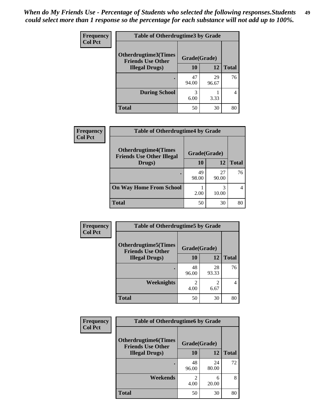| <b>Frequency</b> | <b>Table of Otherdrugtime3 by Grade</b>          |              |             |              |
|------------------|--------------------------------------------------|--------------|-------------|--------------|
| <b>Col Pct</b>   | Otherdrugtime3(Times<br><b>Friends Use Other</b> | Grade(Grade) |             |              |
|                  | <b>Illegal Drugs</b> )                           | 10           | 12          | <b>Total</b> |
|                  |                                                  | 47<br>94.00  | 29<br>96.67 | 76           |
|                  | <b>During School</b>                             | 3<br>6.00    | 3.33        | 4            |
|                  | <b>Total</b>                                     | 50           | 30          | 80           |

| Frequency<br><b>Col Pct</b> | <b>Table of Otherdrugtime4 by Grade</b>                         |              |             |              |
|-----------------------------|-----------------------------------------------------------------|--------------|-------------|--------------|
|                             | <b>Otherdrugtime4(Times</b><br><b>Friends Use Other Illegal</b> | Grade(Grade) |             |              |
|                             | Drugs)                                                          | 10           | 12          | <b>Total</b> |
|                             |                                                                 | 49<br>98.00  | 27<br>90.00 | 76           |
|                             | <b>On Way Home From School</b>                                  | 2.00         | 3<br>10.00  |              |
|                             | <b>Total</b>                                                    | 50           | 30          | 80           |

| <b>Frequency</b> | <b>Table of Otherdrugtime5 by Grade</b>                  |                        |                        |              |  |  |
|------------------|----------------------------------------------------------|------------------------|------------------------|--------------|--|--|
| <b>Col Pct</b>   | <b>Otherdrugtime5</b> (Times<br><b>Friends Use Other</b> | Grade(Grade)           |                        |              |  |  |
|                  | <b>Illegal Drugs</b> )                                   | 10                     | 12                     | <b>Total</b> |  |  |
|                  |                                                          | 48<br>96.00            | 28<br>93.33            | 76           |  |  |
|                  | Weeknights                                               | $\mathfrak{D}$<br>4.00 | $\overline{c}$<br>6.67 | 4            |  |  |
|                  | <b>Total</b>                                             | 50                     | 30                     | 80           |  |  |

| <b>Frequency</b> | <b>Table of Otherdrugtime6 by Grade</b>                 |                                  |             |              |  |
|------------------|---------------------------------------------------------|----------------------------------|-------------|--------------|--|
| <b>Col Pct</b>   | <b>Otherdrugtime6(Times</b><br><b>Friends Use Other</b> | Grade(Grade)                     |             |              |  |
|                  | <b>Illegal Drugs</b> )                                  | 10                               | 12          | <b>Total</b> |  |
|                  |                                                         | 48<br>96.00                      | 24<br>80.00 | 72           |  |
|                  | Weekends                                                | $\overline{\mathcal{L}}$<br>4.00 | 6<br>20.00  | 8            |  |
|                  | Total                                                   | 50                               | 30          | 80           |  |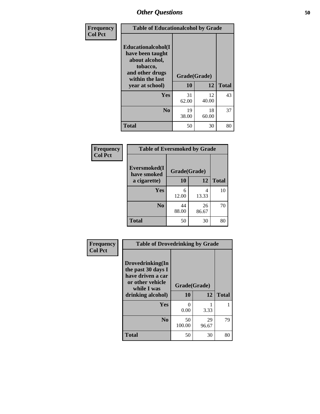| Frequency      | <b>Table of Educationalcohol by Grade</b>                                                                  |              |             |              |  |
|----------------|------------------------------------------------------------------------------------------------------------|--------------|-------------|--------------|--|
| <b>Col Pct</b> | Educationalcohol(I<br>have been taught<br>about alcohol,<br>tobacco,<br>and other drugs<br>within the last | Grade(Grade) |             |              |  |
|                | year at school)                                                                                            | 10           | 12          | <b>Total</b> |  |
|                | <b>Yes</b>                                                                                                 | 31<br>62.00  | 12<br>40.00 | 43           |  |
|                | N <sub>0</sub>                                                                                             | 19<br>38.00  | 18<br>60.00 | 37           |  |
|                | <b>Total</b>                                                                                               | 50           | 30          | 80           |  |

| Frequency      | <b>Table of Eversmoked by Grade</b> |              |             |              |  |
|----------------|-------------------------------------|--------------|-------------|--------------|--|
| <b>Col Pct</b> | Eversmoked(I<br>have smoked         | Grade(Grade) |             |              |  |
|                | a cigarette)                        | 10           | 12          | <b>Total</b> |  |
|                | Yes                                 | 6<br>12.00   | 4<br>13.33  | 10           |  |
|                | N <sub>0</sub>                      | 44<br>88.00  | 26<br>86.67 | 70           |  |
|                | <b>Total</b>                        | 50           | 30          | 80           |  |

| Frequency      | <b>Table of Drovedrinking by Grade</b>                                                                              |                      |             |              |  |  |
|----------------|---------------------------------------------------------------------------------------------------------------------|----------------------|-------------|--------------|--|--|
| <b>Col Pct</b> | Drovedrinking(In<br>the past 30 days I<br>have driven a car<br>or other vehicle<br>while I was<br>drinking alcohol) | Grade(Grade)<br>10   | 12          | <b>Total</b> |  |  |
|                | Yes                                                                                                                 | $\mathbf{0}$<br>0.00 | 3.33        |              |  |  |
|                | N <sub>0</sub>                                                                                                      | 50<br>100.00         | 29<br>96.67 | 79           |  |  |
|                | <b>Total</b>                                                                                                        | 50                   | 30          | 80           |  |  |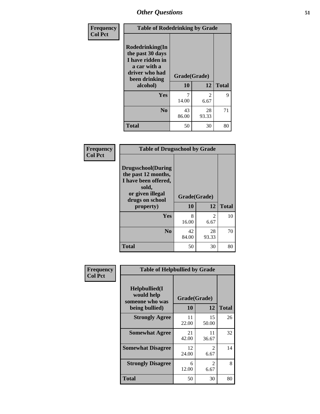| Frequency      | <b>Table of Rodedrinking by Grade</b>                                                                                  |                    |                        |              |  |  |
|----------------|------------------------------------------------------------------------------------------------------------------------|--------------------|------------------------|--------------|--|--|
| <b>Col Pct</b> | Rodedrinking(In<br>the past 30 days<br>I have ridden in<br>a car with a<br>driver who had<br>been drinking<br>alcohol) | Grade(Grade)<br>10 | 12                     | <b>Total</b> |  |  |
|                |                                                                                                                        |                    |                        |              |  |  |
|                | <b>Yes</b>                                                                                                             | 14.00              | $\overline{2}$<br>6.67 | 9            |  |  |
|                | N <sub>0</sub>                                                                                                         | 43<br>86.00        | 28<br>93.33            | 71           |  |  |
|                | <b>Total</b>                                                                                                           | 50                 | 30                     | 80           |  |  |

#### **Frequency Col Pct**

| <b>Table of Drugsschool by Grade</b>                                                                   |              |                |              |  |  |  |
|--------------------------------------------------------------------------------------------------------|--------------|----------------|--------------|--|--|--|
| <b>Drugsschool</b> (During<br>the past 12 months,<br>I have been offered,<br>sold,<br>or given illegal | Grade(Grade) |                |              |  |  |  |
| drugs on school                                                                                        |              |                |              |  |  |  |
| property)                                                                                              | 10           | 12             | <b>Total</b> |  |  |  |
| Yes                                                                                                    | 8            | $\mathfrak{D}$ | 10           |  |  |  |
|                                                                                                        | 16.00        | 6.67           |              |  |  |  |
| N <sub>0</sub>                                                                                         | 42           | 28             | 70           |  |  |  |
|                                                                                                        | 84.00        | 93.33          |              |  |  |  |

| Frequency      | <b>Table of Helpbullied by Grade</b>                                   |             |                        |              |  |  |  |
|----------------|------------------------------------------------------------------------|-------------|------------------------|--------------|--|--|--|
| <b>Col Pct</b> | $Helpb$ ullied $(I$<br>would help<br>someone who was<br>being bullied) | <b>10</b>   | Grade(Grade)<br>12     | <b>Total</b> |  |  |  |
|                |                                                                        |             |                        |              |  |  |  |
|                | <b>Strongly Agree</b>                                                  | 11<br>22.00 | 15<br>50.00            | 26           |  |  |  |
|                | <b>Somewhat Agree</b>                                                  | 21<br>42.00 | 11<br>36.67            | 32           |  |  |  |
|                | <b>Somewhat Disagree</b>                                               | 12<br>24.00 | 2<br>6.67              | 14           |  |  |  |
|                | <b>Strongly Disagree</b>                                               | 6<br>12.00  | $\mathfrak{D}$<br>6.67 | 8            |  |  |  |
|                | <b>Total</b>                                                           | 50          | 30                     | 80           |  |  |  |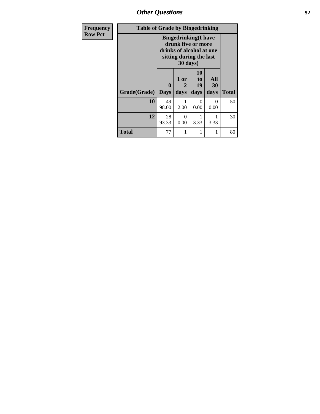*Other Questions* **52**

| <b>Frequency</b> | <b>Table of Grade by Bingedrinking</b> |                                                                                                                       |                   |                               |                   |              |
|------------------|----------------------------------------|-----------------------------------------------------------------------------------------------------------------------|-------------------|-------------------------------|-------------------|--------------|
| <b>Row Pct</b>   |                                        | <b>Bingedrinking</b> (I have<br>drunk five or more<br>drinks of alcohol at one<br>sitting during the last<br>30 days) |                   |                               |                   |              |
|                  | Grade(Grade)                           | 0<br><b>Days</b>                                                                                                      | 1 or<br>2<br>days | <b>10</b><br>to<br>19<br>days | All<br>30<br>days | <b>Total</b> |
|                  | 10                                     | 49<br>98.00                                                                                                           | 2.00              | 0<br>0.00                     | 0<br>0.00         | 50           |
|                  | 12                                     | 28<br>93.33                                                                                                           | 0<br>0.00         | 3.33                          | 3.33              | 30           |
|                  | <b>Total</b>                           | 77                                                                                                                    | 1                 | 1                             | 1                 | 80           |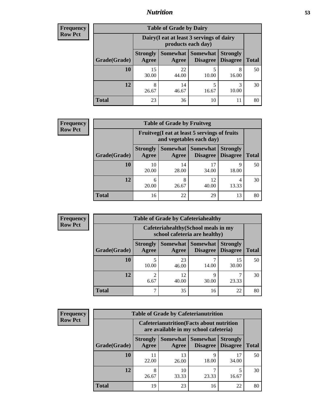### *Nutrition* **53**

| Frequency      |  |
|----------------|--|
| <b>Row Pct</b> |  |
|                |  |

| <b>Table of Grade by Dairy</b> |                                                                                                                                  |                                                                 |            |            |    |  |  |
|--------------------------------|----------------------------------------------------------------------------------------------------------------------------------|-----------------------------------------------------------------|------------|------------|----|--|--|
|                                |                                                                                                                                  | Dairy (I eat at least 3 servings of dairy<br>products each day) |            |            |    |  |  |
| Grade(Grade)                   | <b>Somewhat</b><br><b>Somewhat</b><br><b>Strongly</b><br><b>Strongly</b><br><b>Disagree</b><br>Agree<br><b>Disagree</b><br>Agree |                                                                 |            |            |    |  |  |
| 10                             | 15<br>30.00                                                                                                                      | 22<br>44.00                                                     | 5<br>10.00 | 8<br>16.00 | 50 |  |  |
| 12                             | 8<br>26.67                                                                                                                       | 14<br>46.67                                                     | 5<br>16.67 | 3<br>10.00 | 30 |  |  |
| Total                          | 23                                                                                                                               | 36                                                              | 10         | 11         | 80 |  |  |

| <b>Frequency</b> | <b>Table of Grade by Fruitveg</b> |                                                                          |             |                                      |                                    |              |  |
|------------------|-----------------------------------|--------------------------------------------------------------------------|-------------|--------------------------------------|------------------------------------|--------------|--|
| <b>Row Pct</b>   |                                   | Fruitveg(I eat at least 5 servings of fruits<br>and vegetables each day) |             |                                      |                                    |              |  |
|                  | Grade(Grade)                      | <b>Strongly</b><br>Agree                                                 | Agree       | Somewhat Somewhat<br><b>Disagree</b> | <b>Strongly</b><br><b>Disagree</b> | <b>Total</b> |  |
|                  | 10                                | 10<br>20.00                                                              | 14<br>28.00 | 34.00                                | 9<br>18.00                         | 50           |  |
|                  | 12                                | 6<br>20.00                                                               | 8<br>26.67  | 12<br>40.00                          | 4<br>13.33                         | 30           |  |
|                  | <b>Total</b>                      | 16                                                                       | 22          | 29                                   | 13                                 | 80           |  |

| Frequency      | <b>Table of Grade by Cafeteriahealthy</b> |                          |                                                                       |                                        |                                    |              |  |
|----------------|-------------------------------------------|--------------------------|-----------------------------------------------------------------------|----------------------------------------|------------------------------------|--------------|--|
| <b>Row Pct</b> |                                           |                          | Cafeteriahealthy (School meals in my<br>school cafeteria are healthy) |                                        |                                    |              |  |
|                | Grade(Grade)                              | <b>Strongly</b><br>Agree | Agree                                                                 | Somewhat   Somewhat<br><b>Disagree</b> | <b>Strongly</b><br><b>Disagree</b> | <b>Total</b> |  |
|                | 10                                        | 10.00                    | 23<br>46.00                                                           | 14.00                                  | 15<br>30.00                        | 50           |  |
|                | 12                                        | $\overline{2}$<br>6.67   | 12<br>40.00                                                           | 30.00                                  | 23.33                              | 30           |  |
|                | <b>Total</b>                              | ⇁                        | 35                                                                    | 16                                     | 22                                 | 80           |  |

| <b>Frequency</b> |
|------------------|
| <b>Row Pct</b>   |

| <b>Table of Grade by Cafeterianutrition</b> |                                                                                                                            |                                                                                           |            |             |    |  |
|---------------------------------------------|----------------------------------------------------------------------------------------------------------------------------|-------------------------------------------------------------------------------------------|------------|-------------|----|--|
|                                             |                                                                                                                            | <b>Cafeterianutrition</b> (Facts about nutrition<br>are available in my school cafeteria) |            |             |    |  |
| Grade(Grade)                                | Somewhat   Somewhat<br><b>Strongly</b><br><b>Strongly</b><br><b>Disagree</b><br>Agree<br>Disagree<br><b>Total</b><br>Agree |                                                                                           |            |             |    |  |
| 10                                          | 11<br>22.00                                                                                                                | 13<br>26.00                                                                               | 9<br>18.00 | 17<br>34.00 | 50 |  |
| 12                                          | 8<br>26.67                                                                                                                 | 10<br>33.33                                                                               | 23.33      | 5<br>16.67  | 30 |  |
| <b>Total</b>                                | 19                                                                                                                         | 23                                                                                        | 16         | 22          | 80 |  |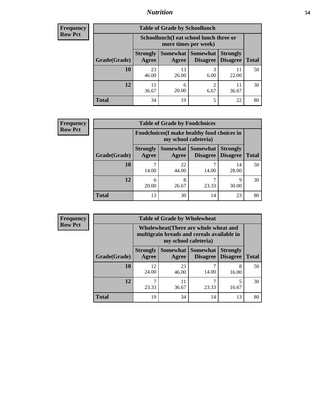### *Nutrition* **54**

| <b>Frequency</b> |
|------------------|
| Row Pct          |

| <b>Table of Grade by Schoollunch</b> |                          |                                                                                                  |           |       |    |  |  |
|--------------------------------------|--------------------------|--------------------------------------------------------------------------------------------------|-----------|-------|----|--|--|
|                                      |                          | Schoollunch(I eat school lunch three or<br>more times per week)                                  |           |       |    |  |  |
| Grade(Grade)                         | <b>Strongly</b><br>Agree | Somewhat   Somewhat  <br><b>Strongly</b><br><b>Disagree</b><br>Disagree<br><b>Total</b><br>Agree |           |       |    |  |  |
| 10                                   | 23<br>46.00              | 13<br>26.00                                                                                      | 3<br>6.00 | 22.00 | 50 |  |  |
| 12                                   | 11<br>36.67              | 6<br>20.00                                                                                       | 2<br>6.67 | 36.67 | 30 |  |  |
| <b>Total</b>                         | 34                       | 19                                                                                               | 5         | 22    | 80 |  |  |

| <b>Frequency</b> |  |
|------------------|--|
| <b>Row Pct</b>   |  |

| V | <b>Table of Grade by Foodchoices</b> |                          |                                                                     |                               |                                    |              |
|---|--------------------------------------|--------------------------|---------------------------------------------------------------------|-------------------------------|------------------------------------|--------------|
|   |                                      |                          | Foodchoices (I make healthy food choices in<br>my school cafeteria) |                               |                                    |              |
|   | Grade(Grade)                         | <b>Strongly</b><br>Agree | Agree                                                               | Somewhat Somewhat<br>Disagree | <b>Strongly</b><br><b>Disagree</b> | <b>Total</b> |
|   | 10                                   | 14.00                    | 22<br>44.00                                                         | 14.00                         | 14<br>28.00                        | 50           |
|   | 12                                   | 6<br>20.00               | 8<br>26.67                                                          | 23.33                         | 9<br>30.00                         | 30           |
|   | <b>Total</b>                         | 13                       | 30                                                                  | 14                            | 23                                 | 80           |

| <b>Frequency</b> | <b>Table of Grade by Wholewheat</b> |                                                                                     |             |                                      |                                    |              |
|------------------|-------------------------------------|-------------------------------------------------------------------------------------|-------------|--------------------------------------|------------------------------------|--------------|
| <b>Row Pct</b>   |                                     | Wholewheat (There are whole wheat and<br>multigrain breads and cereals available in |             |                                      |                                    |              |
|                  | Grade(Grade)                        | <b>Strongly</b><br>Agree                                                            | Agree       | Somewhat Somewhat<br><b>Disagree</b> | <b>Strongly</b><br><b>Disagree</b> | <b>Total</b> |
|                  | 10                                  | 12<br>24.00                                                                         | 23<br>46.00 | 14.00                                | 8<br>16.00                         | 50           |
|                  | 12                                  | 23.33                                                                               | 11<br>36.67 | 23.33                                | 16.67                              | 30           |
|                  | <b>Total</b>                        | 19                                                                                  | 34          | 14                                   | 13                                 | 80           |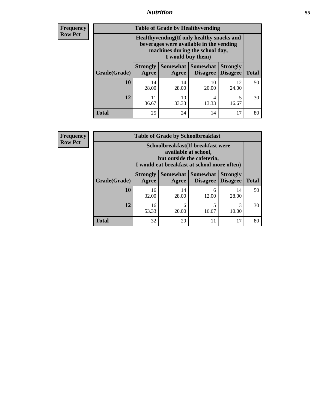### *Nutrition* **55**

**Frequency Row Pct**

| <b>Table of Grade by Healthyvending</b> |                                                                                                                                               |                     |                                    |                                    |              |  |
|-----------------------------------------|-----------------------------------------------------------------------------------------------------------------------------------------------|---------------------|------------------------------------|------------------------------------|--------------|--|
|                                         | Healthyvending (If only healthy snacks and<br>beverages were available in the vending<br>machines during the school day,<br>I would buy them) |                     |                                    |                                    |              |  |
| Grade(Grade)                            | <b>Strongly</b><br>Agree                                                                                                                      | Somewhat  <br>Agree | <b>Somewhat</b><br><b>Disagree</b> | <b>Strongly</b><br><b>Disagree</b> | <b>Total</b> |  |
| 10                                      | 14<br>28.00                                                                                                                                   | 14<br>28.00         | 10<br>20.00                        | 12<br>24.00                        | 50           |  |
| 12                                      | 11<br>36.67                                                                                                                                   | 10<br>33.33         | 4<br>13.33                         | 5<br>16.67                         | 30           |  |
| <b>Total</b>                            | 25                                                                                                                                            | 24                  | 14                                 | 17                                 | 80           |  |

**Frequency Row Pct**

| <b>Table of Grade by Schoolbreakfast</b> |                                                                                                                                         |             |                                        |                                    |              |  |
|------------------------------------------|-----------------------------------------------------------------------------------------------------------------------------------------|-------------|----------------------------------------|------------------------------------|--------------|--|
|                                          | Schoolbreakfast (If breakfast were<br>available at school,<br>but outside the cafeteria,<br>I would eat breakfast at school more often) |             |                                        |                                    |              |  |
| Grade(Grade)                             | <b>Strongly</b><br>Agree                                                                                                                | Agree       | Somewhat   Somewhat<br><b>Disagree</b> | <b>Strongly</b><br><b>Disagree</b> | <b>Total</b> |  |
| 10                                       | 16<br>32.00                                                                                                                             | 14<br>28.00 | 6<br>12.00                             | 14<br>28.00                        | 50           |  |
| 12                                       | 16<br>53.33                                                                                                                             | 6<br>20.00  | 5<br>16.67                             | 3<br>10.00                         | 30           |  |
| <b>Total</b>                             | 32                                                                                                                                      | 20          | 11                                     | 17                                 | 80           |  |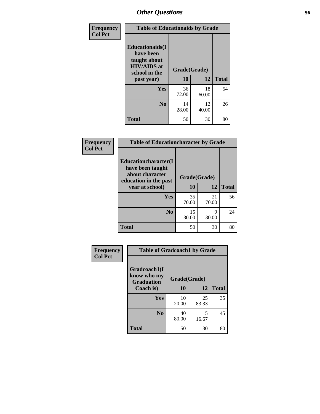| Frequency<br><b>Col Pct</b> | <b>Table of Educationaids by Grade</b>                                                      |              |             |              |  |  |
|-----------------------------|---------------------------------------------------------------------------------------------|--------------|-------------|--------------|--|--|
|                             | <b>Educationaids</b> (I<br>have been<br>taught about<br><b>HIV/AIDS</b> at<br>school in the | Grade(Grade) |             |              |  |  |
|                             | past year)                                                                                  | 10           | 12          | <b>Total</b> |  |  |
|                             | Yes                                                                                         | 36<br>72.00  | 18<br>60.00 | 54           |  |  |
|                             | N <sub>0</sub>                                                                              | 14<br>28.00  | 12<br>40.00 | 26           |  |  |
|                             | <b>Total</b>                                                                                | 50           | 30          | 80           |  |  |

| Frequency      | <b>Table of Educationcharacter by Grade</b>                 |              |             |              |  |  |
|----------------|-------------------------------------------------------------|--------------|-------------|--------------|--|--|
| <b>Col Pct</b> | Educationcharacter(I<br>have been taught<br>about character |              |             |              |  |  |
|                | education in the past                                       | Grade(Grade) |             |              |  |  |
|                | year at school)                                             | 10           | 12          | <b>Total</b> |  |  |
|                | Yes                                                         | 35<br>70.00  | 21<br>70.00 | 56           |  |  |
|                | N <sub>0</sub>                                              | 15<br>30.00  | 9<br>30.00  | 24           |  |  |
|                | <b>Total</b>                                                | 50           | 30          | 80           |  |  |

| Frequency      | <b>Table of Gradcoach1 by Grade</b>              |              |             |              |
|----------------|--------------------------------------------------|--------------|-------------|--------------|
| <b>Col Pct</b> | Gradcoach1(I<br>know who my<br><b>Graduation</b> | Grade(Grade) |             |              |
|                | Coach is)                                        | 10           | 12          | <b>Total</b> |
|                | Yes                                              | 10<br>20.00  | 25<br>83.33 | 35           |
|                | N <sub>0</sub>                                   | 40<br>80.00  | 5<br>16.67  | 45           |
|                | <b>Total</b>                                     | 50           | 30          | 80           |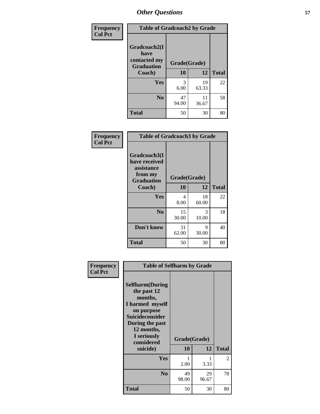| Frequency      | <b>Table of Gradcoach2 by Grade</b> |              |             |              |
|----------------|-------------------------------------|--------------|-------------|--------------|
| <b>Col Pct</b> | Gradcoach2(I<br>have                |              |             |              |
|                | contacted my<br><b>Graduation</b>   | Grade(Grade) |             |              |
|                | Coach)                              | 10           | 12          | <b>Total</b> |
|                | Yes                                 | 3<br>6.00    | 19<br>63.33 | 22           |
|                | N <sub>0</sub>                      | 47<br>94.00  | 11<br>36.67 | 58           |
|                | <b>Total</b>                        | 50           | 30          | 80           |

| Frequency<br><b>Col Pct</b> | <b>Table of Gradcoach3 by Grade</b>                                         |              |             |              |
|-----------------------------|-----------------------------------------------------------------------------|--------------|-------------|--------------|
|                             | Gradcoach3(I<br>have received<br>assistance<br>from my<br><b>Graduation</b> | Grade(Grade) |             |              |
|                             | Coach)                                                                      | 10           | 12          | <b>Total</b> |
|                             | Yes                                                                         | 4<br>8.00    | 18<br>60.00 | 22           |
|                             | N <sub>0</sub>                                                              | 15<br>30.00  | 3<br>10.00  | 18           |
|                             | Don't know                                                                  | 31<br>62.00  | 9<br>30.00  | 40           |
|                             | <b>Total</b>                                                                | 50           | 30          | 80           |

| Frequency      | <b>Table of Selfharm by Grade</b>                                                                                                                                                      |                    |             |              |
|----------------|----------------------------------------------------------------------------------------------------------------------------------------------------------------------------------------|--------------------|-------------|--------------|
| <b>Col Pct</b> | <b>Selfharm</b> (During<br>the past 12<br>months,<br>I harmed myself<br>on purpose<br><b>Suicideconsider</b><br>During the past<br>12 months,<br>I seriously<br>considered<br>suicide) | Grade(Grade)<br>10 | 12          | <b>Total</b> |
|                | Yes                                                                                                                                                                                    | 2.00               | 3.33        | 2            |
|                | N <sub>0</sub>                                                                                                                                                                         | 49<br>98.00        | 29<br>96.67 | 78           |
|                | Total                                                                                                                                                                                  | 50                 | 30          | 80           |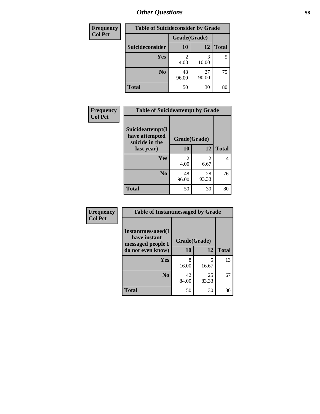| <b>Frequency</b> | <b>Table of Suicideconsider by Grade</b> |              |             |              |
|------------------|------------------------------------------|--------------|-------------|--------------|
| <b>Col Pct</b>   |                                          | Grade(Grade) |             |              |
|                  | Suicideconsider                          | <b>10</b>    | 12          | <b>Total</b> |
|                  | Yes                                      | 2<br>4.00    | 10.00       | 5            |
|                  | N <sub>0</sub>                           | 48<br>96.00  | 27<br>90.00 | 75           |
|                  | <b>Total</b>                             | 50           | 30          | 80           |

| Frequency      | <b>Table of Suicideattempt by Grade</b>              |                        |                                                                                                                                                                         |              |
|----------------|------------------------------------------------------|------------------------|-------------------------------------------------------------------------------------------------------------------------------------------------------------------------|--------------|
| <b>Col Pct</b> | Suicideattempt(I<br>have attempted<br>suicide in the | Grade(Grade)           |                                                                                                                                                                         |              |
|                | last year)                                           | 10                     | 12                                                                                                                                                                      | <b>Total</b> |
|                | Yes                                                  | $\mathfrak{D}$<br>4.00 | $\mathcal{D}_{\mathcal{A}}^{\mathcal{A}}(\mathcal{A})=\mathcal{D}_{\mathcal{A}}^{\mathcal{A}}(\mathcal{A})\mathcal{D}_{\mathcal{A}}^{\mathcal{A}}(\mathcal{A})$<br>6.67 | 4            |
|                | N <sub>0</sub>                                       | 48<br>96.00            | 28<br>93.33                                                                                                                                                             | 76           |
|                | <b>Total</b>                                         | 50                     | 30                                                                                                                                                                      | 80           |

| Frequency      | <b>Table of Instantmessaged by Grade</b>               |              |             |              |  |  |
|----------------|--------------------------------------------------------|--------------|-------------|--------------|--|--|
| <b>Col Pct</b> | Instantmessaged(I<br>have instant<br>messaged people I | Grade(Grade) |             |              |  |  |
|                | do not even know)                                      | 10           | 12          | <b>Total</b> |  |  |
|                | Yes                                                    | 8<br>16.00   | 5<br>16.67  | 13           |  |  |
|                | N <sub>0</sub>                                         | 42<br>84.00  | 25<br>83.33 | 67           |  |  |
|                | <b>Total</b>                                           | 50           | 30          | 80           |  |  |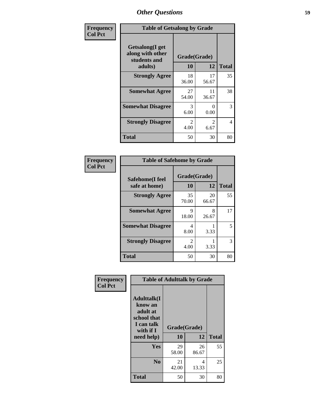| Frequency      | <b>Table of Getsalong by Grade</b>                          |                                     |                        |              |  |  |  |
|----------------|-------------------------------------------------------------|-------------------------------------|------------------------|--------------|--|--|--|
| <b>Col Pct</b> | <b>Getsalong</b> (I get<br>along with other<br>students and | Grade(Grade)                        |                        |              |  |  |  |
|                | adults)                                                     | 10                                  | 12                     | <b>Total</b> |  |  |  |
|                | <b>Strongly Agree</b>                                       | 18<br>36.00                         | 17<br>56.67            | 35           |  |  |  |
|                | <b>Somewhat Agree</b>                                       | 27<br>54.00                         | 11<br>36.67            | 38           |  |  |  |
|                | <b>Somewhat Disagree</b>                                    | 3<br>6.00                           | 0<br>0.00              | 3            |  |  |  |
|                | <b>Strongly Disagree</b>                                    | $\mathcal{D}_{\mathcal{L}}$<br>4.00 | $\mathfrak{D}$<br>6.67 | 4            |  |  |  |
|                | <b>Total</b>                                                | 50                                  | 30                     | 80           |  |  |  |

| Frequency      |                                  | <b>Table of Safehome by Grade</b> |             |              |  |
|----------------|----------------------------------|-----------------------------------|-------------|--------------|--|
| <b>Col Pct</b> | Safehome(I feel<br>safe at home) | Grade(Grade)<br>10                | 12          | <b>Total</b> |  |
|                | <b>Strongly Agree</b>            | 35<br>70.00                       | 20<br>66.67 | 55           |  |
|                | <b>Somewhat Agree</b>            | 9<br>18.00                        | 8<br>26.67  | 17           |  |
|                | <b>Somewhat Disagree</b>         | 4<br>8.00                         | 3.33        | 5            |  |
|                | <b>Strongly Disagree</b>         | $\mathfrak{D}$<br>4.00            | 3.33        | 3            |  |
|                | <b>Total</b>                     | 50                                | 30          | 80           |  |

| Frequency<br><b>Col Pct</b> | <b>Table of Adulttalk by Grade</b>                                                   |              |             |              |  |  |
|-----------------------------|--------------------------------------------------------------------------------------|--------------|-------------|--------------|--|--|
|                             | <b>Adulttalk</b> (I<br>know an<br>adult at<br>school that<br>I can talk<br>with if I | Grade(Grade) |             |              |  |  |
|                             | need help)                                                                           | 10           | 12          | <b>Total</b> |  |  |
|                             | Yes                                                                                  | 29<br>58.00  | 26<br>86.67 | 55           |  |  |
|                             | N <sub>0</sub>                                                                       | 21<br>42.00  | 4<br>13.33  | 25           |  |  |
|                             | <b>Total</b>                                                                         | 50           | 30          | 80           |  |  |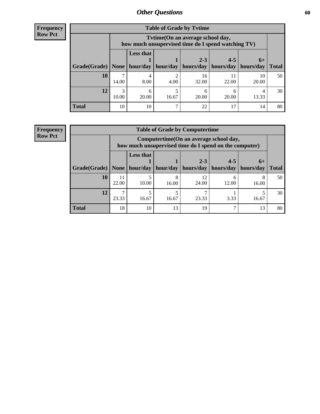**Frequency Row Pct**

| <b>Table of Grade by Tytime</b> |            |                                                                                        |       |                                            |                                    |             |              |  |
|---------------------------------|------------|----------------------------------------------------------------------------------------|-------|--------------------------------------------|------------------------------------|-------------|--------------|--|
|                                 |            | Tvtime(On an average school day,<br>how much unsupervised time do I spend watching TV) |       |                                            |                                    |             |              |  |
| Grade(Grade)   None             |            | <b>Less that</b>                                                                       |       | $2 - 3$<br>hour/day   hour/day   hours/day | $4 - 5$<br>  hours/day   hours/day | $6+$        | <b>Total</b> |  |
| 10                              | 14.00      | 4<br>8.00                                                                              | 4.00  | 16<br>32.00                                | 22.00                              | 10<br>20.00 | 50           |  |
| 12                              | 3<br>10.00 | 6<br>20.00                                                                             | 16.67 | 20.00                                      | 20.00                              | 13.33       | 30           |  |
| <b>Total</b>                    | 10         | 10                                                                                     | ┑     | 22                                         |                                    | 14          | 80           |  |

**Frequency Row Pct**

| <b>Table of Grade by Computertime</b> |             |                                                                                                   |            |                      |                      |                   |              |  |
|---------------------------------------|-------------|---------------------------------------------------------------------------------------------------|------------|----------------------|----------------------|-------------------|--------------|--|
|                                       |             | Computertime (On an average school day,<br>how much unsupervised time do I spend on the computer) |            |                      |                      |                   |              |  |
| Grade(Grade)                          | None        | <b>Less that</b><br>hour/day                                                                      | hour/day   | $2 - 3$<br>hours/day | $4 - 5$<br>hours/day | $6+$<br>hours/day | <b>Total</b> |  |
| 10                                    | 11<br>22.00 | 10.00                                                                                             | 8<br>16.00 | 12<br>24.00          | 6<br>12.00           | 16.00             | 50           |  |
| 12                                    | 23.33       | 16.67                                                                                             | 16.67      | 23.33                | 3.33                 | 16.67             | 30           |  |
| <b>Total</b>                          | 18          | 10                                                                                                | 13         | 19                   |                      | 13                | 80           |  |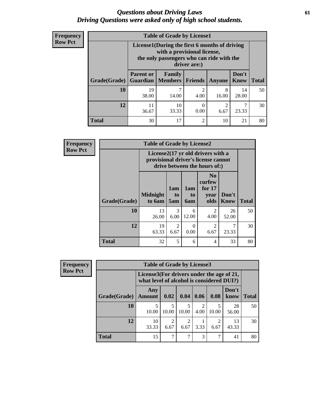### *Questions about Driving Laws* **61** *Driving Questions were asked only of high school students.*

| <b>Frequency</b> |
|------------------|
| <b>Row Pct</b>   |

| <b>Table of Grade by License1</b> |                                                                                                                                           |                            |                        |               |                      |              |  |  |  |
|-----------------------------------|-------------------------------------------------------------------------------------------------------------------------------------------|----------------------------|------------------------|---------------|----------------------|--------------|--|--|--|
|                                   | License1(During the first 6 months of driving<br>with a provisional license,<br>the only passengers who can ride with the<br>driver are:) |                            |                        |               |                      |              |  |  |  |
| Grade(Grade)                      | <b>Parent or</b><br><b>Guardian</b>                                                                                                       | <b>Family</b><br>  Members | <b>Friends</b>         | <b>Anyone</b> | Don't<br><b>Know</b> | <b>Total</b> |  |  |  |
| 10                                | 19<br>38.00                                                                                                                               | 14.00                      | $\mathfrak{D}$<br>4.00 | 8<br>16.00    | 14<br>28.00          | 50           |  |  |  |
| 12                                | 11<br>36.67                                                                                                                               | 10<br>33.33                | 0<br>0.00              | 2<br>6.67     | 23.33                | 30           |  |  |  |
| <b>Total</b>                      | 30                                                                                                                                        | 17                         | $\overline{2}$         | 10            | 21                   | 80           |  |  |  |

| <b>Frequency</b> | <b>Table of Grade by License2</b> |                                                                                                          |                        |                         |                                                      |                      |              |  |  |
|------------------|-----------------------------------|----------------------------------------------------------------------------------------------------------|------------------------|-------------------------|------------------------------------------------------|----------------------|--------------|--|--|
| <b>Row Pct</b>   |                                   | License2(17 yr old drivers with a<br>provisional driver's license cannot<br>drive between the hours of:) |                        |                         |                                                      |                      |              |  |  |
|                  | Grade(Grade)                      | <b>Midnight</b><br>to 6am                                                                                | 1am<br>to<br>5am       | 1am<br>to<br><b>6am</b> | N <sub>0</sub><br>curfew<br>for $17$<br>year<br>olds | Don't<br><b>Know</b> | <b>Total</b> |  |  |
|                  | 10                                | 13<br>26.00                                                                                              | 3<br>6.00              | 6<br>12.00              | $\overline{2}$<br>4.00                               | 26<br>52.00          | 50           |  |  |
|                  | 12                                | 19<br>63.33                                                                                              | $\overline{2}$<br>6.67 | $\Omega$<br>0.00        | $\overline{c}$<br>6.67                               | 7<br>23.33           | 30           |  |  |
|                  | <b>Total</b>                      | 32                                                                                                       | 5                      | 6                       | $\overline{4}$                                       | 33                   | 80           |  |  |

| Frequency      | <b>Table of Grade by License3</b> |                                                                                        |       |       |                       |           |               |              |
|----------------|-----------------------------------|----------------------------------------------------------------------------------------|-------|-------|-----------------------|-----------|---------------|--------------|
| <b>Row Pct</b> |                                   | License3(For drivers under the age of 21,<br>what level of alcohol is considered DUI?) |       |       |                       |           |               |              |
|                | Grade(Grade)                      | Any<br><b>Amount</b>                                                                   | 0.02  | 0.04  | 0.06                  | 0.08      | Don't<br>know | <b>Total</b> |
|                | <b>10</b>                         | 10.00                                                                                  | 10.00 | 10.00 | $\mathcal{D}$<br>4.00 | 10.00     | 28<br>56.00   | 50           |
|                | 12                                | 10<br>33.33                                                                            | 6.67  | 6.67  | 3.33                  | 2<br>6.67 | 13<br>43.33   | 30           |
|                | <b>Total</b>                      | 15                                                                                     | ⇁     | 7     | 3                     | 7         | 41            | 80           |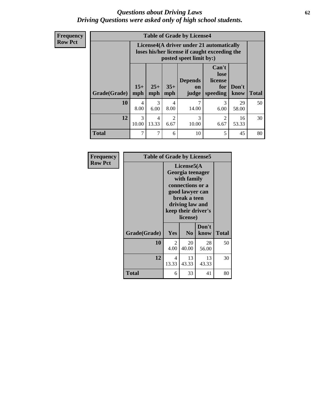### *Questions about Driving Laws* **62** *Driving Questions were asked only of high school students.*

**Frequency Row Pct**

| <b>Table of Grade by License4</b> |                |                                                                                                                      |                        |                                          |                                             |               |              |  |
|-----------------------------------|----------------|----------------------------------------------------------------------------------------------------------------------|------------------------|------------------------------------------|---------------------------------------------|---------------|--------------|--|
|                                   |                | License4(A driver under 21 automatically<br>loses his/her license if caught exceeding the<br>posted speet limit by:) |                        |                                          |                                             |               |              |  |
| Grade(Grade)                      | $15+$<br>mph   | $25+$<br>mph                                                                                                         | $35+$<br>mph           | <b>Depends</b><br>$\mathbf{on}$<br>judge | Can't<br>lose<br>license<br>for<br>speeding | Don't<br>know | <b>Total</b> |  |
| 10                                | 4<br>8.00      | 3<br>6.00                                                                                                            | 4<br>8.00              | 7<br>14.00                               | 3<br>6.00                                   | 29<br>58.00   | 50           |  |
| 12                                | 3<br>10.00     | 4<br>13.33                                                                                                           | $\mathfrak{D}$<br>6.67 | 3<br>10.00                               | $\mathfrak{D}$<br>6.67                      | 16<br>53.33   | 30           |  |
| <b>Total</b>                      | $\overline{7}$ | 7                                                                                                                    | 6                      | 10                                       | 5                                           | 45            | 80           |  |

| Frequency      | <b>Table of Grade by License5</b> |                                                                                                                                                             |                |               |       |  |  |
|----------------|-----------------------------------|-------------------------------------------------------------------------------------------------------------------------------------------------------------|----------------|---------------|-------|--|--|
| <b>Row Pct</b> |                                   | License5(A)<br>Georgia teenager<br>with family<br>connections or a<br>good lawyer can<br>break a teen<br>driving law and<br>keep their driver's<br>license) |                |               |       |  |  |
|                | Grade(Grade)                      | <b>Yes</b>                                                                                                                                                  | N <sub>0</sub> | Don't<br>know | Total |  |  |
|                | 10                                | 2<br>4.00                                                                                                                                                   | 20<br>40.00    | 28<br>56.00   | 50    |  |  |
|                | 12                                | 4<br>13.33                                                                                                                                                  | 13<br>43.33    | 13<br>43.33   | 30    |  |  |
|                | <b>Total</b>                      | 6                                                                                                                                                           | 33             | 41            | 80    |  |  |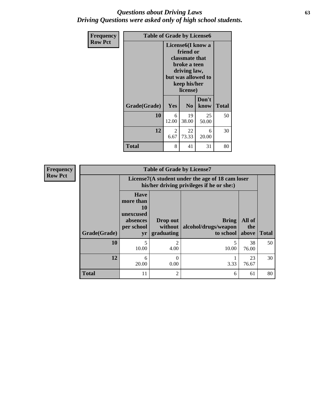### *Questions about Driving Laws* **63** *Driving Questions were asked only of high school students.*

| <b>Frequency</b> | <b>Table of Grade by License6</b> |                                                                                                                                                 |                |               |              |
|------------------|-----------------------------------|-------------------------------------------------------------------------------------------------------------------------------------------------|----------------|---------------|--------------|
| <b>Row Pct</b>   |                                   | License <sub>6</sub> (I know a<br>friend or<br>classmate that<br>broke a teen<br>driving law,<br>but was allowed to<br>keep his/her<br>license) |                |               |              |
|                  | Grade(Grade)                      | Yes                                                                                                                                             | N <sub>0</sub> | Don't<br>know | <b>Total</b> |
|                  | 10                                | 6<br>12.00                                                                                                                                      | 19<br>38.00    | 25<br>50.00   | 50           |
|                  | 12                                | 2<br>6.67                                                                                                                                       | 22<br>73.33    | 6<br>20.00    | 30           |
|                  | <b>Total</b>                      | 8                                                                                                                                               | 41             | 31            | 80           |

| <b>Frequency</b> |              |                                                                             | <b>Table of Grade by License7</b>                                                             |                                                   |                        |              |  |  |
|------------------|--------------|-----------------------------------------------------------------------------|-----------------------------------------------------------------------------------------------|---------------------------------------------------|------------------------|--------------|--|--|
| <b>Row Pct</b>   |              |                                                                             | License7(A student under the age of 18 cam loser<br>his/her driving privileges if he or she:) |                                                   |                        |              |  |  |
|                  | Grade(Grade) | <b>Have</b><br>more than<br>10<br>unexcused<br>absences<br>per school<br>yr | Drop out<br>without  <br>graduating                                                           | <b>Bring</b><br>alcohol/drugs/weapon<br>to school | All of<br>the<br>above | <b>Total</b> |  |  |
|                  | 10           | 5<br>10.00                                                                  | $\mathcal{P}$<br>4.00                                                                         | 10.00                                             | 38<br>76.00            | 50           |  |  |
|                  | 12           | 6<br>20.00                                                                  | 0<br>0.00                                                                                     | 3.33                                              | 23<br>76.67            | 30           |  |  |
|                  | <b>Total</b> | 11                                                                          | $\overline{2}$                                                                                | 6                                                 | 61                     | 80           |  |  |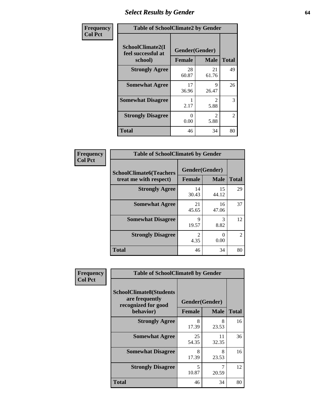# *Select Results by Gender* **64**

| Frequency      |                                                   | <b>Table of SchoolClimate2 by Gender</b> |                       |                |  |  |
|----------------|---------------------------------------------------|------------------------------------------|-----------------------|----------------|--|--|
| <b>Col Pct</b> | SchoolClimate2(I<br>feel successful at<br>school) | Gender(Gender)<br><b>Female</b>          | <b>Male</b>           | <b>Total</b>   |  |  |
|                | <b>Strongly Agree</b>                             | 28<br>60.87                              | 21<br>61.76           | 49             |  |  |
|                | <b>Somewhat Agree</b>                             | 17<br>36.96                              | 9<br>26.47            | 26             |  |  |
|                | <b>Somewhat Disagree</b>                          | 2.17                                     | $\mathcal{D}$<br>5.88 | 3              |  |  |
|                | <b>Strongly Disagree</b>                          | 0<br>0.00                                | $\mathcal{L}$<br>5.88 | $\overline{2}$ |  |  |
|                | <b>Total</b>                                      | 46                                       | 34                    | 80             |  |  |

| <b>Frequency</b> | <b>Table of SchoolClimate6 by Gender</b>                 |                                 |                  |                |
|------------------|----------------------------------------------------------|---------------------------------|------------------|----------------|
| <b>Col Pct</b>   | <b>SchoolClimate6(Teachers</b><br>treat me with respect) | Gender(Gender)<br><b>Female</b> | <b>Total</b>     |                |
|                  | <b>Strongly Agree</b>                                    | 14<br>30.43                     | 15<br>44.12      | 29             |
|                  | <b>Somewhat Agree</b>                                    | 21<br>45.65                     | 16<br>47.06      | 37             |
|                  | <b>Somewhat Disagree</b>                                 | 9<br>19.57                      | 3<br>8.82        | 12             |
|                  | <b>Strongly Disagree</b>                                 | $\mathfrak{D}$<br>4.35          | $\theta$<br>0.00 | $\mathfrak{D}$ |
|                  | <b>Total</b>                                             | 46                              | 34               | 80             |

| <b>Frequency</b> | <b>Table of SchoolClimate8 by Gender</b>                                             |                                 |              |    |
|------------------|--------------------------------------------------------------------------------------|---------------------------------|--------------|----|
| <b>Col Pct</b>   | <b>SchoolClimate8(Students</b><br>are frequently<br>recognized for good<br>behavior) | Gender(Gender)<br><b>Female</b> | <b>Total</b> |    |
|                  |                                                                                      |                                 | <b>Male</b>  |    |
|                  | <b>Strongly Agree</b>                                                                | 8<br>17.39                      | 8<br>23.53   | 16 |
|                  | <b>Somewhat Agree</b>                                                                | 25<br>54.35                     | 11<br>32.35  | 36 |
|                  | <b>Somewhat Disagree</b>                                                             | 8<br>17.39                      | 8<br>23.53   | 16 |
|                  | <b>Strongly Disagree</b>                                                             | 5<br>10.87                      | 7<br>20.59   | 12 |
|                  | Total                                                                                | 46                              | 34           | 80 |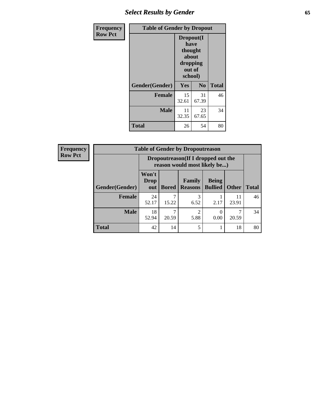## *Select Results by Gender* **65**

| Frequency      | <b>Table of Gender by Dropout</b> |                                                                        |                |              |  |
|----------------|-----------------------------------|------------------------------------------------------------------------|----------------|--------------|--|
| <b>Row Pct</b> |                                   | Dropout(I<br>have<br>thought<br>about<br>dropping<br>out of<br>school) |                |              |  |
|                | Gender(Gender)                    | Yes                                                                    | N <sub>0</sub> | <b>Total</b> |  |
|                | <b>Female</b>                     | 15<br>32.61                                                            | 31<br>67.39    | 46           |  |
|                | <b>Male</b>                       | 11<br>32.35                                                            | 23<br>67.65    | 34           |  |
|                | <b>Total</b>                      | 26                                                                     | 54             | 80           |  |

| <b>Frequency</b> | <b>Table of Gender by Dropoutreason</b> |                      |                                                                    |                          |                                |              |              |
|------------------|-----------------------------------------|----------------------|--------------------------------------------------------------------|--------------------------|--------------------------------|--------------|--------------|
| <b>Row Pct</b>   |                                         |                      | Dropoutreason(If I dropped out the<br>reason would most likely be) |                          |                                |              |              |
|                  | Gender(Gender)                          | Won't<br>Drop<br>out | <b>Bored</b>                                                       | Family<br><b>Reasons</b> | <b>Being</b><br><b>Bullied</b> | <b>Other</b> | <b>Total</b> |
|                  | <b>Female</b>                           | 24<br>52.17          | ┑<br>15.22                                                         | 3<br>6.52                | 2.17                           | 11<br>23.91  | 46           |
|                  | <b>Male</b>                             | 18<br>52.94          | 7<br>20.59                                                         | ∍<br>5.88                | 0.00                           | 20.59        | 34           |
|                  | <b>Total</b>                            | 42                   | 14                                                                 | 5                        |                                | 18           | 80           |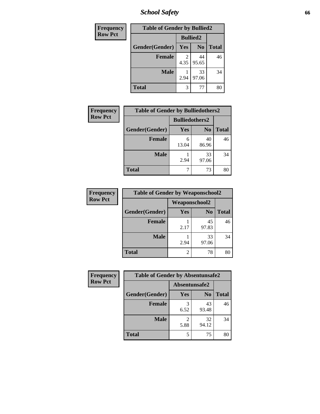*School Safety* **66**

| Frequency      | <b>Table of Gender by Bullied2</b> |                 |                |              |
|----------------|------------------------------------|-----------------|----------------|--------------|
| <b>Row Pct</b> |                                    | <b>Bullied2</b> |                |              |
|                | Gender(Gender)                     | Yes             | N <sub>0</sub> | <b>Total</b> |
|                | <b>Female</b>                      | 2<br>4.35       | 44<br>95.65    | 46           |
|                | <b>Male</b>                        | 2.94            | 33<br>97.06    | 34           |
|                | <b>Total</b>                       | 3               | 77             | 80           |

| <b>Frequency</b> | <b>Table of Gender by Bulliedothers2</b> |                       |                |              |
|------------------|------------------------------------------|-----------------------|----------------|--------------|
| <b>Row Pct</b>   |                                          | <b>Bulliedothers2</b> |                |              |
|                  | Gender(Gender)                           | Yes                   | N <sub>0</sub> | <b>Total</b> |
|                  | <b>Female</b>                            | 6<br>13.04            | 40<br>86.96    | 46           |
|                  | <b>Male</b>                              | 2.94                  | 33<br>97.06    | 34           |
|                  | <b>Total</b>                             |                       | 73             | 80           |

| Frequency      | <b>Table of Gender by Weaponschool2</b> |                      |                |              |
|----------------|-----------------------------------------|----------------------|----------------|--------------|
| <b>Row Pct</b> |                                         | <b>Weaponschool2</b> |                |              |
|                | Gender(Gender)                          | Yes                  | N <sub>0</sub> | <b>Total</b> |
|                | <b>Female</b>                           | 2.17                 | 45<br>97.83    | 46           |
|                | <b>Male</b>                             | 2.94                 | 33<br>97.06    | 34           |
|                | <b>Total</b>                            | 2                    | 78             |              |

| Frequency      | <b>Table of Gender by Absentunsafe2</b> |               |                |              |
|----------------|-----------------------------------------|---------------|----------------|--------------|
| <b>Row Pct</b> |                                         | Absentunsafe2 |                |              |
|                | Gender(Gender)                          | Yes           | N <sub>0</sub> | <b>Total</b> |
|                | <b>Female</b>                           | 6.52          | 43<br>93.48    | 46           |
|                | <b>Male</b>                             | 5.88          | 32<br>94.12    | 34           |
|                | <b>Total</b>                            |               | 75             | 80           |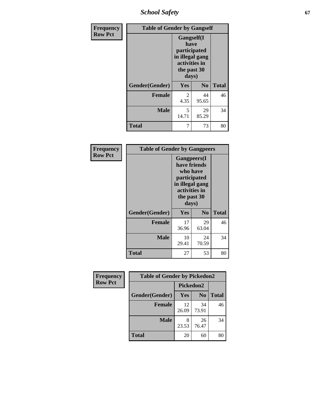*School Safety* **67**

| Frequency      | <b>Table of Gender by Gangself</b> |                                                                                                        |                |              |
|----------------|------------------------------------|--------------------------------------------------------------------------------------------------------|----------------|--------------|
| <b>Row Pct</b> |                                    | <b>Gangself</b> (I<br>have<br>participated<br>in illegal gang<br>activities in<br>the past 30<br>days) |                |              |
|                | Gender(Gender)                     | Yes                                                                                                    | N <sub>0</sub> | <b>Total</b> |
|                | <b>Female</b>                      | 2<br>4.35                                                                                              | 44<br>95.65    | 46           |
|                | <b>Male</b>                        | 5<br>14.71                                                                                             | 29<br>85.29    | 34           |
|                | <b>Total</b>                       | 7                                                                                                      | 73             | 80           |

| Frequency      | <b>Table of Gender by Gangpeers</b> |                                                                                                                             |                |              |
|----------------|-------------------------------------|-----------------------------------------------------------------------------------------------------------------------------|----------------|--------------|
| <b>Row Pct</b> |                                     | <b>Gangpeers</b> (I<br>have friends<br>who have<br>participated<br>in illegal gang<br>activities in<br>the past 30<br>days) |                |              |
|                | Gender(Gender)                      | <b>Yes</b>                                                                                                                  | N <sub>0</sub> | <b>Total</b> |
|                | <b>Female</b>                       | 17<br>36.96                                                                                                                 | 29<br>63.04    | 46           |
|                | <b>Male</b>                         | 10<br>29.41                                                                                                                 | 24<br>70.59    | 34           |
|                | Total                               | 27                                                                                                                          | 53             | 80           |

| Frequency      | <b>Table of Gender by Pickedon2</b> |             |                |              |
|----------------|-------------------------------------|-------------|----------------|--------------|
| <b>Row Pct</b> |                                     | Pickedon2   |                |              |
|                | Gender(Gender)                      | <b>Yes</b>  | N <sub>0</sub> | <b>Total</b> |
|                | <b>Female</b>                       | 12<br>26.09 | 34<br>73.91    | 46           |
|                | <b>Male</b>                         | 8<br>23.53  | 26<br>76.47    | 34           |
|                | <b>Total</b>                        | 20          | 60             | 80           |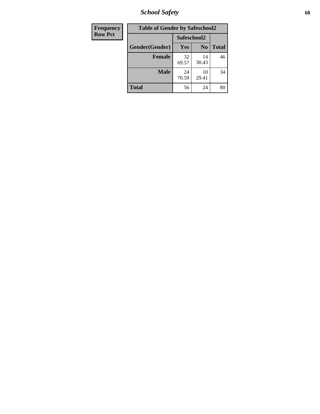*School Safety* **68**

| Frequency      | <b>Table of Gender by Safeschool2</b> |             |                |              |
|----------------|---------------------------------------|-------------|----------------|--------------|
| <b>Row Pct</b> |                                       | Safeschool2 |                |              |
|                | Gender(Gender)                        | <b>Yes</b>  | N <sub>0</sub> | <b>Total</b> |
|                | <b>Female</b>                         | 32<br>69.57 | 14<br>30.43    | 46           |
|                | <b>Male</b>                           | 24<br>70.59 | 10<br>29.41    | 34           |
|                | <b>Total</b>                          | 56          | 24             | 80           |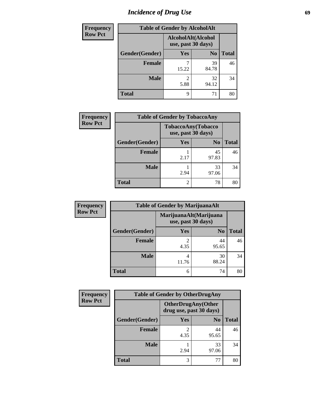# *Incidence of Drug Use* 69

| <b>Frequency</b> | <b>Table of Gender by AlcoholAlt</b> |                                          |                |              |  |
|------------------|--------------------------------------|------------------------------------------|----------------|--------------|--|
| <b>Row Pct</b>   |                                      | AlcoholAlt(Alcohol<br>use, past 30 days) |                |              |  |
|                  | Gender(Gender)                       | Yes                                      | N <sub>0</sub> | <b>Total</b> |  |
|                  | <b>Female</b>                        | 15.22                                    | 39<br>84.78    | 46           |  |
|                  | <b>Male</b>                          | $\mathfrak{D}$<br>5.88                   | 32<br>94.12    | 34           |  |
|                  | <b>Total</b>                         | q                                        | 71             | 80           |  |

| Frequency      | <b>Table of Gender by TobaccoAny</b> |                                          |                |              |  |
|----------------|--------------------------------------|------------------------------------------|----------------|--------------|--|
| <b>Row Pct</b> |                                      | TobaccoAny(Tobacco<br>use, past 30 days) |                |              |  |
|                | Gender(Gender)                       | Yes                                      | N <sub>0</sub> | <b>Total</b> |  |
|                | <b>Female</b>                        | 2.17                                     | 45<br>97.83    | 46           |  |
|                | <b>Male</b>                          | 2.94                                     | 33<br>97.06    | 34           |  |
|                | <b>Total</b>                         | 2                                        | 78             | 80           |  |

| <b>Frequency</b> | <b>Table of Gender by MarijuanaAlt</b> |                                              |                |              |
|------------------|----------------------------------------|----------------------------------------------|----------------|--------------|
| <b>Row Pct</b>   |                                        | MarijuanaAlt(Marijuana<br>use, past 30 days) |                |              |
|                  | Gender(Gender)                         | <b>Yes</b>                                   | N <sub>0</sub> | <b>Total</b> |
|                  | <b>Female</b>                          | 2<br>4.35                                    | 44<br>95.65    | 46           |
|                  | <b>Male</b>                            | 4<br>11.76                                   | 30<br>88.24    | 34           |
|                  | <b>Total</b>                           | 6                                            | 74             | 80           |

| <b>Frequency</b> | <b>Table of Gender by OtherDrugAny</b> |                                                      |                |              |  |
|------------------|----------------------------------------|------------------------------------------------------|----------------|--------------|--|
| <b>Row Pct</b>   |                                        | <b>OtherDrugAny(Other</b><br>drug use, past 30 days) |                |              |  |
|                  | Gender(Gender)                         | <b>Yes</b>                                           | N <sub>0</sub> | <b>Total</b> |  |
|                  | <b>Female</b>                          | 2<br>4.35                                            | 44<br>95.65    | 46           |  |
|                  | <b>Male</b>                            | 2.94                                                 | 33<br>97.06    | 34           |  |
|                  | <b>Total</b>                           | 3                                                    | 77             | 80           |  |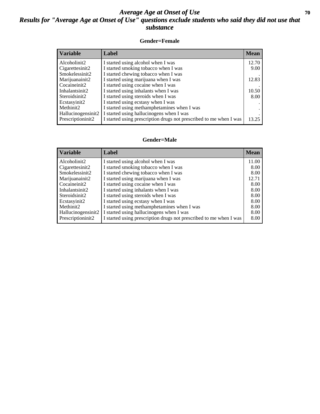### *Average Age at Onset of Use* 70 *Results for "Average Age at Onset of Use" questions exclude students who said they did not use that substance*

#### **Gender=Female**

| <b>Variable</b>                 | Label                                                              | <b>Mean</b> |
|---------------------------------|--------------------------------------------------------------------|-------------|
| Alcoholinit2                    | I started using alcohol when I was                                 | 12.70       |
| Cigarettesinit2                 | I started smoking tobacco when I was                               | 9.00        |
| Smokelessinit2                  | I started chewing tobacco when I was                               |             |
| Marijuanainit2                  | I started using marijuana when I was                               | 12.83       |
| Cocaineinit2                    | I started using cocaine when I was                                 |             |
| Inhalantsinit2                  | I started using inhalants when I was                               | 10.50       |
| Steroidsinit2                   | I started using steroids when I was                                | 8.00        |
| Ecstasyinit2                    | I started using ecstasy when I was                                 |             |
| Methinit2                       | I started using methamphetamines when I was                        |             |
| Hallucinogensinit2              | I started using hallucinogens when I was                           |             |
| Prescription in it <sub>2</sub> | I started using prescription drugs not prescribed to me when I was | 13.25       |

#### **Gender=Male**

| <b>Variable</b>                 | Label                                                              | <b>Mean</b> |
|---------------------------------|--------------------------------------------------------------------|-------------|
| Alcoholinit2                    | I started using alcohol when I was                                 | 11.00       |
| Cigarettesinit2                 | I started smoking tobacco when I was                               | 8.00        |
| Smokelessinit2                  | I started chewing tobacco when I was                               | 8.00        |
| Marijuanainit2                  | I started using marijuana when I was                               | 12.71       |
| Cocaineinit2                    | I started using cocaine when I was                                 | 8.00        |
| Inhalantsinit2                  | I started using inhalants when I was                               | 8.00        |
| Steroidsinit2                   | I started using steroids when I was                                | 8.00        |
| Ecstasyinit2                    | I started using ecstasy when I was                                 | 8.00        |
| Methinit2                       | I started using methamphetamines when I was                        | 8.00        |
| Hallucinogensinit2              | I started using hallucinogens when I was                           | 8.00        |
| Prescription in it <sub>2</sub> | I started using prescription drugs not prescribed to me when I was | 8.00        |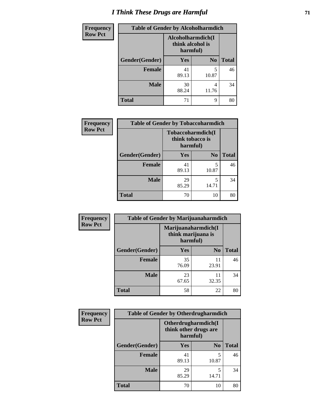# *I Think These Drugs are Harmful* **71**

| Frequency      | <b>Table of Gender by Alcoholharmdich</b> |                                                   |                |              |  |
|----------------|-------------------------------------------|---------------------------------------------------|----------------|--------------|--|
| <b>Row Pct</b> |                                           | Alcoholharmdich(I<br>think alcohol is<br>harmful) |                |              |  |
|                | Gender(Gender)                            | <b>Yes</b>                                        | N <sub>0</sub> | <b>Total</b> |  |
|                | Female                                    | 41<br>89.13                                       | 5<br>10.87     | 46           |  |
|                | <b>Male</b>                               | 30<br>88.24                                       | 4<br>11.76     | 34           |  |
|                | <b>Total</b>                              | 71                                                | 9              | 80           |  |

| Frequency      | <b>Table of Gender by Tobaccoharmdich</b> |                  |                               |              |  |
|----------------|-------------------------------------------|------------------|-------------------------------|--------------|--|
| <b>Row Pct</b> |                                           | think tobacco is | Tobaccoharmdich(I<br>harmful) |              |  |
|                | Gender(Gender)                            | Yes              | N <sub>0</sub>                | <b>Total</b> |  |
|                | <b>Female</b>                             | 41<br>89.13      | 5<br>10.87                    | 46           |  |
|                | <b>Male</b>                               | 29<br>85.29      | 5<br>14.71                    | 34           |  |
|                | <b>Total</b>                              | 70               | 10                            | 80           |  |

| Frequency      | <b>Table of Gender by Marijuanaharmdich</b> |                                                       |                |              |  |
|----------------|---------------------------------------------|-------------------------------------------------------|----------------|--------------|--|
| <b>Row Pct</b> |                                             | Marijuanaharmdich(I<br>think marijuana is<br>harmful) |                |              |  |
|                | Gender(Gender)                              | <b>Yes</b>                                            | N <sub>0</sub> | <b>Total</b> |  |
|                | <b>Female</b>                               | 35<br>76.09                                           | 11<br>23.91    | 46           |  |
|                | <b>Male</b>                                 | 23<br>67.65                                           | 11<br>32.35    | 34           |  |
|                | <b>Total</b>                                | 58                                                    | 22             | 80           |  |

| Frequency      | <b>Table of Gender by Otherdrugharmdich</b> |             |                                              |              |  |
|----------------|---------------------------------------------|-------------|----------------------------------------------|--------------|--|
| <b>Row Pct</b> |                                             | harmful)    | Otherdrugharmdich(I<br>think other drugs are |              |  |
|                | Gender(Gender)                              | <b>Yes</b>  | N <sub>0</sub>                               | <b>Total</b> |  |
|                | <b>Female</b>                               | 41<br>89.13 | 5<br>10.87                                   | 46           |  |
|                | <b>Male</b>                                 | 29<br>85.29 | 5<br>14.71                                   | 34           |  |
|                | <b>Total</b>                                | 70          | 10                                           | 80           |  |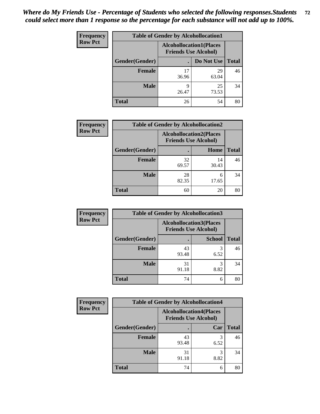| <b>Frequency</b> | <b>Table of Gender by Alcohollocation1</b> |                                                               |             |              |  |
|------------------|--------------------------------------------|---------------------------------------------------------------|-------------|--------------|--|
| <b>Row Pct</b>   |                                            | <b>Alcohollocation1(Places</b><br><b>Friends Use Alcohol)</b> |             |              |  |
|                  | Gender(Gender)                             |                                                               | Do Not Use  | <b>Total</b> |  |
|                  | <b>Female</b>                              | 17<br>36.96                                                   | 29<br>63.04 | 46           |  |
|                  | <b>Male</b>                                | Q<br>26.47                                                    | 25<br>73.53 | 34           |  |
|                  | <b>Total</b>                               | 26                                                            | 54          | 80           |  |

| <b>Frequency</b> | <b>Table of Gender by Alcohollocation2</b> |                                                               |             |              |  |
|------------------|--------------------------------------------|---------------------------------------------------------------|-------------|--------------|--|
| <b>Row Pct</b>   |                                            | <b>Alcohollocation2(Places</b><br><b>Friends Use Alcohol)</b> |             |              |  |
|                  | Gender(Gender)                             |                                                               | Home        | <b>Total</b> |  |
|                  | <b>Female</b>                              | 32<br>69.57                                                   | 14<br>30.43 | 46           |  |
|                  | <b>Male</b>                                | 28<br>82.35                                                   | 6<br>17.65  | 34           |  |
|                  | <b>Total</b>                               | 60                                                            | 20          | 80           |  |

| Frequency      | <b>Table of Gender by Alcohollocation3</b> |                                                               |               |              |
|----------------|--------------------------------------------|---------------------------------------------------------------|---------------|--------------|
| <b>Row Pct</b> |                                            | <b>Alcohollocation3(Places</b><br><b>Friends Use Alcohol)</b> |               |              |
|                | Gender(Gender)                             |                                                               | <b>School</b> | <b>Total</b> |
|                | <b>Female</b>                              | 43<br>93.48                                                   | 6.52          | 46           |
|                | <b>Male</b>                                | 31<br>91.18                                                   | 8.82          | 34           |
|                | <b>Total</b>                               | 74                                                            | 6             | 80           |

| Frequency      | <b>Table of Gender by Alcohollocation4</b> |                                                               |           |              |
|----------------|--------------------------------------------|---------------------------------------------------------------|-----------|--------------|
| <b>Row Pct</b> |                                            | <b>Alcohollocation4(Places</b><br><b>Friends Use Alcohol)</b> |           |              |
|                | Gender(Gender)                             |                                                               | Car       | <b>Total</b> |
|                | <b>Female</b>                              | 43<br>93.48                                                   | 6.52      | 46           |
|                | <b>Male</b>                                | 31<br>91.18                                                   | 3<br>8.82 | 34           |
|                | <b>Total</b>                               | 74                                                            | 6         | 80           |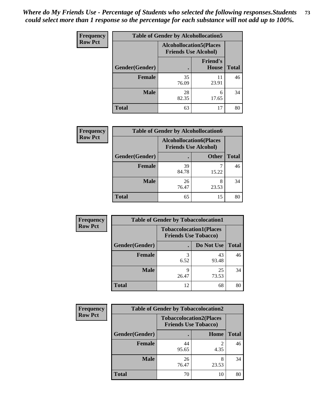| <b>Frequency</b> | <b>Table of Gender by Alcohollocation5</b> |                                                               |                                 |              |
|------------------|--------------------------------------------|---------------------------------------------------------------|---------------------------------|--------------|
| <b>Row Pct</b>   |                                            | <b>Alcohollocation5(Places</b><br><b>Friends Use Alcohol)</b> |                                 |              |
|                  | Gender(Gender)                             |                                                               | <b>Friend's</b><br><b>House</b> | <b>Total</b> |
|                  | <b>Female</b>                              | 35<br>76.09                                                   | 11<br>23.91                     | 46           |
|                  | <b>Male</b>                                | 28<br>82.35                                                   | 6<br>17.65                      | 34           |
|                  | <b>Total</b>                               | 63                                                            | 17                              | 80           |

| <b>Frequency</b> |                | <b>Table of Gender by Alcohollocation6</b>                    |              |              |
|------------------|----------------|---------------------------------------------------------------|--------------|--------------|
| <b>Row Pct</b>   |                | <b>Alcohollocation6(Places</b><br><b>Friends Use Alcohol)</b> |              |              |
|                  | Gender(Gender) |                                                               | <b>Other</b> | <b>Total</b> |
|                  | <b>Female</b>  | 39<br>84.78                                                   | 15.22        | 46           |
|                  | <b>Male</b>    | 26<br>76.47                                                   | 8<br>23.53   | 34           |
|                  | <b>Total</b>   | 65                                                            | 15           | 80           |

| Frequency      | <b>Table of Gender by Tobaccolocation1</b> |                                                               |             |              |  |
|----------------|--------------------------------------------|---------------------------------------------------------------|-------------|--------------|--|
| <b>Row Pct</b> |                                            | <b>Tobaccolocation1(Places</b><br><b>Friends Use Tobacco)</b> |             |              |  |
|                | Gender(Gender)                             |                                                               | Do Not Use  | <b>Total</b> |  |
|                | <b>Female</b>                              | 6.52                                                          | 43<br>93.48 | 46           |  |
|                | <b>Male</b>                                | 26.47                                                         | 25<br>73.53 | 34           |  |
|                | <b>Total</b>                               | 12                                                            | 68          | 80           |  |

| <b>Frequency</b> | <b>Table of Gender by Tobaccolocation2</b> |                             |                                |              |
|------------------|--------------------------------------------|-----------------------------|--------------------------------|--------------|
| <b>Row Pct</b>   |                                            | <b>Friends Use Tobacco)</b> | <b>Tobaccolocation2(Places</b> |              |
|                  | Gender(Gender)                             |                             | Home                           | <b>Total</b> |
|                  | Female                                     | 44<br>95.65                 | 2<br>4.35                      | 46           |
|                  | <b>Male</b>                                | 26<br>76.47                 | 23.53                          | 34           |
|                  | <b>Total</b>                               | 70                          | 10                             | 80           |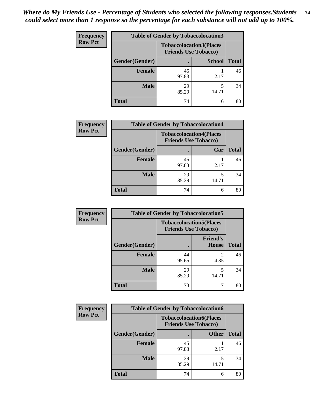| <b>Frequency</b> | <b>Table of Gender by Tobaccolocation3</b> |             |                                                               |              |
|------------------|--------------------------------------------|-------------|---------------------------------------------------------------|--------------|
| <b>Row Pct</b>   |                                            |             | <b>Tobaccolocation3(Places</b><br><b>Friends Use Tobacco)</b> |              |
|                  | Gender(Gender)                             |             | <b>School</b>                                                 | <b>Total</b> |
|                  | <b>Female</b>                              | 45<br>97.83 | 2.17                                                          | 46           |
|                  | <b>Male</b>                                | 29<br>85.29 | 14.71                                                         | 34           |
|                  | <b>Total</b>                               | 74          | 6                                                             | 80           |

| <b>Frequency</b> | <b>Table of Gender by Tobaccolocation4</b> |                             |                                |              |
|------------------|--------------------------------------------|-----------------------------|--------------------------------|--------------|
| <b>Row Pct</b>   |                                            | <b>Friends Use Tobacco)</b> | <b>Tobaccolocation4(Places</b> |              |
|                  | Gender(Gender)                             |                             | Car                            | <b>Total</b> |
|                  | <b>Female</b>                              | 45<br>97.83                 | 2.17                           | 46           |
|                  | <b>Male</b>                                | 29<br>85.29                 | 14.71                          | 34           |
|                  | <b>Total</b>                               | 74                          | 6                              | 80           |

| Frequency      | <b>Table of Gender by Tobaccolocation5</b> |                                                               |                                 |              |
|----------------|--------------------------------------------|---------------------------------------------------------------|---------------------------------|--------------|
| <b>Row Pct</b> |                                            | <b>Tobaccolocation5(Places</b><br><b>Friends Use Tobacco)</b> |                                 |              |
|                | Gender(Gender)                             |                                                               | <b>Friend's</b><br><b>House</b> | <b>Total</b> |
|                | Female                                     | 44<br>95.65                                                   | 4.35                            | 46           |
|                | <b>Male</b>                                | 29<br>85.29                                                   | 14.71                           | 34           |
|                | <b>Total</b>                               | 73                                                            |                                 | 80           |

| <b>Frequency</b> | <b>Table of Gender by Tobaccolocation6</b> |                                                               |              |              |
|------------------|--------------------------------------------|---------------------------------------------------------------|--------------|--------------|
| <b>Row Pct</b>   |                                            | <b>Tobaccolocation6(Places</b><br><b>Friends Use Tobacco)</b> |              |              |
|                  | Gender(Gender)                             |                                                               | <b>Other</b> | <b>Total</b> |
|                  | Female                                     | 45<br>97.83                                                   | 2.17         | 46           |
|                  | <b>Male</b>                                | 29<br>85.29                                                   | 14.71        | 34           |
|                  | <b>Total</b>                               | 74                                                            | 6            | 80           |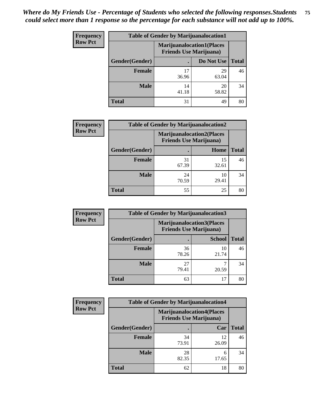| <b>Frequency</b> | <b>Table of Gender by Marijuanalocation1</b> |                                                                    |             |              |  |
|------------------|----------------------------------------------|--------------------------------------------------------------------|-------------|--------------|--|
| <b>Row Pct</b>   |                                              | <b>Marijuanalocation1(Places</b><br><b>Friends Use Marijuana</b> ) |             |              |  |
|                  | <b>Gender</b> (Gender)                       |                                                                    | Do Not Use  | <b>Total</b> |  |
|                  | <b>Female</b>                                | 17<br>36.96                                                        | 29<br>63.04 | 46           |  |
|                  | <b>Male</b>                                  | 14<br>41.18                                                        | 20<br>58.82 | 34           |  |
|                  | <b>Total</b>                                 | 31                                                                 | 49          | 80           |  |

| <b>Frequency</b> | <b>Table of Gender by Marijuanalocation2</b> |                                                                    |             |              |
|------------------|----------------------------------------------|--------------------------------------------------------------------|-------------|--------------|
| <b>Row Pct</b>   |                                              | <b>Marijuanalocation2(Places</b><br><b>Friends Use Marijuana</b> ) |             |              |
|                  | Gender(Gender)                               |                                                                    | Home        | <b>Total</b> |
|                  | <b>Female</b>                                | 31<br>67.39                                                        | 15<br>32.61 | 46           |
|                  | <b>Male</b>                                  | 24<br>70.59                                                        | 10<br>29.41 | 34           |
|                  | <b>Total</b>                                 | 55                                                                 | 25          | 80           |

| Frequency      | <b>Table of Gender by Marijuanalocation3</b> |                                                                    |               |              |
|----------------|----------------------------------------------|--------------------------------------------------------------------|---------------|--------------|
| <b>Row Pct</b> |                                              | <b>Marijuanalocation3(Places</b><br><b>Friends Use Marijuana</b> ) |               |              |
|                | Gender(Gender)                               |                                                                    | <b>School</b> | <b>Total</b> |
|                | Female                                       | 36<br>78.26                                                        | 10<br>21.74   | 46           |
|                | <b>Male</b>                                  | 27<br>79.41                                                        | 20.59         | 34           |
|                | <b>Total</b>                                 | 63                                                                 | 17            | 80           |

| <b>Frequency</b> | <b>Table of Gender by Marijuanalocation4</b> |                                |                                  |              |
|------------------|----------------------------------------------|--------------------------------|----------------------------------|--------------|
| <b>Row Pct</b>   |                                              | <b>Friends Use Marijuana</b> ) | <b>Marijuanalocation4(Places</b> |              |
|                  | Gender(Gender)                               |                                | Car                              | <b>Total</b> |
|                  | <b>Female</b>                                | 34<br>73.91                    | 12<br>26.09                      | 46           |
|                  | <b>Male</b>                                  | 28<br>82.35                    | 6<br>17.65                       | 34           |
|                  | <b>Total</b>                                 | 62                             | 18                               | 80           |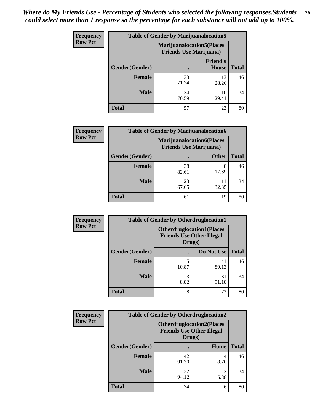| <b>Frequency</b> | <b>Table of Gender by Marijuanalocation5</b> |                                                                     |                          |              |
|------------------|----------------------------------------------|---------------------------------------------------------------------|--------------------------|--------------|
| <b>Row Pct</b>   |                                              | <b>Marijuanalocation5</b> (Places<br><b>Friends Use Marijuana</b> ) |                          |              |
|                  | Gender(Gender)                               |                                                                     | <b>Friend's</b><br>House | <b>Total</b> |
|                  | Female                                       | 33<br>71.74                                                         | 13<br>28.26              | 46           |
|                  | <b>Male</b>                                  | 24<br>70.59                                                         | 10<br>29.41              | 34           |
|                  | <b>Total</b>                                 | 57                                                                  | 23                       | 80           |

| <b>Frequency</b> | <b>Table of Gender by Marijuanalocation6</b> |                                                                    |              |              |
|------------------|----------------------------------------------|--------------------------------------------------------------------|--------------|--------------|
| <b>Row Pct</b>   |                                              | <b>Marijuanalocation6(Places</b><br><b>Friends Use Marijuana</b> ) |              |              |
|                  | Gender(Gender)                               |                                                                    | <b>Other</b> | <b>Total</b> |
|                  | <b>Female</b>                                | 38<br>82.61                                                        | 8<br>17.39   | 46           |
|                  | <b>Male</b>                                  | 23<br>67.65                                                        | 32.35        | 34           |
|                  | <b>Total</b>                                 | 61                                                                 | 19           | 80           |

| Frequency      | <b>Table of Gender by Otherdruglocation1</b> |                                                                                |             |              |
|----------------|----------------------------------------------|--------------------------------------------------------------------------------|-------------|--------------|
| <b>Row Pct</b> |                                              | <b>Otherdruglocation1(Places</b><br><b>Friends Use Other Illegal</b><br>Drugs) |             |              |
|                | Gender(Gender)                               |                                                                                | Do Not Use  | <b>Total</b> |
|                | Female                                       | 10.87                                                                          | 41<br>89.13 | 46           |
|                | <b>Male</b>                                  | 8.82                                                                           | 31<br>91.18 | 34           |
|                | <b>Total</b>                                 | 8                                                                              | 72          | 80           |

| Frequency      | <b>Table of Gender by Otherdruglocation2</b>                                   |             |           |              |
|----------------|--------------------------------------------------------------------------------|-------------|-----------|--------------|
| <b>Row Pct</b> | <b>Otherdruglocation2(Places</b><br><b>Friends Use Other Illegal</b><br>Drugs) |             |           |              |
|                | Gender(Gender)                                                                 |             | Home      | <b>Total</b> |
|                | Female                                                                         | 42<br>91.30 | 4<br>8.70 | 46           |
|                | <b>Male</b>                                                                    | 32<br>94.12 | 5.88      | 34           |
|                | <b>Total</b>                                                                   | 74          | 6         | 80           |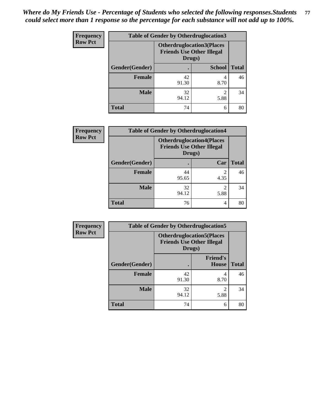| <b>Frequency</b> | <b>Table of Gender by Otherdruglocation3</b> |                                                                                |               |              |
|------------------|----------------------------------------------|--------------------------------------------------------------------------------|---------------|--------------|
| <b>Row Pct</b>   |                                              | <b>Otherdruglocation3(Places</b><br><b>Friends Use Other Illegal</b><br>Drugs) |               |              |
|                  | Gender(Gender)                               |                                                                                | <b>School</b> | <b>Total</b> |
|                  | Female                                       | 42<br>91.30                                                                    | 8.70          | 46           |
|                  | <b>Male</b>                                  | 32<br>94.12                                                                    | ◠<br>5.88     | 34           |
|                  | <b>Total</b>                                 | 74                                                                             | 6             | 80           |

| Frequency      | <b>Table of Gender by Otherdruglocation4</b> |                                                                                |                                     |              |
|----------------|----------------------------------------------|--------------------------------------------------------------------------------|-------------------------------------|--------------|
| <b>Row Pct</b> |                                              | <b>Otherdruglocation4(Places</b><br><b>Friends Use Other Illegal</b><br>Drugs) |                                     |              |
|                | Gender(Gender)                               |                                                                                | Car                                 | <b>Total</b> |
|                | Female                                       | 44<br>95.65                                                                    | 4.35                                | 46           |
|                | <b>Male</b>                                  | 32<br>94.12                                                                    | $\mathcal{D}_{\mathcal{L}}$<br>5.88 | 34           |
|                | <b>Total</b>                                 | 76                                                                             | 4                                   | 80           |

| <b>Frequency</b> | <b>Table of Gender by Otherdruglocation5</b> |             |                                                                      |              |
|------------------|----------------------------------------------|-------------|----------------------------------------------------------------------|--------------|
| <b>Row Pct</b>   |                                              | Drugs)      | <b>Otherdruglocation5(Places</b><br><b>Friends Use Other Illegal</b> |              |
|                  | Gender(Gender)                               |             | <b>Friend's</b><br><b>House</b>                                      | <b>Total</b> |
|                  | <b>Female</b>                                | 42<br>91.30 | 4<br>8.70                                                            | 46           |
|                  | <b>Male</b>                                  | 32<br>94.12 | ി<br>5.88                                                            | 34           |
|                  | <b>Total</b>                                 | 74          | 6                                                                    | 80           |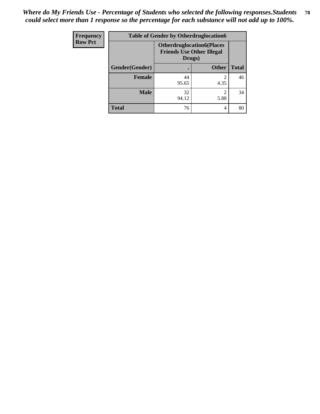| <b>Frequency</b> | <b>Table of Gender by Otherdruglocation6</b> |                                            |                                  |              |
|------------------|----------------------------------------------|--------------------------------------------|----------------------------------|--------------|
| <b>Row Pct</b>   |                                              | <b>Friends Use Other Illegal</b><br>Drugs) | <b>Otherdruglocation6(Places</b> |              |
|                  | Gender(Gender)                               |                                            | <b>Other</b>                     | <b>Total</b> |
|                  | <b>Female</b>                                | 44<br>95.65                                | 4.35                             | 46           |
|                  | <b>Male</b>                                  | 32<br>94.12                                | ◠<br>5.88                        | 34           |
|                  | <b>Total</b>                                 | 76                                         | 4                                | 80           |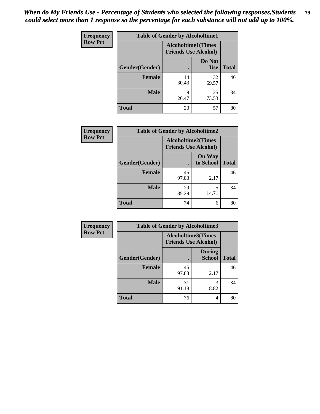| Frequency      | <b>Table of Gender by Alcoholtime1</b> |                                                          |                      |              |
|----------------|----------------------------------------|----------------------------------------------------------|----------------------|--------------|
| <b>Row Pct</b> |                                        | <b>Alcoholtime1(Times</b><br><b>Friends Use Alcohol)</b> |                      |              |
|                | Gender(Gender)                         | $\bullet$                                                | Do Not<br><b>Use</b> | <b>Total</b> |
|                | <b>Female</b>                          | 14<br>30.43                                              | 32<br>69.57          | 46           |
|                | <b>Male</b>                            | 9<br>26.47                                               | 25<br>73.53          | 34           |
|                | <b>Total</b>                           | 23                                                       | 57                   | 80           |

| <b>Frequency</b> | <b>Table of Gender by Alcoholtime2</b> |                                                          |                            |              |
|------------------|----------------------------------------|----------------------------------------------------------|----------------------------|--------------|
| <b>Row Pct</b>   |                                        | <b>Alcoholtime2(Times</b><br><b>Friends Use Alcohol)</b> |                            |              |
|                  | Gender(Gender)                         |                                                          | <b>On Way</b><br>to School | <b>Total</b> |
|                  | <b>Female</b>                          | 45<br>97.83                                              | 2.17                       | 46           |
|                  | <b>Male</b>                            | 29<br>85.29                                              | 5<br>14.71                 | 34           |
|                  | <b>Total</b>                           | 74                                                       | 6                          | 80           |

| Frequency      | <b>Table of Gender by Alcoholtime3</b> |                                                          |                                |              |
|----------------|----------------------------------------|----------------------------------------------------------|--------------------------------|--------------|
| <b>Row Pct</b> |                                        | <b>Alcoholtime3(Times</b><br><b>Friends Use Alcohol)</b> |                                |              |
|                | <b>Gender(Gender)</b>                  |                                                          | <b>During</b><br><b>School</b> | <b>Total</b> |
|                | Female                                 | 45<br>97.83                                              | 2.17                           | 46           |
|                | <b>Male</b>                            | 31<br>91.18                                              | 3<br>8.82                      | 34           |
|                | <b>Total</b>                           | 76                                                       | 4                              | 80           |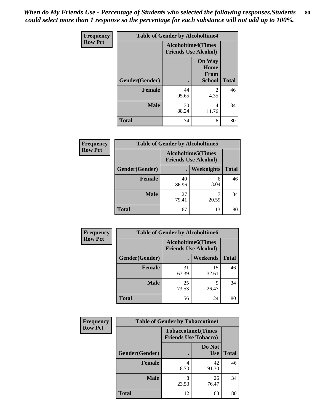*When do My Friends Use - Percentage of Students who selected the following responses.Students could select more than 1 response so the percentage for each substance will not add up to 100%.* **80**

| <b>Frequency</b> | <b>Table of Gender by Alcoholtime4</b> |                                                          |                                                       |              |
|------------------|----------------------------------------|----------------------------------------------------------|-------------------------------------------------------|--------------|
| <b>Row Pct</b>   |                                        | <b>Alcoholtime4(Times</b><br><b>Friends Use Alcohol)</b> |                                                       |              |
|                  | Gender(Gender)                         | $\bullet$                                                | <b>On Way</b><br>Home<br><b>From</b><br><b>School</b> | <b>Total</b> |
|                  | <b>Female</b>                          | 44<br>95.65                                              | 2<br>4.35                                             | 46           |
|                  | <b>Male</b>                            | 30<br>88.24                                              | 4<br>11.76                                            | 34           |
|                  | <b>Total</b>                           | 74                                                       | 6                                                     | 80           |

| <b>Frequency</b> | <b>Table of Gender by Alcoholtime5</b> |                                                          |            |              |
|------------------|----------------------------------------|----------------------------------------------------------|------------|--------------|
| <b>Row Pct</b>   |                                        | <b>Alcoholtime5(Times</b><br><b>Friends Use Alcohol)</b> |            |              |
|                  | Gender(Gender)                         | $\bullet$                                                | Weeknights | <b>Total</b> |
|                  | <b>Female</b>                          | 40<br>86.96                                              | 6<br>13.04 | 46           |
|                  | <b>Male</b>                            | 27<br>79.41                                              | 20.59      | 34           |
|                  | <b>Total</b>                           | 67                                                       | 13         | 80           |

| <b>Frequency</b> | <b>Table of Gender by Alcoholtime6</b> |                                                           |                 |              |  |
|------------------|----------------------------------------|-----------------------------------------------------------|-----------------|--------------|--|
| <b>Row Pct</b>   |                                        | <b>Alcoholtime6</b> (Times<br><b>Friends Use Alcohol)</b> |                 |              |  |
|                  | Gender(Gender)                         |                                                           | <b>Weekends</b> | <b>Total</b> |  |
|                  | Female                                 | 31<br>67.39                                               | 15<br>32.61     | 46           |  |
|                  | <b>Male</b>                            | 25<br>73.53                                               | 9<br>26.47      | 34           |  |
|                  | Total                                  | 56                                                        | 24              | 80           |  |

| Frequency      | <b>Table of Gender by Tobaccotime1</b> |                                                          |                      |              |
|----------------|----------------------------------------|----------------------------------------------------------|----------------------|--------------|
| <b>Row Pct</b> |                                        | <b>Tobaccotime1(Times</b><br><b>Friends Use Tobacco)</b> |                      |              |
|                | Gender(Gender)                         |                                                          | Do Not<br><b>Use</b> | <b>Total</b> |
|                | Female                                 | 4<br>8.70                                                | 42<br>91.30          | 46           |
|                | <b>Male</b>                            | 8<br>23.53                                               | 26<br>76.47          | 34           |
|                | <b>Total</b>                           | 12                                                       | 68                   | 80           |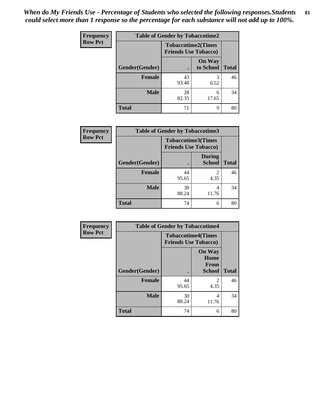*When do My Friends Use - Percentage of Students who selected the following responses.Students could select more than 1 response so the percentage for each substance will not add up to 100%.* **81**

| Frequency      | <b>Table of Gender by Tobaccotime2</b> |                                                          |                            |              |
|----------------|----------------------------------------|----------------------------------------------------------|----------------------------|--------------|
| <b>Row Pct</b> |                                        | <b>Tobaccotime2(Times</b><br><b>Friends Use Tobacco)</b> |                            |              |
|                | Gender(Gender)                         | $\bullet$                                                | <b>On Way</b><br>to School | <b>Total</b> |
|                | Female                                 | 43<br>93.48                                              | 3<br>6.52                  | 46           |
|                | <b>Male</b>                            | 28<br>82.35                                              | 6<br>17.65                 | 34           |
|                | <b>Total</b>                           | 71                                                       | 9                          | 80           |

| Frequency      | <b>Table of Gender by Tobaccotime3</b> |                                                          |                                |              |
|----------------|----------------------------------------|----------------------------------------------------------|--------------------------------|--------------|
| <b>Row Pct</b> |                                        | <b>Tobaccotime3(Times</b><br><b>Friends Use Tobacco)</b> |                                |              |
|                | Gender(Gender)                         |                                                          | <b>During</b><br><b>School</b> | <b>Total</b> |
|                | Female                                 | 44<br>95.65                                              | 2<br>4.35                      | 46           |
|                | <b>Male</b>                            | 30<br>88.24                                              | 4<br>11.76                     | 34           |
|                | <b>Total</b>                           | 74                                                       | 6                              | 80           |

| <b>Frequency</b> | <b>Table of Gender by Tobaccotime4</b> |                                                          |                                                |              |
|------------------|----------------------------------------|----------------------------------------------------------|------------------------------------------------|--------------|
| <b>Row Pct</b>   |                                        | <b>Tobaccotime4(Times</b><br><b>Friends Use Tobacco)</b> |                                                |              |
|                  | Gender(Gender)                         |                                                          | <b>On Way</b><br>Home<br>From<br><b>School</b> | <b>Total</b> |
|                  | <b>Female</b>                          | 44<br>95.65                                              | $\mathfrak{D}$<br>4.35                         | 46           |
|                  | <b>Male</b>                            | 30<br>88.24                                              | 4<br>11.76                                     | 34           |
|                  | <b>Total</b>                           | 74                                                       | 6                                              | 80           |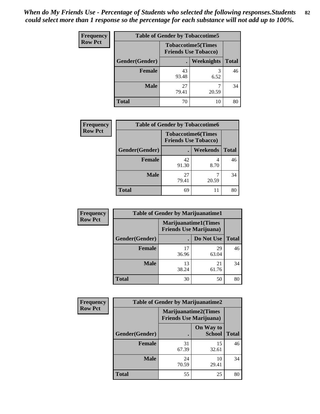| <b>Frequency</b> | <b>Table of Gender by Tobaccotime5</b> |             |                                                           |              |  |
|------------------|----------------------------------------|-------------|-----------------------------------------------------------|--------------|--|
| <b>Row Pct</b>   |                                        |             | <b>Tobaccotime5</b> (Times<br><b>Friends Use Tobacco)</b> |              |  |
|                  | <b>Gender</b> (Gender)                 |             | <b>Weeknights</b>                                         | <b>Total</b> |  |
|                  | <b>Female</b>                          | 43<br>93.48 | 6.52                                                      | 46           |  |
|                  | <b>Male</b>                            | 27<br>79.41 | 20.59                                                     | 34           |  |
|                  | <b>Total</b>                           | 70          | 10                                                        | 80           |  |

| Frequency      |                | <b>Table of Gender by Tobaccotime6</b>                   |          |              |
|----------------|----------------|----------------------------------------------------------|----------|--------------|
| <b>Row Pct</b> |                | <b>Tobaccotime6(Times</b><br><b>Friends Use Tobacco)</b> |          |              |
|                | Gender(Gender) |                                                          | Weekends | <b>Total</b> |
|                | <b>Female</b>  | 42<br>91.30                                              | 8.70     | 46           |
|                | <b>Male</b>    | 27<br>79.41                                              | 20.59    | 34           |
|                | <b>Total</b>   | 69                                                       | 11       | 80           |

| <b>Frequency</b> | <b>Table of Gender by Marijuanatime1</b> |                                |                             |              |
|------------------|------------------------------------------|--------------------------------|-----------------------------|--------------|
| <b>Row Pct</b>   |                                          | <b>Friends Use Marijuana</b> ) | <b>Marijuanatime1(Times</b> |              |
|                  | Gender(Gender)                           |                                | Do Not Use                  | <b>Total</b> |
|                  | <b>Female</b>                            | 17<br>36.96                    | 29<br>63.04                 | 46           |
|                  | <b>Male</b>                              | 13<br>38.24                    | 21<br>61.76                 | 34           |
|                  | <b>Total</b>                             | 30                             | 50                          | 80           |

| <b>Frequency</b> | <b>Table of Gender by Marijuanatime2</b> |                                                               |                            |              |
|------------------|------------------------------------------|---------------------------------------------------------------|----------------------------|--------------|
| <b>Row Pct</b>   |                                          | <b>Marijuanatime2(Times</b><br><b>Friends Use Marijuana</b> ) |                            |              |
|                  | Gender(Gender)                           |                                                               | On Way to<br><b>School</b> | <b>Total</b> |
|                  | <b>Female</b>                            | 31<br>67.39                                                   | 15<br>32.61                | 46           |
|                  | <b>Male</b>                              | 24<br>70.59                                                   | 10<br>29.41                | 34           |
|                  | <b>Total</b>                             | 55                                                            | 25                         | 80           |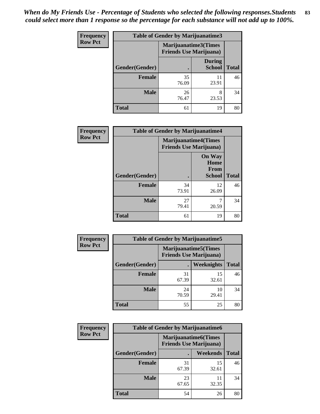| Frequency      | Table of Gender by Marijuanatime3 |                                |                                |              |
|----------------|-----------------------------------|--------------------------------|--------------------------------|--------------|
| <b>Row Pct</b> |                                   | <b>Friends Use Marijuana</b> ) | Marijuanatime3(Times           |              |
|                | Gender(Gender)                    |                                | <b>During</b><br><b>School</b> | <b>Total</b> |
|                | <b>Female</b>                     | 35<br>76.09                    | 11<br>23.91                    | 46           |
|                | <b>Male</b>                       | 26<br>76.47                    | 8<br>23.53                     | 34           |
|                | <b>Total</b>                      | 61                             | 19                             | 80           |

| Frequency      | <b>Table of Gender by Marijuanatime4</b> |                             |                                                |              |
|----------------|------------------------------------------|-----------------------------|------------------------------------------------|--------------|
| <b>Row Pct</b> |                                          | <b>Marijuanatime4(Times</b> | <b>Friends Use Marijuana</b> )                 |              |
|                | Gender(Gender)                           |                             | <b>On Way</b><br>Home<br>From<br><b>School</b> | <b>Total</b> |
|                | <b>Female</b>                            | 34<br>73.91                 | 12<br>26.09                                    | 46           |
|                | <b>Male</b>                              | 27<br>79.41                 | 7<br>20.59                                     | 34           |
|                | <b>Total</b>                             | 61                          | 19                                             | 80           |

| <b>Frequency</b> | <b>Table of Gender by Marijuanatime5</b> |             |                                                                |              |  |
|------------------|------------------------------------------|-------------|----------------------------------------------------------------|--------------|--|
| <b>Row Pct</b>   |                                          |             | <b>Marijuanatime5</b> (Times<br><b>Friends Use Marijuana</b> ) |              |  |
|                  | Gender(Gender)                           |             | Weeknights                                                     | <b>Total</b> |  |
|                  | <b>Female</b>                            | 31<br>67.39 | 15<br>32.61                                                    | 46           |  |
|                  | <b>Male</b>                              | 24<br>70.59 | 10<br>29.41                                                    | 34           |  |
|                  | <b>Total</b>                             | 55          | 25                                                             | 80           |  |

| Frequency      | <b>Table of Gender by Marijuanatime6</b> |                                                               |                 |              |  |  |
|----------------|------------------------------------------|---------------------------------------------------------------|-----------------|--------------|--|--|
| <b>Row Pct</b> |                                          | <b>Marijuanatime6(Times</b><br><b>Friends Use Marijuana</b> ) |                 |              |  |  |
|                | Gender(Gender)                           |                                                               | <b>Weekends</b> | <b>Total</b> |  |  |
|                | <b>Female</b>                            | 31<br>67.39                                                   | 15<br>32.61     | 46           |  |  |
|                | <b>Male</b>                              | 23<br>67.65                                                   | 11<br>32.35     | 34           |  |  |
|                | <b>Total</b>                             | 54                                                            | 26              | 80           |  |  |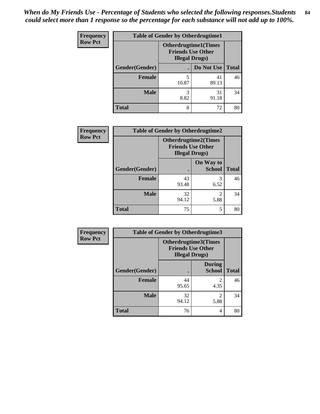| <b>Frequency</b> | <b>Table of Gender by Otherdrugtime1</b> |                                                                                    |             |              |  |
|------------------|------------------------------------------|------------------------------------------------------------------------------------|-------------|--------------|--|
| <b>Row Pct</b>   |                                          | <b>Otherdrugtime1</b> (Times<br><b>Friends Use Other</b><br><b>Illegal Drugs</b> ) |             |              |  |
|                  | Gender(Gender)                           |                                                                                    | Do Not Use  | <b>Total</b> |  |
|                  | <b>Female</b>                            | 5<br>10.87                                                                         | 41<br>89.13 | 46           |  |
|                  | <b>Male</b>                              | 3<br>8.82                                                                          | 31<br>91.18 | 34           |  |
|                  | <b>Total</b>                             | 8                                                                                  | 72          | 80           |  |

| Frequency      | <b>Table of Gender by Otherdrugtime2</b> |                        |                                                         |              |  |
|----------------|------------------------------------------|------------------------|---------------------------------------------------------|--------------|--|
| <b>Row Pct</b> |                                          | <b>Illegal Drugs</b> ) | <b>Otherdrugtime2(Times</b><br><b>Friends Use Other</b> |              |  |
|                | Gender(Gender)                           |                        | On Way to<br><b>School</b>                              | <b>Total</b> |  |
|                | <b>Female</b>                            | 43<br>93.48            | 3<br>6.52                                               | 46           |  |
|                | <b>Male</b>                              | 32<br>94.12            | $\mathfrak{D}$<br>5.88                                  | 34           |  |
|                | <b>Total</b>                             | 75                     | 5                                                       | 80           |  |

| Frequency      | <b>Table of Gender by Otherdrugtime3</b> |                       |                                                         |              |  |
|----------------|------------------------------------------|-----------------------|---------------------------------------------------------|--------------|--|
| <b>Row Pct</b> |                                          | <b>Illegal Drugs)</b> | <b>Otherdrugtime3(Times</b><br><b>Friends Use Other</b> |              |  |
|                | Gender(Gender)                           |                       | <b>During</b><br><b>School</b>                          | <b>Total</b> |  |
|                | <b>Female</b>                            | 44<br>95.65           | 2<br>4.35                                               | 46           |  |
|                | <b>Male</b>                              | 32<br>94.12           | 2<br>5.88                                               | 34           |  |
|                | <b>Total</b>                             | 76                    | 4                                                       | 80           |  |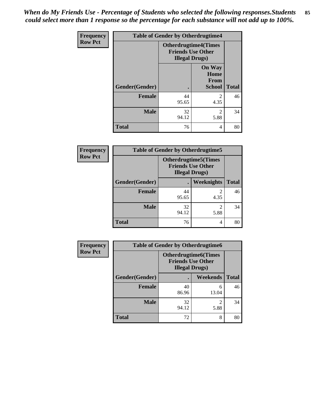*When do My Friends Use - Percentage of Students who selected the following responses.Students could select more than 1 response so the percentage for each substance will not add up to 100%.* **85**

| Frequency      | <b>Table of Gender by Otherdrugtime4</b> |                                                                                   |                                                       |              |
|----------------|------------------------------------------|-----------------------------------------------------------------------------------|-------------------------------------------------------|--------------|
| <b>Row Pct</b> |                                          | <b>Otherdrugtime4(Times</b><br><b>Friends Use Other</b><br><b>Illegal Drugs</b> ) |                                                       |              |
|                | Gender(Gender)                           |                                                                                   | <b>On Way</b><br>Home<br><b>From</b><br><b>School</b> | <b>Total</b> |
|                | <b>Female</b>                            | 44<br>95.65                                                                       | $\mathfrak{D}$<br>4.35                                | 46           |
|                | <b>Male</b>                              | 32<br>94.12                                                                       | $\mathfrak{D}$<br>5.88                                | 34           |
|                | <b>Total</b>                             | 76                                                                                | 4                                                     | 80           |

| <b>Frequency</b> | <b>Table of Gender by Otherdrugtime5</b> |                                                                                    |            |              |  |
|------------------|------------------------------------------|------------------------------------------------------------------------------------|------------|--------------|--|
| <b>Row Pct</b>   |                                          | <b>Otherdrugtime5</b> (Times<br><b>Friends Use Other</b><br><b>Illegal Drugs</b> ) |            |              |  |
|                  | Gender(Gender)                           | ٠                                                                                  | Weeknights | <b>Total</b> |  |
|                  | <b>Female</b>                            | 44<br>95.65                                                                        | 4.35       | 46           |  |
|                  | <b>Male</b>                              | 32<br>94.12                                                                        | 5.88       | 34           |  |
|                  | <b>Total</b>                             | 76                                                                                 | 4          | 80           |  |

| <b>Frequency</b> | <b>Table of Gender by Otherdrugtime6</b> |                                                                                   |                        |              |  |
|------------------|------------------------------------------|-----------------------------------------------------------------------------------|------------------------|--------------|--|
| <b>Row Pct</b>   |                                          | <b>Otherdrugtime6(Times</b><br><b>Friends Use Other</b><br><b>Illegal Drugs</b> ) |                        |              |  |
|                  | Gender(Gender)                           |                                                                                   | Weekends               | <b>Total</b> |  |
|                  | <b>Female</b>                            | 40<br>86.96                                                                       | 6<br>13.04             | 46           |  |
|                  | <b>Male</b>                              | 32<br>94.12                                                                       | $\mathfrak{D}$<br>5.88 | 34           |  |
|                  | <b>Total</b>                             | 72                                                                                | 8                      | 80           |  |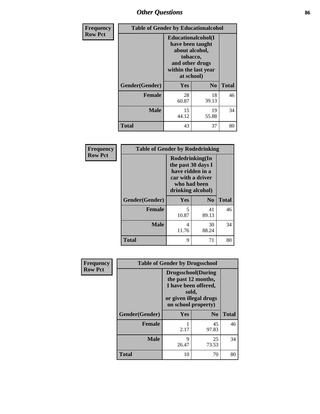# *Other Questions* **86**

| <b>Frequency</b> | <b>Table of Gender by Educationalcohol</b> |                                                                                                                                       |                |              |
|------------------|--------------------------------------------|---------------------------------------------------------------------------------------------------------------------------------------|----------------|--------------|
| <b>Row Pct</b>   |                                            | <b>Educationalcohol</b> (I<br>have been taught<br>about alcohol,<br>tobacco,<br>and other drugs<br>within the last year<br>at school) |                |              |
|                  | Gender(Gender)                             | <b>Yes</b>                                                                                                                            | N <sub>0</sub> | <b>Total</b> |
|                  | <b>Female</b>                              | 28<br>60.87                                                                                                                           | 18<br>39.13    | 46           |
|                  | <b>Male</b>                                | 15<br>44.12                                                                                                                           | 19<br>55.88    | 34           |
|                  | <b>Total</b>                               | 43                                                                                                                                    | 37             | 80           |

| Frequency      | <b>Table of Gender by Rodedrinking</b> |                                                                                                                     |                |              |  |
|----------------|----------------------------------------|---------------------------------------------------------------------------------------------------------------------|----------------|--------------|--|
| <b>Row Pct</b> |                                        | Rodedrinking(In<br>the past 30 days I<br>have ridden in a<br>car with a driver<br>who had been<br>drinking alcohol) |                |              |  |
|                | Gender(Gender)                         | Yes                                                                                                                 | N <sub>0</sub> | <b>Total</b> |  |
|                | <b>Female</b>                          | 5<br>10.87                                                                                                          | 41<br>89.13    | 46           |  |
|                | <b>Male</b>                            | 4<br>11.76                                                                                                          | 30<br>88.24    | 34           |  |
|                | <b>Total</b>                           | 9                                                                                                                   | 71             | 80           |  |

| Frequency      | <b>Table of Gender by Drugsschool</b> |                                                                                                                                     |                |              |
|----------------|---------------------------------------|-------------------------------------------------------------------------------------------------------------------------------------|----------------|--------------|
| <b>Row Pct</b> |                                       | <b>Drugsschool</b> (During<br>the past 12 months,<br>I have been offered,<br>sold,<br>or given illegal drugs<br>on school property) |                |              |
|                | Gender(Gender)                        | Yes                                                                                                                                 | N <sub>0</sub> | <b>Total</b> |
|                | <b>Female</b>                         | 2.17                                                                                                                                | 45<br>97.83    | 46           |
|                | <b>Male</b>                           | 9<br>26.47                                                                                                                          | 25<br>73.53    | 34           |
|                | <b>Total</b>                          | 10                                                                                                                                  | 70             | 80           |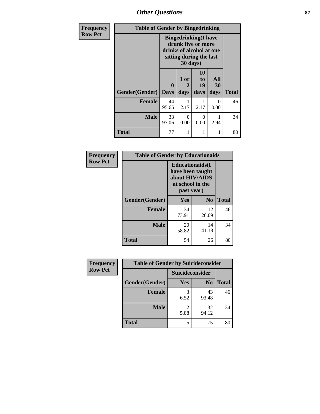*Other Questions* **87**

| <b>Frequency</b> | <b>Table of Gender by Bingedrinking</b> |                                                                                                                       |           |                |                  |              |
|------------------|-----------------------------------------|-----------------------------------------------------------------------------------------------------------------------|-----------|----------------|------------------|--------------|
| <b>Row Pct</b>   |                                         | <b>Bingedrinking</b> (I have<br>drunk five or more<br>drinks of alcohol at one<br>sitting during the last<br>30 days) |           |                |                  |              |
|                  |                                         | $\mathbf{0}$                                                                                                          | 1 or<br>2 | 10<br>to<br>19 | All<br>30        |              |
|                  | Gender(Gender)                          | <b>Days</b>                                                                                                           | days      | days           | days             | <b>Total</b> |
|                  | <b>Female</b>                           | 44<br>95.65                                                                                                           | 2.17      | 2.17           | $\Omega$<br>0.00 | 46           |
|                  | Male                                    | 33<br>97.06                                                                                                           | 0<br>0.00 | 0<br>0.00      | 2.94             | 34           |
|                  | <b>Total</b>                            | 77                                                                                                                    | 1         |                | 1                | 80           |

| Frequency      | <b>Table of Gender by Educationaids</b> |                                                                                                 |                |              |
|----------------|-----------------------------------------|-------------------------------------------------------------------------------------------------|----------------|--------------|
| <b>Row Pct</b> |                                         | <b>Educationaids</b> (I<br>have been taught<br>about HIV/AIDS<br>at school in the<br>past year) |                |              |
|                | Gender(Gender)                          | <b>Yes</b>                                                                                      | N <sub>0</sub> | <b>Total</b> |
|                | <b>Female</b>                           | 34<br>73.91                                                                                     | 12<br>26.09    | 46           |
|                | <b>Male</b>                             | 20<br>58.82                                                                                     | 14<br>41.18    | 34           |
|                | <b>Total</b>                            | 54                                                                                              | 26             | 80           |

| <b>Frequency</b> | <b>Table of Gender by Suicideconsider</b> |                 |                |              |
|------------------|-------------------------------------------|-----------------|----------------|--------------|
| <b>Row Pct</b>   |                                           | Suicideconsider |                |              |
|                  | Gender(Gender)                            | Yes             | N <sub>0</sub> | <b>Total</b> |
|                  | <b>Female</b>                             | 6.52            | 43<br>93.48    | 46           |
|                  | <b>Male</b>                               | 5.88            | 32<br>94.12    | 34           |
|                  | <b>Total</b>                              |                 | 75             | 80           |